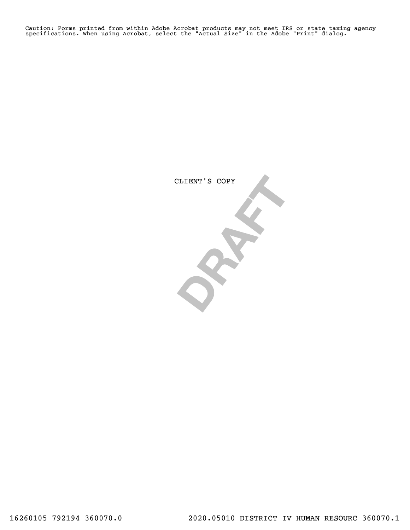Caution: Forms printed from within Adobe Acrobat products may not meet IRS or state taxing agency specifications. When using Acrobat, select the "Actual Size" in the Adobe "Print" dialog.

CLIENT'S COPY CLIENT'S COPY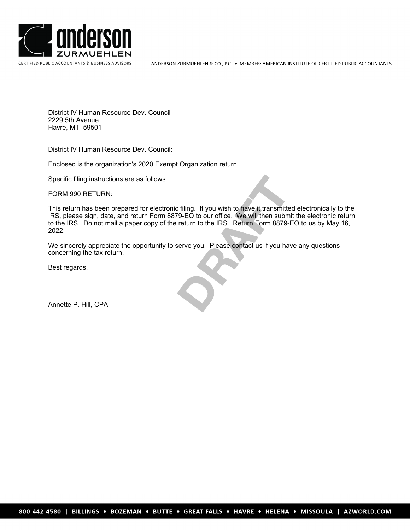

District IV Human Resource Dev. Council 2229 5th Avenue Havre, MT 59501

District IV Human Resource Dev. Council:

Enclosed is the organization's 2020 Exempt Organization return.

Specific filing instructions are as follows.

FORM 990 RETURN:

c filing. If you wish to have it transmitte T9-EO to our office. We will then subm<br>return to the IRS. Return Form 8879-I<br>serve you. Please contact us if you have This return has been prepared for electronic filing. If you wish to have it transmitted electronically to the IRS, please sign, date, and return Form 8879-EO to our office. We will then submit the electronic return to the IRS. Do not mail a paper copy of the return to the IRS. Return Form 8879-EO to us by May 16, 2022.

We sincerely appreciate the opportunity to serve you. Please contact us if you have any questions concerning the tax return.

Best regards,

Annette P. Hill, CPA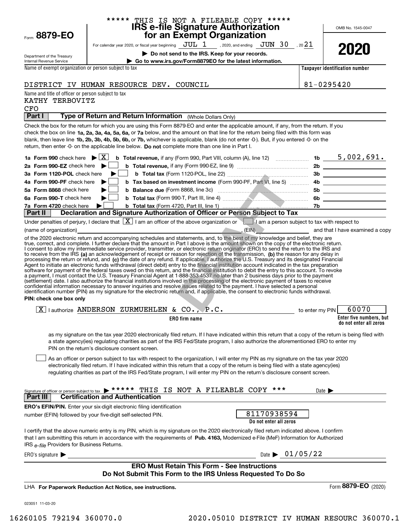|                                                                        | ***** THIS IS NOT A FILEABLE COPY *****                                                                                                                                                                                                                                                                                                                                                                                                                                                                                                              |                            |                                                   |
|------------------------------------------------------------------------|------------------------------------------------------------------------------------------------------------------------------------------------------------------------------------------------------------------------------------------------------------------------------------------------------------------------------------------------------------------------------------------------------------------------------------------------------------------------------------------------------------------------------------------------------|----------------------------|---------------------------------------------------|
| Form 8879-EO                                                           | IRS e-file Signature Authorization<br>for an Exempt Organization                                                                                                                                                                                                                                                                                                                                                                                                                                                                                     |                            | OMB No. 1545-0047                                 |
|                                                                        | For calendar year 2020, or fiscal year beginning $JUL$ $1$ , 2020, and ending $JUN$ $30$ , 20 $21$                                                                                                                                                                                                                                                                                                                                                                                                                                                   |                            |                                                   |
|                                                                        | Do not send to the IRS. Keep for your records.                                                                                                                                                                                                                                                                                                                                                                                                                                                                                                       |                            | 2020                                              |
| Department of the Treasury<br>Internal Revenue Service                 | Go to www.irs.gov/Form8879EO for the latest information.                                                                                                                                                                                                                                                                                                                                                                                                                                                                                             |                            |                                                   |
| Name of exempt organization or person subject to tax                   |                                                                                                                                                                                                                                                                                                                                                                                                                                                                                                                                                      |                            | Taxpayer identification number                    |
|                                                                        | DISTRICT IV HUMAN RESOURCE DEV. COUNCIL                                                                                                                                                                                                                                                                                                                                                                                                                                                                                                              |                            | $81 - 0295420$                                    |
| Name and title of officer or person subject to tax                     |                                                                                                                                                                                                                                                                                                                                                                                                                                                                                                                                                      |                            |                                                   |
| KATHY TERBOVITZ                                                        |                                                                                                                                                                                                                                                                                                                                                                                                                                                                                                                                                      |                            |                                                   |
| <b>CFO</b><br>Part I                                                   | Type of Return and Return Information (Whole Dollars Only)                                                                                                                                                                                                                                                                                                                                                                                                                                                                                           |                            |                                                   |
|                                                                        | Check the box for the return for which you are using this Form 8879-EO and enter the applicable amount, if any, from the return. If you                                                                                                                                                                                                                                                                                                                                                                                                              |                            |                                                   |
|                                                                        | check the box on line 1a, 2a, 3a, 4a, 5a, 6a, or 7a below, and the amount on that line for the return being filed with this form was<br>blank, then leave line 1b, 2b, 3b, 4b, 5b, 6b, or 7b, whichever is applicable, blank (do not enter -0-). But, if you entered -0- on the<br>return, then enter -0- on the applicable line below. Do not complete more than one line in Part I.                                                                                                                                                                |                            |                                                   |
|                                                                        |                                                                                                                                                                                                                                                                                                                                                                                                                                                                                                                                                      |                            |                                                   |
| 2a Form 990-EZ check here $\blacktriangleright$                        |                                                                                                                                                                                                                                                                                                                                                                                                                                                                                                                                                      |                            |                                                   |
| 3a Form 1120-POL check here                                            |                                                                                                                                                                                                                                                                                                                                                                                                                                                                                                                                                      |                            |                                                   |
| 4a Form 990-PF check here                                              | ▶                                                                                                                                                                                                                                                                                                                                                                                                                                                                                                                                                    |                            |                                                   |
| 5a Form 8868 check here                                                |                                                                                                                                                                                                                                                                                                                                                                                                                                                                                                                                                      |                            |                                                   |
| 6a Form 990-T check here                                               |                                                                                                                                                                                                                                                                                                                                                                                                                                                                                                                                                      |                            |                                                   |
| 7a Form 4720 check here $\blacktriangleright$  <br>Part II $\parallel$ | Declaration and Signature Authorization of Officer or Person Subject to Tax                                                                                                                                                                                                                                                                                                                                                                                                                                                                          |                            |                                                   |
|                                                                        | Under penalties of perjury, I declare that $\boxed{\mathbf{X}}$ I am an officer of the above organization or $\boxed{\phantom{\mathbf{X}}\phantom{\mathbf{X}}}$ 1 am a person subject to tax with respect to                                                                                                                                                                                                                                                                                                                                         |                            |                                                   |
| PIN: check one box only                                                | a payment, I must contact the U.S. Treasury Financial Agent at 1-888-353-4537 no later than 2 business days prior to the payment<br>(settlement) date. I also authorize the financial institutions involved in the processing of the electronic payment of taxes to receive<br>confidential information necessary to answer inquiries and resolve issues related to the payment. I have selected a personal<br>identification number (PIN) as my signature for the electronic return and, if applicable, the consent to electronic funds withdrawal. |                            |                                                   |
|                                                                        | X   authorize ANDERSON ZURMUEHLEN & CO., P.C. to enter my PIN                                                                                                                                                                                                                                                                                                                                                                                                                                                                                        |                            | 60070                                             |
|                                                                        | ERO firm name                                                                                                                                                                                                                                                                                                                                                                                                                                                                                                                                        |                            | Enter five numbers, but<br>do not enter all zeros |
|                                                                        | as my signature on the tax year 2020 electronically filed return. If I have indicated within this return that a copy of the return is being filed with<br>a state agency(ies) regulating charities as part of the IRS Fed/State program, I also authorize the aforementioned ERO to enter my<br>PIN on the return's disclosure consent screen.                                                                                                                                                                                                       |                            |                                                   |
|                                                                        | As an officer or person subject to tax with respect to the organization, I will enter my PIN as my signature on the tax year 2020<br>electronically filed return. If I have indicated within this return that a copy of the return is being filed with a state agency(ies)<br>regulating charities as part of the IRS Fed/State program, I will enter my PIN on the return's disclosure consent screen.                                                                                                                                              |                            |                                                   |
| Signature of officer or person subject to tax<br>Part III              | THIS IS NOT A FILEABLE COPY ***<br>*****<br><b>Certification and Authentication</b>                                                                                                                                                                                                                                                                                                                                                                                                                                                                  | Date $\blacktriangleright$ |                                                   |
|                                                                        | <b>ERO's EFIN/PIN.</b> Enter your six-digit electronic filing identification                                                                                                                                                                                                                                                                                                                                                                                                                                                                         |                            |                                                   |
|                                                                        | 81170938594<br>number (EFIN) followed by your five-digit self-selected PIN.<br>Do not enter all zeros                                                                                                                                                                                                                                                                                                                                                                                                                                                |                            |                                                   |
| IRS e-file Providers for Business Returns.                             | I certify that the above numeric entry is my PIN, which is my signature on the 2020 electronically filed return indicated above. I confirm<br>that I am submitting this return in accordance with the requirements of Pub. 4163, Modernized e-File (MeF) Information for Authorized                                                                                                                                                                                                                                                                  |                            |                                                   |
| ERO's signature $\blacktriangleright$                                  | Date $\triangleright$ 01/05/22                                                                                                                                                                                                                                                                                                                                                                                                                                                                                                                       |                            |                                                   |
|                                                                        | <b>ERO Must Retain This Form - See Instructions</b><br>Do Not Submit This Form to the IRS Unless Requested To Do So                                                                                                                                                                                                                                                                                                                                                                                                                                  |                            |                                                   |
|                                                                        | LHA For Paperwork Reduction Act Notice, see instructions.                                                                                                                                                                                                                                                                                                                                                                                                                                                                                            |                            | Form 8879-EO (2020)                               |
| 023051 11-03-20                                                        |                                                                                                                                                                                                                                                                                                                                                                                                                                                                                                                                                      |                            |                                                   |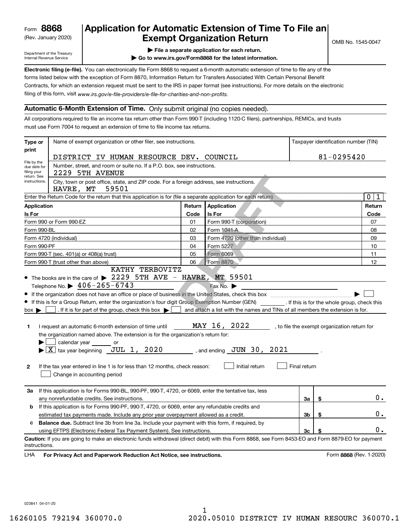(Rev. January 2020)

## **Application for Automatic Extension of Time To File an Exempt Organization Return**

Department of the Treasury Internal Revenue Service

**| File a separate application for each return.**

**| Go to www.irs.gov/Form8868 for the latest information.**

**Electronic filing (e-file).**  You can electronically file Form 8868 to request a 6-month automatic extension of time to file any of the filing of this form, visit www.irs.gov/e-file-providers/e-file-for-charities-and-non-profits. forms listed below with the exception of Form 8870, Information Return for Transfers Associated With Certain Personal Benefit Contracts, for which an extension request must be sent to the IRS in paper format (see instructions). For more details on the electronic

#### **Automatic 6-Month Extension of Time.** Only submit original (no copies needed).

All corporations required to file an income tax return other than Form 990-T (including 1120-C filers), partnerships, REMICs, and trusts must use Form 7004 to request an extension of time to file income tax returns.

| Type or                                                                                                                                        | Name of exempt organization or other filer, see instructions.                                                                                                                                                                                                                                                                                                                                                                                                                                                                                                                                                                                                                                                                                                                                                                                                                                                                                                                                    |        |                                   |    |    | Taxpayer identification number (TIN) |  |  |  |
|------------------------------------------------------------------------------------------------------------------------------------------------|--------------------------------------------------------------------------------------------------------------------------------------------------------------------------------------------------------------------------------------------------------------------------------------------------------------------------------------------------------------------------------------------------------------------------------------------------------------------------------------------------------------------------------------------------------------------------------------------------------------------------------------------------------------------------------------------------------------------------------------------------------------------------------------------------------------------------------------------------------------------------------------------------------------------------------------------------------------------------------------------------|--------|-----------------------------------|----|----|--------------------------------------|--|--|--|
| print                                                                                                                                          | DISTRICT IV HUMAN RESOURCE DEV. COUNCIL                                                                                                                                                                                                                                                                                                                                                                                                                                                                                                                                                                                                                                                                                                                                                                                                                                                                                                                                                          |        | 81-0295420                        |    |    |                                      |  |  |  |
| File by the<br>due date for<br>filing your                                                                                                     | Number, street, and room or suite no. If a P.O. box, see instructions.<br>2229 5TH AVENUE                                                                                                                                                                                                                                                                                                                                                                                                                                                                                                                                                                                                                                                                                                                                                                                                                                                                                                        |        |                                   |    |    |                                      |  |  |  |
| return. See<br>instructions.<br>City, town or post office, state, and ZIP code. For a foreign address, see instructions.<br>HAVRE, MT<br>59501 |                                                                                                                                                                                                                                                                                                                                                                                                                                                                                                                                                                                                                                                                                                                                                                                                                                                                                                                                                                                                  |        |                                   |    |    |                                      |  |  |  |
|                                                                                                                                                | Enter the Return Code for the return that this application is for (file a separate application for each return)                                                                                                                                                                                                                                                                                                                                                                                                                                                                                                                                                                                                                                                                                                                                                                                                                                                                                  |        |                                   |    |    | $\mathbf 0$<br>1                     |  |  |  |
| <b>Application</b>                                                                                                                             |                                                                                                                                                                                                                                                                                                                                                                                                                                                                                                                                                                                                                                                                                                                                                                                                                                                                                                                                                                                                  | Return | Application                       |    |    | Return                               |  |  |  |
| Is For                                                                                                                                         |                                                                                                                                                                                                                                                                                                                                                                                                                                                                                                                                                                                                                                                                                                                                                                                                                                                                                                                                                                                                  | Code   | <b>Is For</b>                     |    |    | Code                                 |  |  |  |
|                                                                                                                                                | Form 990 or Form 990-EZ                                                                                                                                                                                                                                                                                                                                                                                                                                                                                                                                                                                                                                                                                                                                                                                                                                                                                                                                                                          | 01     | Form 990-T (corporation)          |    |    | 07                                   |  |  |  |
| Form 990-BL                                                                                                                                    |                                                                                                                                                                                                                                                                                                                                                                                                                                                                                                                                                                                                                                                                                                                                                                                                                                                                                                                                                                                                  | 02     | Form 1041-A                       |    |    | 08                                   |  |  |  |
|                                                                                                                                                | Form 4720 (individual)                                                                                                                                                                                                                                                                                                                                                                                                                                                                                                                                                                                                                                                                                                                                                                                                                                                                                                                                                                           | 03     | Form 4720 (other than individual) |    |    | 09                                   |  |  |  |
| Form 990-PF                                                                                                                                    |                                                                                                                                                                                                                                                                                                                                                                                                                                                                                                                                                                                                                                                                                                                                                                                                                                                                                                                                                                                                  | 04     | Form 5227                         |    |    | 10                                   |  |  |  |
|                                                                                                                                                | Form 990-T (sec. 401(a) or 408(a) trust)                                                                                                                                                                                                                                                                                                                                                                                                                                                                                                                                                                                                                                                                                                                                                                                                                                                                                                                                                         | 05     | Form 6069                         |    |    | 11                                   |  |  |  |
|                                                                                                                                                | Form 990-T (trust other than above)                                                                                                                                                                                                                                                                                                                                                                                                                                                                                                                                                                                                                                                                                                                                                                                                                                                                                                                                                              | 06     | Form 8870                         |    |    | 12                                   |  |  |  |
| $box \blacktriangleright$<br>1<br>$\mathbf{2}$                                                                                                 | KATHY TERBOVITZ<br>• The books are in the care of $\triangleright$ 2229 5 TH AVE - HAVRE, MT 59501<br>Telephone No. $\triangleright$ 406-265-6743<br>Fax No.<br>If this is for a Group Return, enter the organization's four digit Group Exemption Number (GEN) [f this is for the whole group, check this<br>. If it is for part of the group, check this box $\blacktriangleright$<br>and attach a list with the names and TINs of all members the extension is for.<br>MAY 16, 2022<br>I request an automatic 6-month extension of time until<br>, to file the exempt organization return for<br>the organization named above. The extension is for the organization's return for:<br>calendar year<br>or<br>$\blacktriangleright$ $\lfloor \overline{X} \rfloor$ tax year beginning JUL 1, 2020<br>$\sim$ , and ending $\sigma$ JUN 30, 2021<br>Initial return<br>Final return<br>If the tax year entered in line 1 is for less than 12 months, check reason:<br>Change in accounting period |        |                                   |    |    |                                      |  |  |  |
| За                                                                                                                                             | If this application is for Forms 990-BL, 990-PF, 990-T, 4720, or 6069, enter the tentative tax, less<br>any nonrefundable credits. See instructions.                                                                                                                                                                                                                                                                                                                                                                                                                                                                                                                                                                                                                                                                                                                                                                                                                                             |        |                                   | За | \$ | $0$ .                                |  |  |  |
| b                                                                                                                                              | If this application is for Forms 990-PF, 990-T, 4720, or 6069, enter any refundable credits and                                                                                                                                                                                                                                                                                                                                                                                                                                                                                                                                                                                                                                                                                                                                                                                                                                                                                                  |        |                                   |    |    |                                      |  |  |  |
|                                                                                                                                                | estimated tax payments made. Include any prior year overpayment allowed as a credit.                                                                                                                                                                                                                                                                                                                                                                                                                                                                                                                                                                                                                                                                                                                                                                                                                                                                                                             |        |                                   | Зb | \$ | 0.                                   |  |  |  |
| c                                                                                                                                              | <b>Balance due.</b> Subtract line 3b from line 3a. Include your payment with this form, if required, by                                                                                                                                                                                                                                                                                                                                                                                                                                                                                                                                                                                                                                                                                                                                                                                                                                                                                          |        |                                   |    |    |                                      |  |  |  |
|                                                                                                                                                | using EFTPS (Electronic Federal Tax Payment System). See instructions.                                                                                                                                                                                                                                                                                                                                                                                                                                                                                                                                                                                                                                                                                                                                                                                                                                                                                                                           |        |                                   | 3c | \$ | 0.                                   |  |  |  |
| instructions.                                                                                                                                  | Caution: If you are going to make an electronic funds withdrawal (direct debit) with this Form 8868, see Form 8453-EO and Form 8879-EO for payment                                                                                                                                                                                                                                                                                                                                                                                                                                                                                                                                                                                                                                                                                                                                                                                                                                               |        |                                   |    |    |                                      |  |  |  |
| LHA                                                                                                                                            | For Privacy Act and Paperwork Reduction Act Notice, see instructions.                                                                                                                                                                                                                                                                                                                                                                                                                                                                                                                                                                                                                                                                                                                                                                                                                                                                                                                            |        |                                   |    |    | Form 8868 (Rev. 1-2020)              |  |  |  |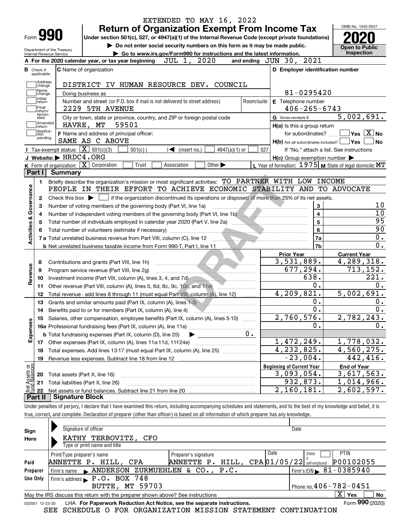|                                                        |                                                   |                                                                                                                                                                                                                                      | EXTENDED TO MAY 16, 2022<br><b>Return of Organization Exempt From Income Tax</b> |                             |            |                                                           | OMB No. 1545-0047                                          |
|--------------------------------------------------------|---------------------------------------------------|--------------------------------------------------------------------------------------------------------------------------------------------------------------------------------------------------------------------------------------|----------------------------------------------------------------------------------|-----------------------------|------------|-----------------------------------------------------------|------------------------------------------------------------|
| Form 990                                               |                                                   | Under section 501(c), 527, or 4947(a)(1) of the Internal Revenue Code (except private foundations)                                                                                                                                   |                                                                                  |                             |            |                                                           |                                                            |
|                                                        |                                                   |                                                                                                                                                                                                                                      | Do not enter social security numbers on this form as it may be made public.      |                             |            |                                                           |                                                            |
| Department of the Treasury<br>Internal Revenue Service |                                                   |                                                                                                                                                                                                                                      | Go to www.irs.gov/Form990 for instructions and the latest information.           |                             |            |                                                           | <b>Open to Public</b><br>Inspection                        |
|                                                        |                                                   | A For the 2020 calendar year, or tax year beginning                                                                                                                                                                                  | JUL 1, 2020                                                                      |                             |            | and ending JUN 30, 2021                                   |                                                            |
| в<br>Check if                                          |                                                   | C Name of organization                                                                                                                                                                                                               |                                                                                  |                             |            | D Employer identification number                          |                                                            |
| applicable:                                            |                                                   |                                                                                                                                                                                                                                      |                                                                                  |                             |            |                                                           |                                                            |
| Address<br>change                                      |                                                   | DISTRICT IV HUMAN RESOURCE DEV. COUNCIL                                                                                                                                                                                              |                                                                                  |                             |            |                                                           |                                                            |
| Name<br>change                                         |                                                   | Doing business as                                                                                                                                                                                                                    |                                                                                  |                             |            | 81-0295420                                                |                                                            |
| Initial<br>return                                      |                                                   | Number and street (or P.O. box if mail is not delivered to street address)                                                                                                                                                           |                                                                                  |                             | Room/suite | E Telephone number                                        |                                                            |
| Final<br>return/                                       |                                                   | 2229 5TH AVENUE                                                                                                                                                                                                                      |                                                                                  |                             |            | $406 - 265 - 6743$                                        |                                                            |
| termin-<br>ated                                        |                                                   | City or town, state or province, country, and ZIP or foreign postal code                                                                                                                                                             |                                                                                  |                             |            | G Gross receipts \$                                       | 5,002,691.                                                 |
| Amended<br>return                                      |                                                   | HAVRE, MT 59501                                                                                                                                                                                                                      |                                                                                  |                             |            | H(a) Is this a group return                               |                                                            |
| Applica-<br>tion                                       |                                                   | F Name and address of principal officer:                                                                                                                                                                                             |                                                                                  |                             |            | for subordinates?                                         | $\sqrt{}$ Yes $\sqrt{}$ X $\sqrt{}$ No                     |
| pending                                                |                                                   | SAME AS C ABOVE                                                                                                                                                                                                                      |                                                                                  |                             |            | $H(b)$ Are all subordinates included? $\Box$ Yes          |                                                            |
|                                                        | Tax-exempt status: $\boxed{\mathbf{X}}$ 501(c)(3) | $501(c)$ (                                                                                                                                                                                                                           | $\triangleleft$ (insert no.)                                                     | $4947(a)(1)$ or             | 527        |                                                           | If "No," attach a list. See instructions                   |
|                                                        | J Website: $\blacktriangleright$ HRDC4.ORG        |                                                                                                                                                                                                                                      |                                                                                  |                             |            | $H(c)$ Group exemption number $\blacktriangleright$       |                                                            |
|                                                        |                                                   | K Form of organization: X Corporation                                                                                                                                                                                                | Trust<br>Association                                                             | Other $\blacktriangleright$ |            | L Year of formation: 1975   M State of legal domicile: MT |                                                            |
|                                                        | Part I Summary                                    |                                                                                                                                                                                                                                      |                                                                                  |                             |            |                                                           |                                                            |
| 1.                                                     |                                                   | Briefly describe the organization's mission or most significant activities: TO PARTNER WITH LOW INCOME                                                                                                                               |                                                                                  |                             |            |                                                           |                                                            |
|                                                        |                                                   | PEOPLE IN THEIR EFFORT TO ACHIEVE ECONOMIC STABILITY AND TO ADVOCATE                                                                                                                                                                 |                                                                                  |                             |            |                                                           |                                                            |
| 2                                                      |                                                   | Check this box $\blacktriangleright$ $\Box$ if the organization discontinued its operations or disposed of more than 25% of its net assets.                                                                                          |                                                                                  |                             |            |                                                           |                                                            |
| з                                                      |                                                   | Number of voting members of the governing body (Part VI, line 1a)                                                                                                                                                                    |                                                                                  |                             |            | 3                                                         |                                                            |
|                                                        |                                                   |                                                                                                                                                                                                                                      |                                                                                  |                             |            |                                                           |                                                            |
| 4                                                      |                                                   |                                                                                                                                                                                                                                      |                                                                                  |                             |            | $\overline{\mathbf{4}}$                                   |                                                            |
| 5                                                      |                                                   | Number of independent voting members of the governing body (Part VI, line 1b)                                                                                                                                                        |                                                                                  |                             |            | $\overline{5}$                                            |                                                            |
|                                                        |                                                   |                                                                                                                                                                                                                                      |                                                                                  |                             |            | $\bf{6}$                                                  |                                                            |
|                                                        |                                                   |                                                                                                                                                                                                                                      |                                                                                  |                             |            | 7a                                                        |                                                            |
|                                                        |                                                   |                                                                                                                                                                                                                                      |                                                                                  |                             |            | 7b                                                        |                                                            |
|                                                        |                                                   |                                                                                                                                                                                                                                      |                                                                                  |                             |            | <b>Prior Year</b>                                         | <b>Current Year</b>                                        |
| 8                                                      |                                                   | Contributions and grants (Part VIII, line 1h)                                                                                                                                                                                        |                                                                                  |                             |            | 3,531,889.                                                | 4,289,318.                                                 |
| 9                                                      |                                                   | Program service revenue (Part VIII, line 2g)                                                                                                                                                                                         |                                                                                  |                             |            | 677,294.                                                  |                                                            |
| 10                                                     |                                                   |                                                                                                                                                                                                                                      |                                                                                  |                             |            | 638.                                                      |                                                            |
| 11                                                     |                                                   | Other revenue (Part VIII, column (A), lines 5, 6d, 8c, 9c, 10c, and 11e)                                                                                                                                                             |                                                                                  |                             |            | $\overline{0}$ .                                          |                                                            |
| 12                                                     |                                                   | Total revenue - add lines 8 through 11 (must equal Part VIII, column (A), line 12)                                                                                                                                                   |                                                                                  |                             |            | 4, 209, 821.                                              |                                                            |
| 13                                                     |                                                   | Grants and similar amounts paid (Part IX, column (A), lines 1-3)                                                                                                                                                                     |                                                                                  |                             |            | 0.                                                        |                                                            |
| 14                                                     |                                                   | Benefits paid to or for members (Part IX, column (A), line 4) <b>Conserverse in the contract of the Senate Conserverse in the Senate Conserverse in the Senate Conserverse in the Senate Conserverse in the Senate Conserverse i</b> |                                                                                  |                             |            | $\overline{0}$ .                                          |                                                            |
| 15                                                     |                                                   | Salaries, other compensation, employee benefits (Part IX, column (A), lines 5-10)                                                                                                                                                    |                                                                                  |                             |            | 2,760,576.                                                |                                                            |
|                                                        |                                                   |                                                                                                                                                                                                                                      |                                                                                  |                             |            | 0.                                                        |                                                            |
|                                                        |                                                   | <b>b</b> Total fundraising expenses (Part IX, column (D), line 25)                                                                                                                                                                   |                                                                                  |                             | $0$ .      |                                                           |                                                            |
| 17                                                     |                                                   |                                                                                                                                                                                                                                      |                                                                                  |                             |            | 1,472,249.                                                | 713,152.<br>221.<br>5,002,691.<br>2,782,243.<br>1,778,032. |
| 18                                                     |                                                   | Total expenses. Add lines 13-17 (must equal Part IX, column (A), line 25)                                                                                                                                                            |                                                                                  |                             |            | 4,232,825.                                                | 4,560,275.                                                 |
| 19                                                     |                                                   | Revenue less expenses. Subtract line 18 from line 12                                                                                                                                                                                 |                                                                                  |                             |            | $\overline{-23}$ ,004.                                    | 442,416.                                                   |
|                                                        |                                                   |                                                                                                                                                                                                                                      |                                                                                  |                             |            | <b>Beginning of Current Year</b>                          | <b>End of Year</b>                                         |
| Activities & Governance<br>Revenue<br>Expenses<br>20   |                                                   | Total assets (Part X, line 16)                                                                                                                                                                                                       |                                                                                  |                             |            | 3,093,054.                                                | 3,617,563.                                                 |
| Net Assets or<br>Fund Balances<br>21                   |                                                   | Total liabilities (Part X, line 26)                                                                                                                                                                                                  |                                                                                  |                             |            | 932,873.<br>2,160,181.                                    | 1,014,966.<br>2,602,597.                                   |

| Sign     | Signature of officer                                                                                         |                      |  |                                           | Date                                       |                     |    |  |  |  |  |
|----------|--------------------------------------------------------------------------------------------------------------|----------------------|--|-------------------------------------------|--------------------------------------------|---------------------|----|--|--|--|--|
| Here     | KATHY TERBOVITZ, CFO                                                                                         |                      |  |                                           |                                            |                     |    |  |  |  |  |
|          | Type or print name and title                                                                                 |                      |  |                                           |                                            |                     |    |  |  |  |  |
|          | Print/Type preparer's name                                                                                   | Preparer's signature |  | Date                                      | Check                                      | <b>PTIN</b>         |    |  |  |  |  |
| Paid     | ANNETTE P. HILL, CPA                                                                                         | ANNETTE<br>$P$ .     |  | $HILL$ , $CPA   01/05/22  $ self-employed |                                            | P00102055           |    |  |  |  |  |
| Preparer | Firm's name ANDERSON ZURMUEHLEN & CO., P.C.                                                                  |                      |  |                                           | $1$ Firm's EIN $\triangleright$ 81-0385940 |                     |    |  |  |  |  |
| Use Only | Firm's address P.O. BOX 748                                                                                  |                      |  |                                           |                                            |                     |    |  |  |  |  |
|          | Phone no. $406 - 782 - 0451$<br><b>BUTTE, MT 59703</b>                                                       |                      |  |                                           |                                            |                     |    |  |  |  |  |
|          | May the IRS discuss this return with the preparer shown above? See instructions                              |                      |  |                                           |                                            | $\mathbf{X}$<br>Yes | No |  |  |  |  |
|          | Form 990 (2020)<br>LHA For Paperwork Reduction Act Notice, see the separate instructions.<br>032001 12-23-20 |                      |  |                                           |                                            |                     |    |  |  |  |  |

SEE SCHEDULE O FOR ORGANIZATION MISSION STATEMENT CONTINUATION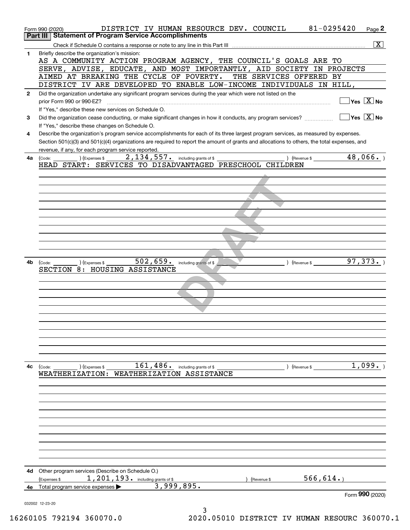|              | 81-0295420<br>DISTRICT IV HUMAN RESOURCE DEV. COUNCIL<br>Form 990 (2020)                                                                     | Page 2                                  |
|--------------|----------------------------------------------------------------------------------------------------------------------------------------------|-----------------------------------------|
|              | Part III   Statement of Program Service Accomplishments                                                                                      |                                         |
|              |                                                                                                                                              | $\boxed{\mathbf{X}}$                    |
| 1            | Briefly describe the organization's mission:                                                                                                 |                                         |
|              | AS A COMMUNITY ACTION PROGRAM AGENCY, THE COUNCIL'S GOALS ARE TO<br>SERVE, ADVISE, EDUCATE, AND MOST IMPORTANTLY, AID SOCIETY IN PROJECTS    |                                         |
|              | AIMED AT BREAKING THE CYCLE OF POVERTY.<br>THE SERVICES OFFERED BY                                                                           |                                         |
|              | DISTRICT IV ARE DEVELOPED TO ENABLE LOW-INCOME INDIVIDUALS IN HILL,                                                                          |                                         |
| $\mathbf{2}$ | Did the organization undertake any significant program services during the year which were not listed on the                                 |                                         |
|              | prior Form 990 or 990-EZ?                                                                                                                    | $\Box$ Yes $[\overline{\mathrm{X}}]$ No |
|              | If "Yes," describe these new services on Schedule O.                                                                                         |                                         |
| 3            | Did the organization cease conducting, or make significant changes in how it conducts, any program services?                                 | $\Box$ Yes $\boxed{X}$ No               |
|              | If "Yes," describe these changes on Schedule O.                                                                                              |                                         |
| 4            | Describe the organization's program service accomplishments for each of its three largest program services, as measured by expenses.         |                                         |
|              | Section 501(c)(3) and 501(c)(4) organizations are required to report the amount of grants and allocations to others, the total expenses, and |                                         |
|              | revenue, if any, for each program service reported.                                                                                          |                                         |
| 4a           | ) (Revenue \$ 48,066.)<br>) (Expenses $$2,134,557$ . including grants of \$<br>(Code:                                                        |                                         |
|              | HEAD START: SERVICES TO DISADVANTAGED PRESCHOOL CHILDREN                                                                                     |                                         |
|              |                                                                                                                                              |                                         |
|              |                                                                                                                                              |                                         |
|              |                                                                                                                                              |                                         |
|              |                                                                                                                                              |                                         |
|              |                                                                                                                                              |                                         |
|              |                                                                                                                                              |                                         |
|              |                                                                                                                                              |                                         |
|              |                                                                                                                                              |                                         |
|              |                                                                                                                                              |                                         |
|              |                                                                                                                                              |                                         |
| 4b           | $502, 659$ . including grants of \$<br>$\overline{)}$ (Expenses \$ $\overline{)}$                                                            |                                         |
|              | (Code:<br>SECTION 8: HOUSING ASSISTANCE                                                                                                      |                                         |
|              |                                                                                                                                              |                                         |
|              |                                                                                                                                              |                                         |
|              |                                                                                                                                              |                                         |
|              |                                                                                                                                              |                                         |
|              |                                                                                                                                              |                                         |
|              |                                                                                                                                              |                                         |
|              |                                                                                                                                              |                                         |
|              |                                                                                                                                              |                                         |
|              |                                                                                                                                              |                                         |
|              |                                                                                                                                              |                                         |
|              |                                                                                                                                              |                                         |
| 4с           | 161,486.<br>including grants of \$<br>) (Revenue \$<br>(Code:<br>(Expenses \$                                                                | 1,099.                                  |
|              | WEATHERIZATION ASSISTANCE<br><b>WEATHERIZATION:</b>                                                                                          |                                         |
|              |                                                                                                                                              |                                         |
|              |                                                                                                                                              |                                         |
|              |                                                                                                                                              |                                         |
|              |                                                                                                                                              |                                         |
|              |                                                                                                                                              |                                         |
|              |                                                                                                                                              |                                         |
|              |                                                                                                                                              |                                         |
|              |                                                                                                                                              |                                         |
|              |                                                                                                                                              |                                         |
|              |                                                                                                                                              |                                         |
| 4d           | Other program services (Describe on Schedule O.)                                                                                             |                                         |
|              | 566, 614.<br>1, 201, 193. including grants of \$<br>(Expenses \$<br>Revenue \$                                                               |                                         |
| 4e           | 3,999,895.<br>Total program service expenses                                                                                                 |                                         |
|              |                                                                                                                                              | Form 990 (2020)                         |
|              | 032002 12-23-20                                                                                                                              |                                         |
|              | 3                                                                                                                                            |                                         |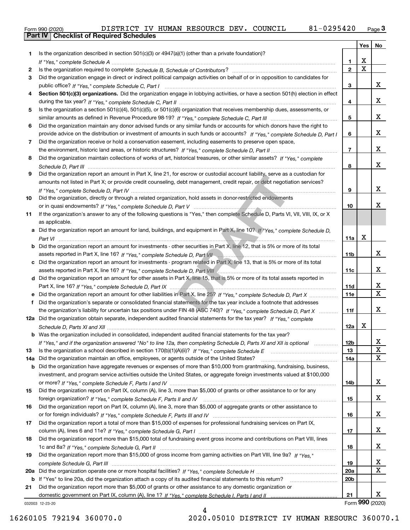| (2020) | DISTRICT IV |  |
|--------|-------------|--|
|        |             |  |

|     |                                                                                                                                                 |                 | Yes                   | No                      |
|-----|-------------------------------------------------------------------------------------------------------------------------------------------------|-----------------|-----------------------|-------------------------|
| 1.  | Is the organization described in section $501(c)(3)$ or $4947(a)(1)$ (other than a private foundation)?                                         |                 |                       |                         |
|     |                                                                                                                                                 | 1               | х                     |                         |
| 2   |                                                                                                                                                 | $\mathbf{2}$    | $\overline{\text{x}}$ |                         |
| 3   | Did the organization engage in direct or indirect political campaign activities on behalf of or in opposition to candidates for                 |                 |                       |                         |
|     |                                                                                                                                                 | 3               |                       | x                       |
| 4   | Section 501(c)(3) organizations. Did the organization engage in lobbying activities, or have a section 501(h) election in effect                |                 |                       |                         |
|     |                                                                                                                                                 | 4               |                       | x                       |
| 5   | Is the organization a section 501(c)(4), 501(c)(5), or 501(c)(6) organization that receives membership dues, assessments, or                    |                 |                       |                         |
|     |                                                                                                                                                 | 5               |                       | x                       |
| 6   | Did the organization maintain any donor advised funds or any similar funds or accounts for which donors have the right to                       |                 |                       |                         |
|     | provide advice on the distribution or investment of amounts in such funds or accounts? If "Yes," complete Schedule D, Part I                    | 6               |                       | x                       |
| 7   | Did the organization receive or hold a conservation easement, including easements to preserve open space,                                       |                 |                       |                         |
|     |                                                                                                                                                 | $\overline{7}$  |                       | x                       |
| 8   | Did the organization maintain collections of works of art, historical treasures, or other similar assets? If "Yes," complete                    |                 |                       |                         |
|     |                                                                                                                                                 | 8               |                       | x                       |
| 9   | Did the organization report an amount in Part X, line 21, for escrow or custodial account liability, serve as a custodian for                   |                 |                       |                         |
|     | amounts not listed in Part X; or provide credit counseling, debt management, credit repair, or debt negotiation services?                       |                 |                       | x                       |
|     |                                                                                                                                                 | 9               |                       |                         |
| 10  | Did the organization, directly or through a related organization, hold assets in donor-restricted endowments                                    |                 |                       | X.                      |
|     |                                                                                                                                                 | 10              |                       |                         |
| 11  | If the organization's answer to any of the following questions is "Yes," then complete Schedule D, Parts VI, VII, VIII, IX, or X                |                 |                       |                         |
|     | as applicable.<br>a Did the organization report an amount for land, buildings, and equipment in Part X, line 10? If "Yes," complete Schedule D, |                 |                       |                         |
|     |                                                                                                                                                 | 11a             | X                     |                         |
|     | <b>b</b> Did the organization report an amount for investments - other securities in Part X, line 12, that is 5% or more of its total           |                 |                       |                         |
|     | assets reported in Part X, line 16? If "Yes," complete Schedule D, Part VII manufacture manufacture manufactur                                  | 11b             |                       | x                       |
|     | c Did the organization report an amount for investments - program related in Part X, line 13, that is 5% or more of its total                   |                 |                       |                         |
|     |                                                                                                                                                 | 11c             |                       | x                       |
|     | d Did the organization report an amount for other assets in Part X, line 15, that is 5% or more of its total assets reported in                 |                 |                       |                         |
|     |                                                                                                                                                 | 11d             |                       | x                       |
|     | e Did the organization report an amount for other liabilities in Part X, line 25? If "Yes," complete Schedule D, Part X                         | 11e             |                       | $\overline{\mathbf{x}}$ |
| f   | Did the organization's separate or consolidated financial statements for the tax year include a footnote that addresses                         |                 |                       |                         |
|     | the organization's liability for uncertain tax positions under FIN 48 (ASC 740)? If "Yes," complete Schedule D, Part X                          | 11f             |                       | x                       |
|     | 12a Did the organization obtain separate, independent audited financial statements for the tax year? If "Yes," complete                         |                 |                       |                         |
|     |                                                                                                                                                 | 12a             | x                     |                         |
|     | <b>b</b> Was the organization included in consolidated, independent audited financial statements for the tax year?                              |                 |                       |                         |
|     | If "Yes," and if the organization answered "No" to line 12a, then completing Schedule D, Parts XI and XII is optional                           | 12b             |                       | Y                       |
| 13  |                                                                                                                                                 | 13              |                       | X                       |
| 14a | Did the organization maintain an office, employees, or agents outside of the United States?                                                     | 14a             |                       | $\mathbf X$             |
|     | <b>b</b> Did the organization have aggregate revenues or expenses of more than \$10,000 from grantmaking, fundraising, business,                |                 |                       |                         |
|     | investment, and program service activities outside the United States, or aggregate foreign investments valued at \$100,000                      |                 |                       |                         |
|     |                                                                                                                                                 | 14b             |                       | x                       |
| 15  | Did the organization report on Part IX, column (A), line 3, more than \$5,000 of grants or other assistance to or for any                       |                 |                       |                         |
|     |                                                                                                                                                 | 15              |                       | x                       |
| 16  | Did the organization report on Part IX, column (A), line 3, more than \$5,000 of aggregate grants or other assistance to                        |                 |                       |                         |
|     |                                                                                                                                                 | 16              |                       | x                       |
| 17  | Did the organization report a total of more than \$15,000 of expenses for professional fundraising services on Part IX,                         |                 |                       |                         |
|     |                                                                                                                                                 | 17              |                       | x                       |
| 18  | Did the organization report more than \$15,000 total of fundraising event gross income and contributions on Part VIII, lines                    |                 |                       |                         |
|     |                                                                                                                                                 | 18              |                       | x                       |
| 19  | Did the organization report more than \$15,000 of gross income from gaming activities on Part VIII, line 9a? If "Yes."                          |                 |                       |                         |
|     |                                                                                                                                                 | 19              |                       | X                       |
| 20a |                                                                                                                                                 | 20a             |                       | $\mathbf x$             |
|     | b If "Yes" to line 20a, did the organization attach a copy of its audited financial statements to this return?                                  | 20 <sub>b</sub> |                       |                         |
| 21  | Did the organization report more than \$5,000 of grants or other assistance to any domestic organization or                                     |                 |                       |                         |
|     |                                                                                                                                                 | 21              | Form 990 (2020)       | x                       |
|     | 032003 12-23-20                                                                                                                                 |                 |                       |                         |

4

032003 12-23-20

16260105 792194 360070.0 2020.05010 DISTRICT IV HUMAN RESOURC 360070.1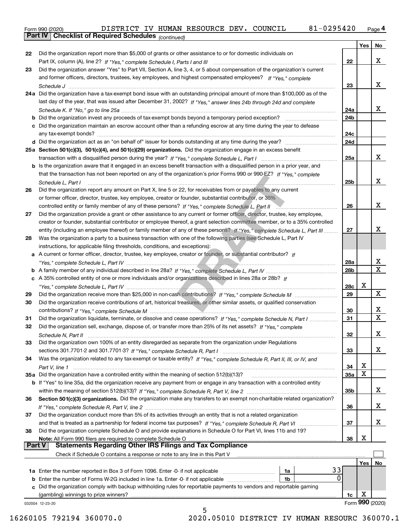Form 990 (2020) DISTRICT IV HUMAN RESOURCE DEV. COUNCIL 81-0 2954 20 <sub>Page</sub> 4<br>**Part IV | Checklist of Required Schedules** <sub>(continued)</sub>

|               | Part IV  <br>Criecklist of Required Scriedules (continued)                                                                   |                 |     |                 |
|---------------|------------------------------------------------------------------------------------------------------------------------------|-----------------|-----|-----------------|
|               |                                                                                                                              |                 | Yes | No              |
| 22            | Did the organization report more than \$5,000 of grants or other assistance to or for domestic individuals on                |                 |     |                 |
|               |                                                                                                                              | 22              |     | x               |
| 23            | Did the organization answer "Yes" to Part VII, Section A, line 3, 4, or 5 about compensation of the organization's current   |                 |     |                 |
|               | and former officers, directors, trustees, key employees, and highest compensated employees? If "Yes," complete               |                 |     |                 |
|               |                                                                                                                              | 23              |     | х               |
|               | 24a Did the organization have a tax-exempt bond issue with an outstanding principal amount of more than \$100,000 as of the  |                 |     |                 |
|               | last day of the year, that was issued after December 31, 2002? If "Yes," answer lines 24b through 24d and complete           |                 |     |                 |
|               |                                                                                                                              | 24a             |     | х               |
|               | <b>b</b> Did the organization invest any proceeds of tax-exempt bonds beyond a temporary period exception?                   | 24b             |     |                 |
|               | c Did the organization maintain an escrow account other than a refunding escrow at any time during the year to defease       |                 |     |                 |
|               | any tax-exempt bonds?                                                                                                        | 24c             |     |                 |
|               | d Did the organization act as an "on behalf of" issuer for bonds outstanding at any time during the year?                    | 24d             |     |                 |
|               | 25a Section 501(c)(3), 501(c)(4), and 501(c)(29) organizations. Did the organization engage in an excess benefit             |                 |     |                 |
|               |                                                                                                                              | 25a             |     | x               |
|               | b Is the organization aware that it engaged in an excess benefit transaction with a disqualified person in a prior year, and |                 |     |                 |
|               | that the transaction has not been reported on any of the organization's prior Forms 990 or 990-EZ? If "Yes," complete        |                 |     |                 |
|               | Schedule L. Part I                                                                                                           | 25b             |     | х               |
| 26            | Did the organization report any amount on Part X, line 5 or 22, for receivables from or payables to any current              |                 |     |                 |
|               | or former officer, director, trustee, key employee, creator or founder, substantial contributor, or 35%                      |                 |     |                 |
|               |                                                                                                                              | 26              |     | x               |
| 27            | Did the organization provide a grant or other assistance to any current or former officer, director, trustee, key employee,  |                 |     |                 |
|               | creator or founder, substantial contributor or employee thereof, a grant selection committee member, or to a 35% controlled  |                 |     |                 |
|               | entity (including an employee thereof) or family member of any of these persons? If "Yes," complete Schedule L, Part III     | 27              |     | x               |
| 28            | Was the organization a party to a business transaction with one of the following parties (see Schedule L, Part IV            |                 |     |                 |
|               | instructions, for applicable filing thresholds, conditions, and exceptions):                                                 |                 |     |                 |
|               | a A current or former officer, director, trustee, key employee, creator or founder, or substantial contributor? If           |                 |     |                 |
|               |                                                                                                                              | 28a             |     | х               |
|               |                                                                                                                              | 28 <sub>b</sub> |     | x               |
|               | c A 35% controlled entity of one or more individuals and/or organizations described in lines 28a or 28b? If                  |                 |     |                 |
|               |                                                                                                                              | 28c             | х   |                 |
| 29            |                                                                                                                              | 29              |     | X               |
| 30            | Did the organization receive contributions of art, historical treasures, or other similar assets, or qualified conservation  |                 |     |                 |
|               |                                                                                                                              | 30              |     | х               |
| 31            | Did the organization liquidate, terminate, or dissolve and cease operations? If "Yes," complete Schedule N, Part I           | 31              |     | Х               |
| 32            | Did the organization sell, exchange, dispose of, or transfer more than 25% of its net assets? If "Yes," complete             |                 |     |                 |
|               | Schedule N, Part II                                                                                                          | 32              |     | х               |
| 33            | Did the organization own 100% of an entity disregarded as separate from the organization under Regulations                   |                 |     |                 |
|               |                                                                                                                              | 33              |     | x               |
| 34            | Was the organization related to any tax-exempt or taxable entity? If "Yes," complete Schedule R, Part II, III, or IV, and    |                 |     |                 |
|               |                                                                                                                              | 34              | х   |                 |
|               | 35a Did the organization have a controlled entity within the meaning of section 512(b)(13)?                                  | <b>35a</b>      | х   |                 |
|               | b If "Yes" to line 35a, did the organization receive any payment from or engage in any transaction with a controlled entity  |                 |     |                 |
|               |                                                                                                                              | 35b             |     | X               |
| 36            | Section 501(c)(3) organizations. Did the organization make any transfers to an exempt non-charitable related organization?   |                 |     |                 |
|               |                                                                                                                              | 36              |     | х               |
| 37            | Did the organization conduct more than 5% of its activities through an entity that is not a related organization             |                 |     |                 |
|               |                                                                                                                              | 37              |     | х               |
| 38            | Did the organization complete Schedule O and provide explanations in Schedule O for Part VI, lines 11b and 19?               |                 |     |                 |
|               | Note: All Form 990 filers are required to complete Schedule O                                                                | 38              | х   |                 |
| <b>Part V</b> | <b>Statements Regarding Other IRS Filings and Tax Compliance</b>                                                             |                 |     |                 |
|               | Check if Schedule O contains a response or note to any line in this Part V                                                   |                 |     |                 |
|               |                                                                                                                              |                 | Yes | No              |
|               | 33<br>1a                                                                                                                     |                 |     |                 |
|               | 0<br><b>b</b> Enter the number of Forms W-2G included in line 1a. Enter -0- if not applicable <i>manumumumum</i><br>1b       |                 |     |                 |
|               | c Did the organization comply with backup withholding rules for reportable payments to vendors and reportable gaming         |                 |     |                 |
|               | (gambling) winnings to prize winners?                                                                                        | 1c              | X   |                 |
|               | 032004 12-23-20                                                                                                              |                 |     | Form 990 (2020) |
|               | 5                                                                                                                            |                 |     |                 |

16260105 792194 360070.0 2020.05010 DISTRICT IV HUMAN RESOURC 360070.1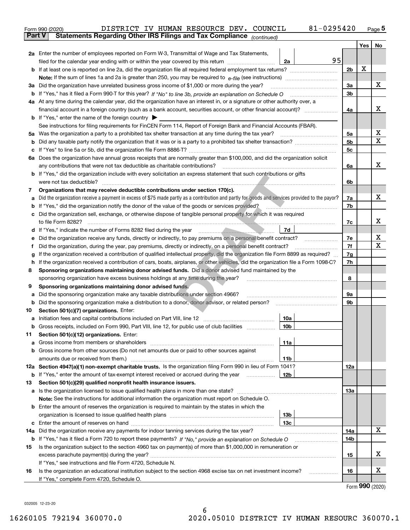|               | 81-0295420<br>DISTRICT IV HUMAN RESOURCE DEV. COUNCIL<br>Form 990 (2020)                                                                                                                                                              |                |     | $Page$ <sup>5</sup> |  |  |  |
|---------------|---------------------------------------------------------------------------------------------------------------------------------------------------------------------------------------------------------------------------------------|----------------|-----|---------------------|--|--|--|
| <b>Part V</b> | Statements Regarding Other IRS Filings and Tax Compliance (continued)                                                                                                                                                                 |                |     |                     |  |  |  |
|               |                                                                                                                                                                                                                                       |                | Yes | No                  |  |  |  |
|               | 2a Enter the number of employees reported on Form W-3, Transmittal of Wage and Tax Statements,                                                                                                                                        |                |     |                     |  |  |  |
|               | 95<br>2a                                                                                                                                                                                                                              |                |     |                     |  |  |  |
|               |                                                                                                                                                                                                                                       | 2 <sub>b</sub> | х   |                     |  |  |  |
|               |                                                                                                                                                                                                                                       |                |     |                     |  |  |  |
| За            | Did the organization have unrelated business gross income of \$1,000 or more during the year?                                                                                                                                         | 3a             |     | х                   |  |  |  |
| b             |                                                                                                                                                                                                                                       | 3b             |     |                     |  |  |  |
|               | 4a At any time during the calendar year, did the organization have an interest in, or a signature or other authority over, a                                                                                                          |                |     |                     |  |  |  |
|               | financial account in a foreign country (such as a bank account, securities account, or other financial account)?                                                                                                                      | 4a             |     | х                   |  |  |  |
|               | <b>b</b> If "Yes," enter the name of the foreign country $\blacktriangleright$                                                                                                                                                        |                |     |                     |  |  |  |
|               | See instructions for filing requirements for FinCEN Form 114, Report of Foreign Bank and Financial Accounts (FBAR).                                                                                                                   |                |     |                     |  |  |  |
|               |                                                                                                                                                                                                                                       | 5a             |     | х                   |  |  |  |
| b             |                                                                                                                                                                                                                                       | 5b             |     | х                   |  |  |  |
| c             |                                                                                                                                                                                                                                       | 5c             |     |                     |  |  |  |
|               | 6a Does the organization have annual gross receipts that are normally greater than \$100,000, and did the organization solicit                                                                                                        |                |     |                     |  |  |  |
|               |                                                                                                                                                                                                                                       | 6a             |     | х                   |  |  |  |
|               | <b>b</b> If "Yes," did the organization include with every solicitation an express statement that such contributions or gifts                                                                                                         |                |     |                     |  |  |  |
|               |                                                                                                                                                                                                                                       | 6b             |     |                     |  |  |  |
| 7             | Organizations that may receive deductible contributions under section 170(c).                                                                                                                                                         |                |     |                     |  |  |  |
| a             | Did the organization receive a payment in excess of \$75 made partly as a contribution and partly for goods and services provided to the payor?                                                                                       | 7a             |     | х                   |  |  |  |
| b             | If "Yes," did the organization notify the donor of the value of the goods or services provided?                                                                                                                                       | 7b             |     |                     |  |  |  |
|               | c Did the organization sell, exchange, or otherwise dispose of tangible personal property for which it was required                                                                                                                   |                |     |                     |  |  |  |
|               |                                                                                                                                                                                                                                       | 7c             |     | х                   |  |  |  |
|               | 7d                                                                                                                                                                                                                                    |                |     |                     |  |  |  |
| е             | Did the organization receive any funds, directly or indirectly, to pay premiums on a personal benefit contract?                                                                                                                       | 7e             |     | х                   |  |  |  |
| f             | Did the organization, during the year, pay premiums, directly or indirectly, on a personal benefit contract?                                                                                                                          | 7f             |     | х                   |  |  |  |
| g             | If the organization received a contribution of qualified intellectual property, did the organization file Form 8899 as required?                                                                                                      |                |     |                     |  |  |  |
| h             | If the organization received a contribution of cars, boats, airplanes, or other vehicles, did the organization file a Form 1098-C?                                                                                                    |                |     |                     |  |  |  |
| 8             | Sponsoring organizations maintaining donor advised funds. Did a donor advised fund maintained by the                                                                                                                                  |                |     |                     |  |  |  |
|               | sponsoring organization have excess business holdings at any time during the year?                                                                                                                                                    | 8              |     |                     |  |  |  |
| 9             | Sponsoring organizations maintaining donor advised funds.                                                                                                                                                                             |                |     |                     |  |  |  |
| a             | Did the sponsoring organization make any taxable distributions under section 4966?                                                                                                                                                    | 9а             |     |                     |  |  |  |
| b             | Did the sponsoring organization make a distribution to a donor, donor advisor, or related person?                                                                                                                                     | 9b             |     |                     |  |  |  |
| 10            | Section 501(c)(7) organizations. Enter:                                                                                                                                                                                               |                |     |                     |  |  |  |
|               | 10a<br>a Initiation fees and capital contributions included on Part VIII, line 12 [111] [11] [12] [11] [12] [11] [12] [11] [12] [11] [12] [11] [12] [11] [12] [11] [12] [11] [12] [11] [12] [11] [12] [11] [12] [11] [12] [11] [12] [ |                |     |                     |  |  |  |
|               | 10b <br>Gross receipts, included on Form 990, Part VIII, line 12, for public use of club facilities                                                                                                                                   |                |     |                     |  |  |  |
| 11            | Section 501(c)(12) organizations. Enter:                                                                                                                                                                                              |                |     |                     |  |  |  |
| а             | Gross income from members or shareholders<br>11a                                                                                                                                                                                      |                |     |                     |  |  |  |
|               | b Gross income from other sources (Do not net amounts due or paid to other sources against                                                                                                                                            |                |     |                     |  |  |  |
|               | amounts due or received from them.)<br>11b                                                                                                                                                                                            |                |     |                     |  |  |  |
|               | 12a Section 4947(a)(1) non-exempt charitable trusts. Is the organization filing Form 990 in lieu of Form 1041?                                                                                                                        | 12a            |     |                     |  |  |  |
| b             | 12b<br>If "Yes," enter the amount of tax-exempt interest received or accrued during the year                                                                                                                                          |                |     |                     |  |  |  |
| 13            | Section 501(c)(29) qualified nonprofit health insurance issuers.                                                                                                                                                                      |                |     |                     |  |  |  |
| a             | Is the organization licensed to issue qualified health plans in more than one state?                                                                                                                                                  | 13а            |     |                     |  |  |  |
|               | Note: See the instructions for additional information the organization must report on Schedule O.                                                                                                                                     |                |     |                     |  |  |  |
|               | <b>b</b> Enter the amount of reserves the organization is required to maintain by the states in which the                                                                                                                             |                |     |                     |  |  |  |
|               | 13b                                                                                                                                                                                                                                   |                |     |                     |  |  |  |
| c             | 13с                                                                                                                                                                                                                                   |                |     |                     |  |  |  |
| 14a           | Did the organization receive any payments for indoor tanning services during the tax year?                                                                                                                                            | 14a            |     | x                   |  |  |  |
| b             | If "Yes," has it filed a Form 720 to report these payments? If "No," provide an explanation on Schedule O                                                                                                                             | 14b            |     |                     |  |  |  |
| 15            | Is the organization subject to the section 4960 tax on payment(s) of more than \$1,000,000 in remuneration or                                                                                                                         |                |     |                     |  |  |  |
|               |                                                                                                                                                                                                                                       | 15             |     | X.                  |  |  |  |
|               | If "Yes," see instructions and file Form 4720, Schedule N.                                                                                                                                                                            |                |     | х                   |  |  |  |
| 16            | Is the organization an educational institution subject to the section 4968 excise tax on net investment income?<br>If "Yes," complete Form 4720, Schedule O.                                                                          | 16             |     |                     |  |  |  |
|               |                                                                                                                                                                                                                                       |                |     |                     |  |  |  |

Form (2020) **990**

032005 12-23-20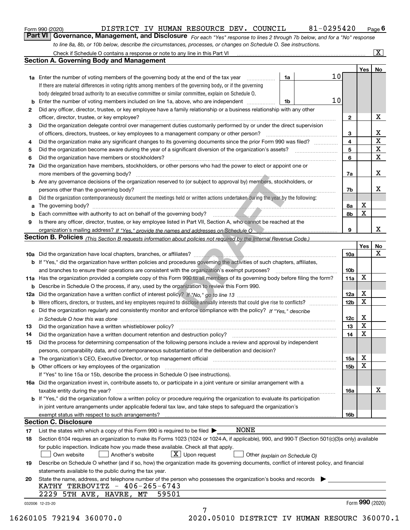|  | Form 990 (2020) |
|--|-----------------|
|  |                 |

| Form 990 (2020) | DISTRICT IV HUMAN RESOURCE DEV. COUNCIL                                                                          |  |  | 81-0295420                                                                                                                  | $P_{\text{aqe}}$ 6 |
|-----------------|------------------------------------------------------------------------------------------------------------------|--|--|-----------------------------------------------------------------------------------------------------------------------------|--------------------|
|                 |                                                                                                                  |  |  | Part VI Governance, Management, and Disclosure For each "Yes" response to lines 2 through 7b below, and for a "No" response |                    |
|                 | to line 8a, 8b, or 10b below, describe the circumstances, processes, or changes on Schedule O. See instructions. |  |  |                                                                                                                             |                    |

|     | Check if Schedule O contains a response or note to any line in this Part VI                                                                                           |    |    |                         |     | $\vert$ X $\vert$ |
|-----|-----------------------------------------------------------------------------------------------------------------------------------------------------------------------|----|----|-------------------------|-----|-------------------|
|     | <b>Section A. Governing Body and Management</b>                                                                                                                       |    |    |                         |     |                   |
|     |                                                                                                                                                                       |    |    |                         | Yes | No                |
|     | 1a Enter the number of voting members of the governing body at the end of the tax year                                                                                | 1a | 10 |                         |     |                   |
|     | If there are material differences in voting rights among members of the governing body, or if the governing                                                           |    |    |                         |     |                   |
|     | body delegated broad authority to an executive committee or similar committee, explain on Schedule O.                                                                 |    |    |                         |     |                   |
| b   | Enter the number of voting members included on line 1a, above, who are independent                                                                                    | 1b | 10 |                         |     |                   |
| 2   | Did any officer, director, trustee, or key employee have a family relationship or a business relationship with any other                                              |    |    |                         |     |                   |
|     | officer, director, trustee, or key employee?                                                                                                                          |    |    | 2                       |     | X                 |
| 3   | Did the organization delegate control over management duties customarily performed by or under the direct supervision                                                 |    |    |                         |     |                   |
|     | of officers, directors, trustees, or key employees to a management company or other person?                                                                           |    |    | 3                       |     | x                 |
| 4   | Did the organization make any significant changes to its governing documents since the prior Form 990 was filed?                                                      |    |    | $\overline{\mathbf{4}}$ |     | $\mathbf X$       |
| 5   |                                                                                                                                                                       |    |    | 5                       |     | X                 |
| 6   | Did the organization have members or stockholders?                                                                                                                    |    |    | 6                       |     | X                 |
|     | Did the organization have members, stockholders, or other persons who had the power to elect or appoint one or                                                        |    |    |                         |     |                   |
| 7a  |                                                                                                                                                                       |    |    |                         |     | x                 |
|     | more members of the governing body?                                                                                                                                   |    |    | 7a                      |     |                   |
| b   | Are any governance decisions of the organization reserved to (or subject to approval by) members, stockholders, or                                                    |    |    |                         |     |                   |
|     | persons other than the governing body?                                                                                                                                |    |    | 7b                      |     | х                 |
| 8   | Did the organization contemporaneously document the meetings held or written actions undertaken during the year by the following:                                     |    |    |                         |     |                   |
| a   | The governing body?                                                                                                                                                   |    |    | 8a                      | х   |                   |
| b   |                                                                                                                                                                       |    |    | 8b                      | x   |                   |
| 9   | Is there any officer, director, trustee, or key employee listed in Part VII, Section A, who cannot be reached at the                                                  |    |    |                         |     |                   |
|     |                                                                                                                                                                       |    |    | 9                       |     | x                 |
|     | <b>Section B. Policies</b> (This Section B requests information about policies not required by the Internal Revenue Code.)                                            |    |    |                         |     |                   |
|     |                                                                                                                                                                       |    |    |                         | Yes | No                |
|     |                                                                                                                                                                       |    |    | 10a                     |     | X                 |
|     | <b>b</b> If "Yes," did the organization have written policies and procedures governing the activities of such chapters, affiliates,                                   |    |    |                         |     |                   |
|     | and branches to ensure their operations are consistent with the organization's exempt purposes?                                                                       |    |    | 10 <sub>b</sub>         |     |                   |
|     | 11a Has the organization provided a complete copy of this Form 990 to all members of its governing body before filing the form?                                       |    |    | 11a                     | X   |                   |
| b   | Describe in Schedule O the process, if any, used by the organization to review this Form 990.                                                                         |    |    |                         |     |                   |
| 12a |                                                                                                                                                                       |    |    | 12a                     | х   |                   |
| b   |                                                                                                                                                                       |    |    | 12 <sub>b</sub>         | X   |                   |
| с   | Did the organization regularly and consistently monitor and enforce compliance with the policy? If "Yes." describe                                                    |    |    |                         |     |                   |
|     | in Schedule O how this was done measured and continuum control to the distribution of the state of the state o                                                        |    |    | 12c                     | х   |                   |
| 13  | Did the organization have a written whistleblower policy?                                                                                                             |    |    | 13                      | x   |                   |
| 14  | Did the organization have a written document retention and destruction policy?                                                                                        |    |    | 14                      | X   |                   |
| 15  | Did the process for determining compensation of the following persons include a review and approval by independent                                                    |    |    |                         |     |                   |
|     | persons, comparability data, and contemporaneous substantiation of the deliberation and decision?                                                                     |    |    |                         |     |                   |
| а   | The organization's CEO, Executive Director, or top management official manufactured content of the organization's CEO, Executive Director, or top management official |    |    | 15a                     | Χ   |                   |
|     | Other officers or key employees of the organization                                                                                                                   |    |    | 15b                     | x   |                   |
|     | If "Yes" to line 15a or 15b, describe the process in Schedule O (see instructions).                                                                                   |    |    |                         |     |                   |
|     | 16a Did the organization invest in, contribute assets to, or participate in a joint venture or similar arrangement with a                                             |    |    |                         |     |                   |
|     | taxable entity during the year?                                                                                                                                       |    |    | 16a                     |     | х                 |
|     | b If "Yes," did the organization follow a written policy or procedure requiring the organization to evaluate its participation                                        |    |    |                         |     |                   |
|     | in joint venture arrangements under applicable federal tax law, and take steps to safeguard the organization's                                                        |    |    |                         |     |                   |
|     | exempt status with respect to such arrangements?                                                                                                                      |    |    | 16b                     |     |                   |
|     | <b>Section C. Disclosure</b>                                                                                                                                          |    |    |                         |     |                   |
| 17  | <b>NONE</b><br>List the states with which a copy of this Form 990 is required to be filed $\blacktriangleright$                                                       |    |    |                         |     |                   |
| 18  | Section 6104 requires an organization to make its Forms 1023 (1024 or 1024-A, if applicable), 990, and 990-T (Section 501(c)(3)s only) available                      |    |    |                         |     |                   |
|     | for public inspection. Indicate how you made these available. Check all that apply.                                                                                   |    |    |                         |     |                   |
|     | $X$ Upon request<br>Another's website<br>Own website                                                                                                                  |    |    |                         |     |                   |
|     | Other (explain on Schedule O)                                                                                                                                         |    |    |                         |     |                   |
| 19  | Describe on Schedule O whether (and if so, how) the organization made its governing documents, conflict of interest policy, and financial                             |    |    |                         |     |                   |
|     | statements available to the public during the tax year.                                                                                                               |    |    |                         |     |                   |
| 20  | State the name, address, and telephone number of the person who possesses the organization's books and records<br>KATHY TERBOVITZ - 406-265-6743                      |    |    |                         |     |                   |
|     | 59501<br>2229 5TH AVE, HAVRE,<br>MТ                                                                                                                                   |    |    |                         |     |                   |
|     |                                                                                                                                                                       |    |    |                         |     | Form 990 (2020)   |
|     | 032006 12-23-20<br>7                                                                                                                                                  |    |    |                         |     |                   |
|     |                                                                                                                                                                       |    |    |                         |     |                   |

16260105 792194 360070.0 2020.05010 DISTRICT IV HUMAN RESOURC 360070.1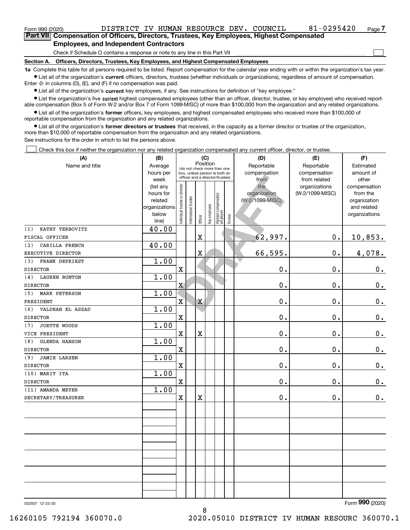| Form 990 (2020)                               | DISTRICT IV HUMAN RESOURCE DEV. COUNCIL                                                    |  |  |  |  |  | 81-0295420 | Page 7 |  |  |  |
|-----------------------------------------------|--------------------------------------------------------------------------------------------|--|--|--|--|--|------------|--------|--|--|--|
|                                               | Part VII Compensation of Officers, Directors, Trustees, Key Employees, Highest Compensated |  |  |  |  |  |            |        |  |  |  |
| <b>Employees, and Independent Contractors</b> |                                                                                            |  |  |  |  |  |            |        |  |  |  |
|                                               | Check if Schedule O contains a response or note to any line in this Part VII               |  |  |  |  |  |            |        |  |  |  |

**Section A. Officers, Directors, Trustees, Key Employees, and Highest Compensated Employees**

**1a**  Complete this table for all persons required to be listed. Report compensation for the calendar year ending with or within the organization's tax year. **•** List all of the organization's current officers, directors, trustees (whether individuals or organizations), regardless of amount of compensation.

Enter -0- in columns (D), (E), and (F) if no compensation was paid.

 $\bullet$  List all of the organization's  $\,$ current key employees, if any. See instructions for definition of "key employee."

**•** List the organization's five current highest compensated employees (other than an officer, director, trustee, or key employee) who received reportable compensation (Box 5 of Form W-2 and/or Box 7 of Form 1099-MISC) of more than \$100,000 from the organization and any related organizations.

**•** List all of the organization's former officers, key employees, and highest compensated employees who received more than \$100,000 of reportable compensation from the organization and any related organizations.

**former directors or trustees**  ¥ List all of the organization's that received, in the capacity as a former director or trustee of the organization, more than \$10,000 of reportable compensation from the organization and any related organizations.

See instructions for the order in which to list the persons above.

Check this box if neither the organization nor any related organization compensated any current officer, director, or trustee.  $\mathcal{L}^{\text{max}}$ 

| (A)                         | (B)               |                                |                       |                         | (C)          |                                                                  |        | (D)                  | (E)                          | (F)                |
|-----------------------------|-------------------|--------------------------------|-----------------------|-------------------------|--------------|------------------------------------------------------------------|--------|----------------------|------------------------------|--------------------|
| Name and title              | Average           |                                |                       | Position                |              | (do not check more than one                                      |        | Reportable           | Reportable                   | Estimated          |
|                             | hours per<br>week |                                |                       |                         |              | box, unless person is both an<br>officer and a director/trustee) |        | compensation<br>from | compensation<br>from related | amount of<br>other |
|                             | (list any         |                                |                       |                         |              |                                                                  |        | the                  | organizations                | compensation       |
|                             | hours for         |                                |                       |                         |              |                                                                  |        | organization         | (W-2/1099-MISC)              | from the           |
|                             | related           |                                |                       |                         |              |                                                                  |        | (W-2/1099-MISC)      |                              | organization       |
|                             | organizations     |                                |                       |                         |              |                                                                  |        |                      |                              | and related        |
|                             | below             | Individual trustee or director | Institutional trustee | Officer                 | Key employee | Highest compensated<br>  employee                                | Former |                      |                              | organizations      |
| KATHY TERBOVITZ<br>(1)      | line)<br>40.00    |                                |                       |                         |              |                                                                  |        |                      |                              |                    |
| FISCAL OFFICER              |                   |                                |                       | $\mathbf X$             |              |                                                                  |        | 62,997.              | $0$ .                        | 10,853.            |
| CARILLA FRENCH<br>(2)       | 40.00             |                                |                       |                         |              |                                                                  |        |                      |                              |                    |
| EXECUTIVE DIRECTOR          |                   |                                |                       | $\overline{\textbf{X}}$ |              |                                                                  |        | 66,595.              | 0.                           | 4,078.             |
| FRANK DEPRIEST<br>(3)       | 1.00              |                                |                       |                         |              |                                                                  |        |                      |                              |                    |
| <b>DIRECTOR</b>             |                   | X                              |                       |                         |              |                                                                  |        | $\mathbf 0$ .        | 0.                           | $0_{\cdot}$        |
| (4)<br><b>LAUREN BUNTON</b> | 1.00              |                                |                       |                         |              |                                                                  |        |                      |                              |                    |
| <b>DIRECTOR</b>             |                   | $\mathbf X$                    |                       |                         |              |                                                                  |        | $0$ .                | 0.                           | $0_{.}$            |
| <b>MARK PETERSON</b><br>(5) | 1.00              |                                |                       |                         |              |                                                                  |        |                      |                              |                    |
| PRESIDENT                   |                   | $\mathbf{x}$                   |                       | $\mathbf X$             |              |                                                                  |        | $\mathbf 0$ .        | 0.                           | $0_{.}$            |
| (6)<br>VALDEAN EL ASSAD     | 1.00              |                                |                       |                         |              |                                                                  |        |                      |                              |                    |
| <b>DIRECTOR</b>             |                   | $\mathbf X$                    |                       |                         |              |                                                                  |        | $\mathbf 0$ .        | 0.                           | $0_{.}$            |
| JOETTE WOODS<br>(7)         | 1.00              |                                |                       |                         |              |                                                                  |        |                      |                              |                    |
| VICE PRESIDENT              |                   | $\mathbf X$                    |                       | $\overline{\textbf{X}}$ |              |                                                                  |        | 0.                   | 0.                           | $\mathbf 0$ .      |
| <b>GLENDA HANSON</b><br>(8) | 1.00              |                                |                       |                         |              |                                                                  |        |                      |                              |                    |
| <b>DIRECTOR</b>             |                   | $\mathbf X$                    |                       |                         |              |                                                                  |        | $\mathbf 0$ .        | 0.                           | $\mathbf 0$ .      |
| <b>JAMIE LARSEN</b><br>(9)  | 1.00              |                                |                       |                         |              |                                                                  |        |                      |                              |                    |
| <b>DIRECTOR</b>             |                   | $\mathbf X$                    |                       |                         |              |                                                                  |        | 0.                   | 0.                           | $\mathbf 0$ .      |
| (10) MARIT ITA              | 1.00              |                                |                       |                         |              |                                                                  |        |                      |                              |                    |
| <b>DIRECTOR</b>             |                   | $\mathbf X$                    |                       |                         |              |                                                                  |        | 0.                   | 0.                           | 0.                 |
| (11) AMANDA MEYER           | 1.00              |                                |                       |                         |              |                                                                  |        |                      |                              |                    |
| SECRETARY/TREASURER         |                   | $\mathbf X$                    |                       | $\mathbf X$             |              |                                                                  |        | 0.                   | 0.                           | 0.                 |
|                             |                   |                                |                       |                         |              |                                                                  |        |                      |                              |                    |
|                             |                   |                                |                       |                         |              |                                                                  |        |                      |                              |                    |
|                             |                   |                                |                       |                         |              |                                                                  |        |                      |                              |                    |
|                             |                   |                                |                       |                         |              |                                                                  |        |                      |                              |                    |
|                             |                   |                                |                       |                         |              |                                                                  |        |                      |                              |                    |
|                             |                   |                                |                       |                         |              |                                                                  |        |                      |                              |                    |
|                             |                   |                                |                       |                         |              |                                                                  |        |                      |                              |                    |
|                             |                   |                                |                       |                         |              |                                                                  |        |                      |                              |                    |
|                             |                   |                                |                       |                         |              |                                                                  |        |                      |                              |                    |
|                             |                   |                                |                       |                         |              |                                                                  |        |                      |                              |                    |

8

032007 12-23-20

Form (2020) **990**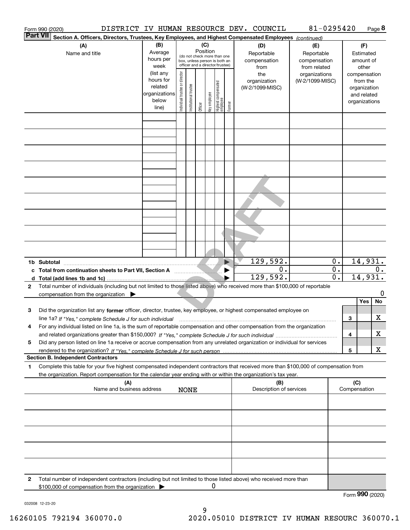|                                                                     | Form 990 (2020)                                                                                                                                                                                                                                                               |                                                                      |                                                                                                                    |                            |         |              |                                 |                            | DISTRICT IV HUMAN RESOURCE DEV. COUNCIL                                                        | 81-0295420                       |                                          |                                        |                                                                          | Page 8 |
|---------------------------------------------------------------------|-------------------------------------------------------------------------------------------------------------------------------------------------------------------------------------------------------------------------------------------------------------------------------|----------------------------------------------------------------------|--------------------------------------------------------------------------------------------------------------------|----------------------------|---------|--------------|---------------------------------|----------------------------|------------------------------------------------------------------------------------------------|----------------------------------|------------------------------------------|----------------------------------------|--------------------------------------------------------------------------|--------|
|                                                                     | Part VII<br>Section A. Officers, Directors, Trustees, Key Employees, and Highest Compensated Employees (continued)                                                                                                                                                            |                                                                      |                                                                                                                    |                            |         |              |                                 |                            |                                                                                                |                                  |                                          |                                        |                                                                          |        |
|                                                                     | (A)<br>Name and title                                                                                                                                                                                                                                                         | (B)<br>Average<br>hours per<br>week                                  | (C)<br>Position<br>(do not check more than one<br>box, unless person is both an<br>officer and a director/trustee) |                            |         |              |                                 |                            | (D)<br>(E)<br>Reportable<br>Reportable<br>compensation<br>compensation<br>from related<br>from |                                  |                                          | (F)<br>Estimated<br>amount of<br>other |                                                                          |        |
|                                                                     |                                                                                                                                                                                                                                                                               | (list any<br>hours for<br>related<br>organizations<br>below<br>line) | Individual trustee or director                                                                                     | trustee<br>Institutional t | Officer | Key employee | Highest compensated<br>employee | Former                     | the<br>organization<br>(W-2/1099-MISC)                                                         | organizations<br>(W-2/1099-MISC) |                                          |                                        | compensation<br>from the<br>organization<br>and related<br>organizations |        |
|                                                                     |                                                                                                                                                                                                                                                                               |                                                                      |                                                                                                                    |                            |         |              |                                 |                            |                                                                                                |                                  |                                          |                                        |                                                                          |        |
|                                                                     |                                                                                                                                                                                                                                                                               |                                                                      |                                                                                                                    |                            |         |              |                                 |                            |                                                                                                |                                  |                                          |                                        |                                                                          |        |
|                                                                     |                                                                                                                                                                                                                                                                               |                                                                      |                                                                                                                    |                            |         |              |                                 |                            |                                                                                                |                                  |                                          |                                        |                                                                          |        |
|                                                                     |                                                                                                                                                                                                                                                                               |                                                                      |                                                                                                                    |                            |         |              |                                 |                            |                                                                                                |                                  |                                          |                                        |                                                                          |        |
|                                                                     |                                                                                                                                                                                                                                                                               |                                                                      |                                                                                                                    |                            |         |              |                                 |                            |                                                                                                |                                  |                                          |                                        |                                                                          |        |
|                                                                     |                                                                                                                                                                                                                                                                               |                                                                      |                                                                                                                    |                            |         |              |                                 |                            |                                                                                                |                                  |                                          |                                        |                                                                          |        |
|                                                                     |                                                                                                                                                                                                                                                                               |                                                                      |                                                                                                                    |                            |         |              |                                 |                            |                                                                                                |                                  |                                          |                                        |                                                                          |        |
|                                                                     | 1b Subtotal<br>c Total from continuation sheets to Part VII, Section A                                                                                                                                                                                                        |                                                                      |                                                                                                                    |                            |         |              |                                 | $\blacktriangleright$<br>▶ | 129,592.<br>О.<br>129,592.                                                                     |                                  | 0.<br>$\mathbf{0}$ .<br>$\overline{0}$ . |                                        | 14,931.<br>14,931.                                                       | $0$ .  |
| 2                                                                   | Total number of individuals (including but not limited to those listed above) who received more than \$100,000 of reportable<br>compensation from the organization $\blacktriangleright$                                                                                      |                                                                      |                                                                                                                    |                            |         |              |                                 |                            |                                                                                                |                                  |                                          |                                        |                                                                          | 0      |
| з                                                                   | Did the organization list any former officer, director, trustee, key employee, or highest compensated employee on                                                                                                                                                             |                                                                      |                                                                                                                    |                            |         |              |                                 |                            |                                                                                                |                                  |                                          |                                        | Yes                                                                      | No     |
| 4                                                                   | line 1a? If "Yes," complete Schedule J for such individual material content content to the content of the complete schedule J for such individual<br>For any individual listed on line 1a, is the sum of reportable compensation and other compensation from the organization |                                                                      |                                                                                                                    |                            |         |              |                                 |                            |                                                                                                |                                  |                                          | З<br>4                                 |                                                                          | x<br>x |
| 5                                                                   | Did any person listed on line 1a receive or accrue compensation from any unrelated organization or individual for services                                                                                                                                                    |                                                                      |                                                                                                                    |                            |         |              |                                 |                            |                                                                                                |                                  |                                          | 5                                      |                                                                          | x      |
|                                                                     | <b>Section B. Independent Contractors</b>                                                                                                                                                                                                                                     |                                                                      |                                                                                                                    |                            |         |              |                                 |                            |                                                                                                |                                  |                                          |                                        |                                                                          |        |
| 1                                                                   | Complete this table for your five highest compensated independent contractors that received more than \$100,000 of compensation from<br>the organization. Report compensation for the calendar year ending with or within the organization's tax year.<br>(A)                 |                                                                      |                                                                                                                    |                            |         |              |                                 |                            | (B)                                                                                            |                                  |                                          | (C)                                    |                                                                          |        |
| Name and business address<br>Description of services<br><b>NONE</b> |                                                                                                                                                                                                                                                                               |                                                                      |                                                                                                                    |                            |         |              |                                 |                            |                                                                                                | Compensation                     |                                          |                                        |                                                                          |        |
|                                                                     |                                                                                                                                                                                                                                                                               |                                                                      |                                                                                                                    |                            |         |              |                                 |                            |                                                                                                |                                  |                                          |                                        |                                                                          |        |
|                                                                     |                                                                                                                                                                                                                                                                               |                                                                      |                                                                                                                    |                            |         |              |                                 |                            |                                                                                                |                                  |                                          |                                        |                                                                          |        |
|                                                                     |                                                                                                                                                                                                                                                                               |                                                                      |                                                                                                                    |                            |         |              |                                 |                            |                                                                                                |                                  |                                          |                                        |                                                                          |        |
| 2                                                                   | Total number of independent contractors (including but not limited to those listed above) who received more than<br>\$100,000 of compensation from the organization                                                                                                           |                                                                      |                                                                                                                    |                            |         | 0            |                                 |                            |                                                                                                |                                  |                                          |                                        |                                                                          |        |
|                                                                     |                                                                                                                                                                                                                                                                               |                                                                      |                                                                                                                    |                            |         |              |                                 |                            |                                                                                                |                                  |                                          | Form 990 (2020)                        |                                                                          |        |

032008 12-23-20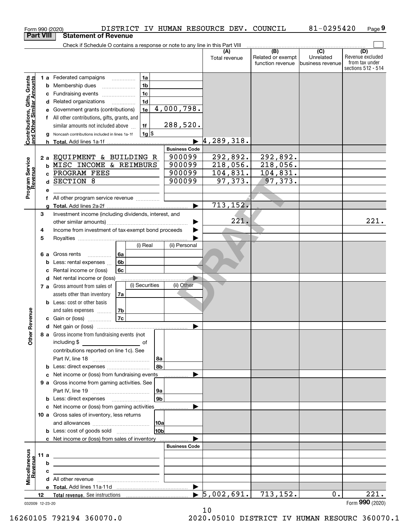|                                                           |      |   | Form 990 (2020)                                                                                                        |                |         |                      | DISTRICT IV HUMAN RESOURCE DEV. COUNCIL |                                              | 81-0295420                                        | Page 9                                                          |
|-----------------------------------------------------------|------|---|------------------------------------------------------------------------------------------------------------------------|----------------|---------|----------------------|-----------------------------------------|----------------------------------------------|---------------------------------------------------|-----------------------------------------------------------------|
| <b>Part VIII</b>                                          |      |   | <b>Statement of Revenue</b>                                                                                            |                |         |                      |                                         |                                              |                                                   |                                                                 |
|                                                           |      |   | Check if Schedule O contains a response or note to any line in this Part VIII                                          |                |         |                      |                                         |                                              |                                                   |                                                                 |
|                                                           |      |   |                                                                                                                        |                |         |                      | (A)<br>Total revenue                    | (B)<br>Related or exempt<br>function revenue | $\overline{(C)}$<br>Unrelated<br>business revenue | (D)<br>Revenue excluded<br>from tax under<br>sections 512 - 514 |
|                                                           |      |   | 1 a Federated campaigns                                                                                                | 1a             |         |                      |                                         |                                              |                                                   |                                                                 |
| Contributions, Gifts, Grants<br>and Other Similar Amounts |      |   | <b>b</b> Membership dues<br>$\ldots \ldots \ldots \ldots \ldots$                                                       | 1 <sub>b</sub> |         |                      |                                         |                                              |                                                   |                                                                 |
|                                                           |      |   | c Fundraising events                                                                                                   | 1 <sub>c</sub> |         |                      |                                         |                                              |                                                   |                                                                 |
|                                                           |      |   | d Related organizations                                                                                                | 1 <sub>d</sub> |         |                      |                                         |                                              |                                                   |                                                                 |
|                                                           |      |   | e Government grants (contributions)                                                                                    | 1e             |         | 4,000,798.           |                                         |                                              |                                                   |                                                                 |
|                                                           |      |   | f All other contributions, gifts, grants, and                                                                          |                |         |                      |                                         |                                              |                                                   |                                                                 |
|                                                           |      |   | similar amounts not included above                                                                                     | 1f             |         | 288,520.             |                                         |                                              |                                                   |                                                                 |
|                                                           |      |   | g Noncash contributions included in lines 1a-1f                                                                        |                | $1g$ \$ |                      |                                         |                                              |                                                   |                                                                 |
|                                                           |      |   | <b>h</b> Total. Add lines 1a-1f                                                                                        |                |         |                      | 4, 289, 318.                            |                                              |                                                   |                                                                 |
|                                                           |      |   |                                                                                                                        |                |         | <b>Business Code</b> |                                         |                                              |                                                   |                                                                 |
|                                                           |      |   | 2 a EQUIPMENT & BUILDING R                                                                                             |                |         | 900099               | 292,892.                                | 292,892.                                     |                                                   |                                                                 |
| Program Service<br>Revenue                                |      |   | <b>b MISC INCOME &amp; REIMBURS</b>                                                                                    |                |         | 900099               | 218,056.                                | 218,056.                                     |                                                   |                                                                 |
|                                                           |      |   | c PROGRAM FEES                                                                                                         |                |         | 900099               | 104,831.                                | 104,831.                                     |                                                   |                                                                 |
|                                                           |      |   | d SECTION 8                                                                                                            |                |         | 900099               | 97, 373.                                | 97, 373.                                     |                                                   |                                                                 |
|                                                           |      | е |                                                                                                                        |                |         |                      |                                         |                                              |                                                   |                                                                 |
|                                                           |      | f | All other program service revenue                                                                                      |                |         |                      |                                         |                                              |                                                   |                                                                 |
|                                                           |      | a |                                                                                                                        |                |         |                      | 713, 152.                               |                                              |                                                   |                                                                 |
|                                                           | 3    |   | Investment income (including dividends, interest, and                                                                  |                |         |                      |                                         |                                              |                                                   |                                                                 |
|                                                           |      |   |                                                                                                                        |                |         |                      | 221.                                    |                                              |                                                   | 221.                                                            |
|                                                           | 4    |   | Income from investment of tax-exempt bond proceeds                                                                     |                |         |                      |                                         |                                              |                                                   |                                                                 |
|                                                           | 5    |   |                                                                                                                        |                |         |                      |                                         |                                              |                                                   |                                                                 |
|                                                           |      |   |                                                                                                                        | (i) Real       |         | (ii) Personal        |                                         |                                              |                                                   |                                                                 |
|                                                           |      |   | 6 a Gross rents<br>.                                                                                                   | 6а             |         |                      |                                         |                                              |                                                   |                                                                 |
|                                                           |      |   | <b>b</b> Less: rental expenses                                                                                         | 6 <sub>b</sub> |         |                      |                                         |                                              |                                                   |                                                                 |
|                                                           |      |   | c Rental income or (loss)                                                                                              | 6c             |         |                      |                                         |                                              |                                                   |                                                                 |
|                                                           |      |   | d Net rental income or (loss)                                                                                          |                |         |                      |                                         |                                              |                                                   |                                                                 |
|                                                           |      |   | 7 a Gross amount from sales of                                                                                         | (i) Securities |         | (ii) Other           |                                         |                                              |                                                   |                                                                 |
|                                                           |      |   | assets other than inventory                                                                                            | 7a             |         |                      |                                         |                                              |                                                   |                                                                 |
|                                                           |      |   | <b>b</b> Less: cost or other basis                                                                                     |                |         |                      |                                         |                                              |                                                   |                                                                 |
|                                                           |      |   | and sales expenses                                                                                                     | 7b             |         |                      |                                         |                                              |                                                   |                                                                 |
| evenue                                                    |      |   | c Gain or (loss)                                                                                                       | 7c             |         |                      |                                         |                                              |                                                   |                                                                 |
| Œ                                                         |      |   |                                                                                                                        |                |         |                      |                                         |                                              |                                                   |                                                                 |
| Other                                                     |      |   | 8 a Gross income from fundraising events (not<br>including \$<br><u>and the second second of</u>                       |                |         |                      |                                         |                                              |                                                   |                                                                 |
|                                                           |      |   | contributions reported on line 1c). See                                                                                |                |         |                      |                                         |                                              |                                                   |                                                                 |
|                                                           |      |   |                                                                                                                        |                | 8a      |                      |                                         |                                              |                                                   |                                                                 |
|                                                           |      |   | <b>b</b> Less: direct expenses <i></i>                                                                                 |                | 8b      |                      |                                         |                                              |                                                   |                                                                 |
|                                                           |      |   | c Net income or (loss) from fundraising events                                                                         |                |         |                      |                                         |                                              |                                                   |                                                                 |
|                                                           |      |   | 9 a Gross income from gaming activities. See                                                                           |                |         |                      |                                         |                                              |                                                   |                                                                 |
|                                                           |      |   |                                                                                                                        |                | 9а      |                      |                                         |                                              |                                                   |                                                                 |
|                                                           |      |   | <b>b</b> Less: direct expenses <b>manually</b>                                                                         |                | 9b      |                      |                                         |                                              |                                                   |                                                                 |
|                                                           |      |   | c Net income or (loss) from gaming activities                                                                          |                |         | .                    |                                         |                                              |                                                   |                                                                 |
|                                                           |      |   | 10 a Gross sales of inventory, less returns                                                                            |                |         |                      |                                         |                                              |                                                   |                                                                 |
|                                                           |      |   |                                                                                                                        |                | 10a     |                      |                                         |                                              |                                                   |                                                                 |
|                                                           |      |   | <b>b</b> Less: cost of goods sold                                                                                      |                | 10b     |                      |                                         |                                              |                                                   |                                                                 |
|                                                           |      |   | c Net income or (loss) from sales of inventory                                                                         |                |         |                      |                                         |                                              |                                                   |                                                                 |
|                                                           |      |   |                                                                                                                        |                |         | <b>Business Code</b> |                                         |                                              |                                                   |                                                                 |
|                                                           | 11 a |   | <u> 1980 - Johann John Stein, marwolaeth a bhann an t-Amhainn an t-Amhainn an t-Amhainn an t-Amhainn an t-Amhainn </u> |                |         |                      |                                         |                                              |                                                   |                                                                 |
|                                                           |      | b | <u> 1989 - Johann Stein, marwolaethau a bhann an t-Amhainn an t-Amhainn an t-Amhainn an t-Amhainn an t-Amhainn a</u>   |                |         |                      |                                         |                                              |                                                   |                                                                 |
|                                                           |      | c | <u> 1989 - Johann Barbara, martxa alemaniar arg</u>                                                                    |                |         |                      |                                         |                                              |                                                   |                                                                 |
| Miscellaneous<br>Revenue                                  |      |   |                                                                                                                        |                |         |                      |                                         |                                              |                                                   |                                                                 |
|                                                           |      |   |                                                                                                                        |                |         | ▶                    |                                         |                                              |                                                   |                                                                 |
|                                                           | 12   |   |                                                                                                                        |                |         |                      | $\blacktriangleright$ 5,002,691.        | 713,152.                                     | 0.                                                | $\overline{221}$ .                                              |
| 032009 12-23-20                                           |      |   |                                                                                                                        |                |         |                      |                                         |                                              |                                                   | Form 990 (2020)                                                 |

032009 12-23-20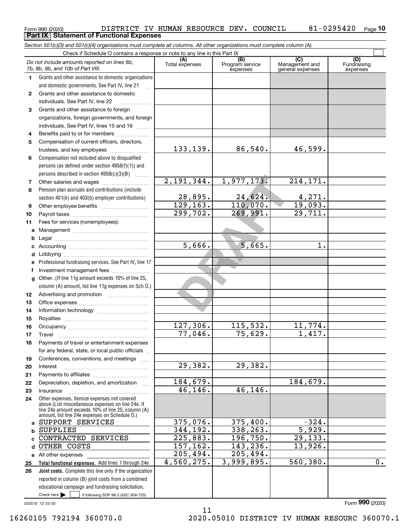|          | Section 501(c)(3) and 501(c)(4) organizations must complete all columns. All other organizations must complete column (A).<br>Check if Schedule O contains a response or note to any line in this Part IX |                          |                                    |                                           |                                |
|----------|-----------------------------------------------------------------------------------------------------------------------------------------------------------------------------------------------------------|--------------------------|------------------------------------|-------------------------------------------|--------------------------------|
|          | Do not include amounts reported on lines 6b,<br>7b, 8b, 9b, and 10b of Part VIII.                                                                                                                         | (A)<br>Total expenses    | (B)<br>Program service<br>expenses | (C)<br>Management and<br>general expenses | (D)<br>Fundraising<br>expenses |
| 1        | Grants and other assistance to domestic organizations                                                                                                                                                     |                          |                                    |                                           |                                |
|          | and domestic governments. See Part IV, line 21                                                                                                                                                            |                          |                                    |                                           |                                |
| 2        | Grants and other assistance to domestic                                                                                                                                                                   |                          |                                    |                                           |                                |
|          | individuals. See Part IV, line 22                                                                                                                                                                         |                          |                                    |                                           |                                |
| 3        | Grants and other assistance to foreign                                                                                                                                                                    |                          |                                    |                                           |                                |
|          | organizations, foreign governments, and foreign                                                                                                                                                           |                          |                                    |                                           |                                |
|          | individuals. See Part IV, lines 15 and 16                                                                                                                                                                 |                          |                                    |                                           |                                |
| 4        | Benefits paid to or for members                                                                                                                                                                           |                          |                                    |                                           |                                |
| 5        | Compensation of current officers, directors,                                                                                                                                                              |                          |                                    |                                           |                                |
|          | trustees, and key employees                                                                                                                                                                               | 133, 139.                | 86,540.                            | 46,599.                                   |                                |
| 6        | Compensation not included above to disqualified                                                                                                                                                           |                          |                                    |                                           |                                |
|          | persons (as defined under section 4958(f)(1)) and                                                                                                                                                         |                          |                                    |                                           |                                |
|          | persons described in section 4958(c)(3)(B)                                                                                                                                                                | 2,191,344.               | 1,977,173.                         | 214,171.                                  |                                |
| 7<br>8   | Other salaries and wages<br>Pension plan accruals and contributions (include                                                                                                                              |                          |                                    |                                           |                                |
|          | section 401(k) and 403(b) employer contributions)                                                                                                                                                         |                          | 24,624.                            |                                           |                                |
| 9        |                                                                                                                                                                                                           | $\frac{28,895}{129,163}$ | 110,070.                           | $\frac{4,271}{19,093}$ .                  |                                |
| 10       |                                                                                                                                                                                                           | 299,702.                 | 269,991.                           | 29,711.                                   |                                |
| 11       | Fees for services (nonemployees):                                                                                                                                                                         |                          |                                    |                                           |                                |
| a        |                                                                                                                                                                                                           |                          |                                    |                                           |                                |
|          |                                                                                                                                                                                                           |                          |                                    |                                           |                                |
|          |                                                                                                                                                                                                           | 5,666.                   | 5,665.                             | 1.                                        |                                |
|          |                                                                                                                                                                                                           |                          |                                    |                                           |                                |
| е        | Professional fundraising services. See Part IV, line 17                                                                                                                                                   |                          |                                    |                                           |                                |
| f        | Investment management fees                                                                                                                                                                                |                          |                                    |                                           |                                |
| g        | Other. (If line 11g amount exceeds 10% of line 25,                                                                                                                                                        |                          |                                    |                                           |                                |
|          | column (A) amount, list line 11g expenses on Sch 0.)                                                                                                                                                      |                          |                                    |                                           |                                |
| 12       |                                                                                                                                                                                                           |                          |                                    |                                           |                                |
| 13       |                                                                                                                                                                                                           |                          |                                    |                                           |                                |
| 14       |                                                                                                                                                                                                           |                          |                                    |                                           |                                |
| 15       |                                                                                                                                                                                                           |                          |                                    |                                           |                                |
| 16       |                                                                                                                                                                                                           | 127,306.                 | 115,532.                           | 11,774.                                   |                                |
| 17       |                                                                                                                                                                                                           | 77,046.                  | 75,629.                            | 417.                                      |                                |
| 18       | Payments of travel or entertainment expenses                                                                                                                                                              |                          |                                    |                                           |                                |
|          | for any federal, state, or local public officials                                                                                                                                                         |                          |                                    |                                           |                                |
| 19       | Conferences, conventions, and meetings                                                                                                                                                                    | 29,382.                  | 29,382.                            |                                           |                                |
| 20<br>21 | Interest                                                                                                                                                                                                  |                          |                                    |                                           |                                |
| 22       | Depreciation, depletion, and amortization                                                                                                                                                                 | 184,679.                 |                                    | 184,679.                                  |                                |
| 23       | Insurance                                                                                                                                                                                                 | 46,146.                  | 46,146.                            |                                           |                                |
| 24       | Other expenses. Itemize expenses not covered                                                                                                                                                              |                          |                                    |                                           |                                |
|          | above (List miscellaneous expenses on line 24e. If<br>line 24e amount exceeds 10% of line 25, column (A)                                                                                                  |                          |                                    |                                           |                                |
|          | amount, list line 24e expenses on Schedule O.)                                                                                                                                                            |                          |                                    |                                           |                                |
| a        | SUPPORT SERVICES                                                                                                                                                                                          | 375,076.                 | 375,400.                           | $-324.$                                   |                                |
| b        | <b>SUPPLIES</b>                                                                                                                                                                                           | 344,192.                 | 338,263.                           | 5,929.                                    |                                |
| c        | CONTRACTED SERVICES                                                                                                                                                                                       | 225,883.                 | 196,750.                           | 29, 133.                                  |                                |
| d        | OTHER COSTS                                                                                                                                                                                               | 157, 162.                | 143,236.                           | 13,926.                                   |                                |
|          | e All other expenses                                                                                                                                                                                      | 205,494.                 | $\overline{205}$ , 494.            |                                           |                                |
| 25       | Total functional expenses. Add lines 1 through 24e                                                                                                                                                        | 4,560,275.               | 3,999,895.                         | 560,380.                                  | 0.                             |
| 26       | Joint costs. Complete this line only if the organization                                                                                                                                                  |                          |                                    |                                           |                                |
|          | reported in column (B) joint costs from a combined                                                                                                                                                        |                          |                                    |                                           |                                |
|          | educational campaign and fundraising solicitation.                                                                                                                                                        |                          |                                    |                                           |                                |
|          | Check here $\blacktriangleright$<br>if following SOP 98-2 (ASC 958-720)                                                                                                                                   |                          |                                    |                                           |                                |

11

 $_{\rm Form}$   $_{990}$  (2020)  $_{\rm Page}$  DISTRICT IV HUMAN RESOURCE DEV. COUNCIL  $_{\rm 81-0295420}$   $_{\rm Page}$ 

**Part IX Statement of Functional Expenses**

032010 12-23-20

Form (2020) **990**

**10**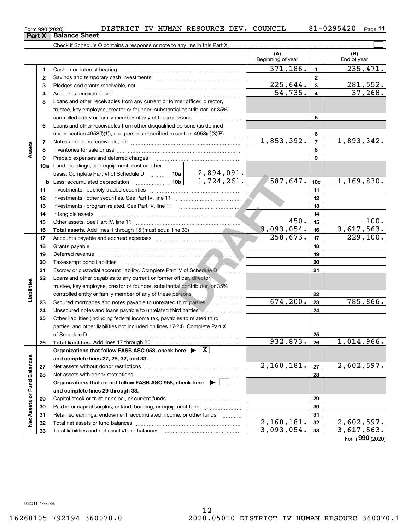|                             | 4  |                                                                                            |                        |                                 | 54,735.           | $\overline{\mathbf{4}}$ | 37,268.    |
|-----------------------------|----|--------------------------------------------------------------------------------------------|------------------------|---------------------------------|-------------------|-------------------------|------------|
|                             | 5  | Loans and other receivables from any current or former officer, director,                  |                        |                                 |                   |                         |            |
|                             |    | trustee, key employee, creator or founder, substantial contributor, or 35%                 |                        |                                 |                   |                         |            |
|                             |    | controlled entity or family member of any of these persons                                 |                        |                                 |                   | 5                       |            |
|                             | 6  | Loans and other receivables from other disqualified persons (as defined                    |                        |                                 |                   |                         |            |
|                             |    | under section $4958(f)(1)$ , and persons described in section $4958(c)(3)(B)$              |                        | $\ldots$                        |                   | 6                       |            |
|                             | 7  |                                                                                            |                        |                                 | 1,853,392.        | $\overline{7}$          | 1,893,342. |
| Assets                      | 8  |                                                                                            |                        |                                 |                   | 8                       |            |
|                             | 9  | Prepaid expenses and deferred charges                                                      |                        |                                 |                   | 9                       |            |
|                             |    | <b>10a</b> Land, buildings, and equipment: cost or other                                   |                        |                                 |                   |                         |            |
|                             |    | basis. Complete Part VI of Schedule D  10a                                                 |                        | $\frac{2,894,091.}{1,724,261.}$ |                   |                         |            |
|                             |    | <u>  10b</u>  <br><b>b</b> Less: accumulated depreciation                                  |                        |                                 | 587,647.          | 10 <sub>c</sub>         | 1,169,830. |
|                             | 11 |                                                                                            |                        |                                 |                   | 11                      |            |
|                             | 12 |                                                                                            |                        |                                 | 12                |                         |            |
|                             | 13 | Investments - program-related. See Part IV, line 11                                        |                        |                                 |                   | 13                      |            |
|                             | 14 |                                                                                            |                        | 14                              |                   |                         |            |
|                             | 15 |                                                                                            | 450.                   | 15                              | $\overline{1}00.$ |                         |            |
|                             | 16 |                                                                                            |                        |                                 | 3,093,054.        | 16                      | 3,617,563. |
|                             | 17 |                                                                                            | $\overline{258,673}$ . | 17                              | 229,100.          |                         |            |
|                             | 18 |                                                                                            |                        |                                 |                   | 18                      |            |
|                             | 19 |                                                                                            |                        |                                 |                   | 19                      |            |
|                             | 20 |                                                                                            |                        |                                 |                   | 20                      |            |
|                             | 21 | Escrow or custodial account liability. Complete Part IV of Schedule D                      |                        | 21                              |                   |                         |            |
|                             | 22 | Loans and other payables to any current or former officer, director,                       |                        |                                 |                   |                         |            |
| Liabilities                 |    | trustee, key employee, creator or founder, substantial contributor, or 35%                 |                        |                                 |                   |                         |            |
|                             |    | controlled entity or family member of any of these persons                                 |                        |                                 | 22                |                         |            |
|                             | 23 | Secured mortgages and notes payable to unrelated third parties                             |                        |                                 | 674, 200.         | 23                      | 785, 866.  |
|                             | 24 | Unsecured notes and loans payable to unrelated third parties                               |                        |                                 |                   | 24                      |            |
|                             | 25 | Other liabilities (including federal income tax, payables to related third                 |                        |                                 |                   |                         |            |
|                             |    | parties, and other liabilities not included on lines 17-24). Complete Part X               |                        |                                 |                   |                         |            |
|                             |    | of Schedule D                                                                              |                        |                                 |                   | 25                      |            |
|                             | 26 | Total liabilities. Add lines 17 through 25                                                 |                        |                                 | 932,873.          | 26                      | 1,014,966. |
|                             |    | Organizations that follow FASB ASC 958, check here $\blacktriangleright \lfloor X \rfloor$ |                        |                                 |                   |                         |            |
|                             |    | and complete lines 27, 28, 32, and 33.                                                     |                        |                                 |                   |                         |            |
|                             | 27 |                                                                                            |                        |                                 | 2,160,181.        | 27                      | 2,602,597. |
|                             | 28 |                                                                                            |                        |                                 |                   | 28                      |            |
|                             |    | Organizations that do not follow FASB ASC 958, check here $\blacktriangleright$            |                        |                                 |                   |                         |            |
|                             |    | and complete lines 29 through 33.                                                          |                        |                                 |                   |                         |            |
| Net Assets or Fund Balances | 29 |                                                                                            |                        |                                 | 29                |                         |            |
|                             | 30 | Paid-in or capital surplus, or land, building, or equipment fund <i></i>                   |                        |                                 | 30                |                         |            |
|                             | 31 | Retained earnings, endowment, accumulated income, or other funds                           | .                      |                                 | 31                |                         |            |
|                             | 32 |                                                                                            |                        |                                 | 2,160,181.        | 32                      | 2,602,597. |
|                             | 33 |                                                                                            |                        |                                 | 3,093,054.        | 33                      | 3,617,563. |

 $_{\rm Form}$   $_{990}$  (2020)  $_{\rm Page}$  DISTRICT IV HUMAN RESOURCE DEV. COUNCIL  $_{\rm 81-0295420}$   $_{\rm Page}$ 

Form (2020) **990**

**Part X** | Balance Sheet

Check if Schedule O contains a response or note to any line in this Part X

Cash - non-interest-bearing ~~~~~~~~~~~~~~~~~~~~~~~~~ Savings and temporary cash investments ~~~~~~~~~~~~~~~~~~ Pledges and grants receivable, net ~~~~~~~~~~~~~~~~~~~~~

**123**

(B)<br>End of year

**11**

 $\mathcal{L}^{\text{max}}$ 

**(A) (B)**

Beginning of year | | End of year

**123**

 $371, 186.$  1 235, 471.

 $225,644.$  3  $281,552$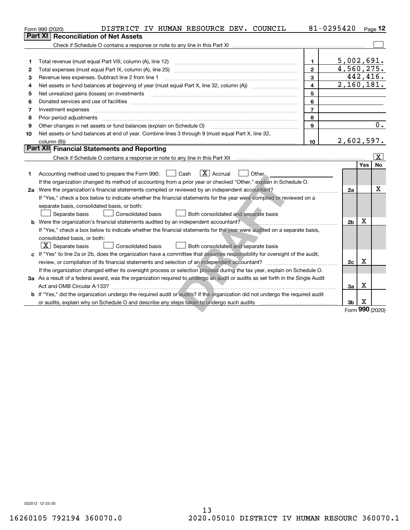|    | DISTRICT IV HUMAN RESOURCE DEV. COUNCIL<br>Form 990 (2020)                                                                                                                                                                     | 81-0295420              |                          |          | $_{\text{Page}}$ 12 |
|----|--------------------------------------------------------------------------------------------------------------------------------------------------------------------------------------------------------------------------------|-------------------------|--------------------------|----------|---------------------|
|    | <b>Reconciliation of Net Assets</b><br>Part XI                                                                                                                                                                                 |                         |                          |          |                     |
|    |                                                                                                                                                                                                                                |                         |                          |          |                     |
|    |                                                                                                                                                                                                                                |                         |                          |          |                     |
| 1  | Total revenue (must equal Part VIII, column (A), line 12)                                                                                                                                                                      | 1.                      | 5,002,691.               |          |                     |
| 2  |                                                                                                                                                                                                                                | $\mathbf{2}$            | 4,560,275.               |          |                     |
| 3  | Revenue less expenses. Subtract line 2 from line 1                                                                                                                                                                             | 3                       |                          | 442,416. |                     |
| 4  |                                                                                                                                                                                                                                | $\overline{\mathbf{4}}$ | $\overline{2,160,181}$ . |          |                     |
| 5  |                                                                                                                                                                                                                                | 5                       |                          |          |                     |
| 6  | Donated services and use of facilities [111] matter contracts and the facilities in the matter of facilities [11] matter contracts and use of facilities [11] matter contracts and the service of the service of the service o | 6                       |                          |          |                     |
| 7  |                                                                                                                                                                                                                                | $\overline{7}$          |                          |          |                     |
| 8  | Prior period adjustments www.communication.communication.com/news/communication.com/news/communication.com/new                                                                                                                 | 8                       |                          |          |                     |
| 9  | Other changes in net assets or fund balances (explain on Schedule O)                                                                                                                                                           | 9                       |                          |          | 0.                  |
| 10 | Net assets or fund balances at end of year. Combine lines 3 through 9 (must equal Part X, line 32,                                                                                                                             |                         |                          |          |                     |
|    |                                                                                                                                                                                                                                | 10                      | 2,602,597.               |          |                     |
|    | <b>Part XII</b> Financial Statements and Reporting                                                                                                                                                                             |                         |                          |          |                     |
|    |                                                                                                                                                                                                                                |                         |                          |          | $\lfloor x \rfloor$ |
| 1  | $ X $ Accrual<br>Accounting method used to prepare the Form 990: <u>June</u> Cash<br>Other.<br>If the organization changed its method of accounting from a prior year or checked "Other," explain in Schedule O.               |                         |                          | Yes      | No                  |
|    | 2a Were the organization's financial statements compiled or reviewed by an independent accountant?                                                                                                                             |                         | 2a                       |          | x                   |
|    | If "Yes," check a box below to indicate whether the financial statements for the year were compiled or reviewed on a                                                                                                           |                         |                          |          |                     |
|    | separate basis, consolidated basis, or both:                                                                                                                                                                                   |                         |                          |          |                     |
|    | Consolidated basis<br>Both consolidated and separate basis<br>Separate basis                                                                                                                                                   |                         |                          |          |                     |
|    | <b>b</b> Were the organization's financial statements audited by an independent accountant?                                                                                                                                    |                         | 2 <sub>b</sub>           | х        |                     |
|    | If "Yes," check a box below to indicate whether the financial statements for the year were audited on a separate basis,                                                                                                        |                         |                          |          |                     |
|    | consolidated basis, or both:                                                                                                                                                                                                   |                         |                          |          |                     |
|    | $ \mathbf{X} $ Separate basis<br><b>Consolidated basis</b><br>Both consolidated and separate basis                                                                                                                             |                         |                          |          |                     |
|    | c If "Yes" to line 2a or 2b, does the organization have a committee that assumes responsibility for oversight of the audit,                                                                                                    |                         |                          |          |                     |
|    | review, or compilation of its financial statements and selection of an independent accountant?                                                                                                                                 |                         | 2c                       | х        |                     |
|    | If the organization changed either its oversight process or selection process during the tax year, explain on Schedule O.                                                                                                      |                         |                          |          |                     |
|    | 3a As a result of a federal award, was the organization required to undergo an audit or audits as set forth in the Single Audit                                                                                                |                         |                          |          |                     |
|    |                                                                                                                                                                                                                                |                         | За                       | Х        |                     |
|    | b If "Yes," did the organization undergo the required audit or audits? If the organization did not undergo the required audit                                                                                                  |                         |                          |          |                     |
|    |                                                                                                                                                                                                                                |                         | 3 <sub>b</sub>           | x        |                     |
|    |                                                                                                                                                                                                                                |                         |                          |          | Form 990 (2020)     |

Form (2020) **990**

032012 12-23-20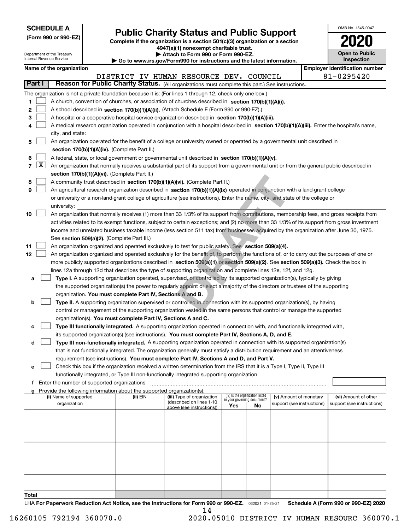| <b>SCHEDULE A</b> |
|-------------------|
|-------------------|

Department of the Treasury

| (Form 990 or 990-EZ) |  |  |  |  |  |
|----------------------|--|--|--|--|--|
|----------------------|--|--|--|--|--|

## **Public Charity Status and Public Support**

**Complete if the organization is a section 501(c)(3) organization or a section 4947(a)(1) nonexempt charitable trust. | Attach to Form 990 or Form 990-EZ.** 

| www.jrs.gov/Form990.for.jnstructions.and the latest information |
|-----------------------------------------------------------------|

| OMB No. 1545-0047                   |
|-------------------------------------|
| UZI                                 |
| <b>Open to Public</b><br>Inspection |
|                                     |

|                | oparanonico rano ni ododi<br>ach to I onli 930 or I onli 930-<br>Internal Revenue Service<br>Inspection<br>$\blacktriangleright$ Go to www.irs.gov/Form990 for instructions and the latest information. |                                                                                                                                                                                                                                                                                  |                                               |  |          |                                                                                                                                                                                                                                 |                             |                                 |                            |  |                                       |  |  |
|----------------|---------------------------------------------------------------------------------------------------------------------------------------------------------------------------------------------------------|----------------------------------------------------------------------------------------------------------------------------------------------------------------------------------------------------------------------------------------------------------------------------------|-----------------------------------------------|--|----------|---------------------------------------------------------------------------------------------------------------------------------------------------------------------------------------------------------------------------------|-----------------------------|---------------------------------|----------------------------|--|---------------------------------------|--|--|
|                |                                                                                                                                                                                                         | Name of the organization                                                                                                                                                                                                                                                         |                                               |  |          |                                                                                                                                                                                                                                 |                             |                                 |                            |  | <b>Employer identification number</b> |  |  |
|                |                                                                                                                                                                                                         |                                                                                                                                                                                                                                                                                  |                                               |  |          | DISTRICT IV HUMAN RESOURCE DEV. COUNCIL                                                                                                                                                                                         |                             |                                 |                            |  | 81-0295420                            |  |  |
| <b>Part I</b>  |                                                                                                                                                                                                         |                                                                                                                                                                                                                                                                                  |                                               |  |          | Reason for Public Charity Status. (All organizations must complete this part.) See instructions.                                                                                                                                |                             |                                 |                            |  |                                       |  |  |
|                |                                                                                                                                                                                                         |                                                                                                                                                                                                                                                                                  |                                               |  |          | The organization is not a private foundation because it is: (For lines 1 through 12, check only one box.)                                                                                                                       |                             |                                 |                            |  |                                       |  |  |
| 1.             |                                                                                                                                                                                                         |                                                                                                                                                                                                                                                                                  |                                               |  |          | A church, convention of churches, or association of churches described in section 170(b)(1)(A)(i).                                                                                                                              |                             |                                 |                            |  |                                       |  |  |
| 2              |                                                                                                                                                                                                         |                                                                                                                                                                                                                                                                                  |                                               |  |          | A school described in section 170(b)(1)(A)(ii). (Attach Schedule E (Form 990 or 990-EZ).)                                                                                                                                       |                             |                                 |                            |  |                                       |  |  |
| з              |                                                                                                                                                                                                         |                                                                                                                                                                                                                                                                                  |                                               |  |          | A hospital or a cooperative hospital service organization described in section 170(b)(1)(A)(iii).                                                                                                                               |                             |                                 |                            |  |                                       |  |  |
| 4              |                                                                                                                                                                                                         |                                                                                                                                                                                                                                                                                  |                                               |  |          | A medical research organization operated in conjunction with a hospital described in section 170(b)(1)(A)(iii). Enter the hospital's name,                                                                                      |                             |                                 |                            |  |                                       |  |  |
|                |                                                                                                                                                                                                         | city, and state:                                                                                                                                                                                                                                                                 |                                               |  |          |                                                                                                                                                                                                                                 |                             |                                 |                            |  |                                       |  |  |
| 5              |                                                                                                                                                                                                         |                                                                                                                                                                                                                                                                                  |                                               |  |          | An organization operated for the benefit of a college or university owned or operated by a governmental unit described in                                                                                                       |                             |                                 |                            |  |                                       |  |  |
|                |                                                                                                                                                                                                         |                                                                                                                                                                                                                                                                                  | section 170(b)(1)(A)(iv). (Complete Part II.) |  |          |                                                                                                                                                                                                                                 |                             |                                 |                            |  |                                       |  |  |
| 6              |                                                                                                                                                                                                         | A federal, state, or local government or governmental unit described in section 170(b)(1)(A)(v).<br>An organization that normally receives a substantial part of its support from a governmental unit or from the general public described in                                    |                                               |  |          |                                                                                                                                                                                                                                 |                             |                                 |                            |  |                                       |  |  |
| $\overline{7}$ | $\lfloor x \rfloor$                                                                                                                                                                                     |                                                                                                                                                                                                                                                                                  |                                               |  |          |                                                                                                                                                                                                                                 |                             |                                 |                            |  |                                       |  |  |
|                |                                                                                                                                                                                                         |                                                                                                                                                                                                                                                                                  | section 170(b)(1)(A)(vi). (Complete Part II.) |  |          |                                                                                                                                                                                                                                 |                             |                                 |                            |  |                                       |  |  |
| 8              |                                                                                                                                                                                                         |                                                                                                                                                                                                                                                                                  |                                               |  |          | A community trust described in section 170(b)(1)(A)(vi). (Complete Part II.)                                                                                                                                                    |                             |                                 |                            |  |                                       |  |  |
| 9              |                                                                                                                                                                                                         |                                                                                                                                                                                                                                                                                  |                                               |  |          | An agricultural research organization described in section 170(b)(1)(A)(ix) operated in conjunction with a land-grant college                                                                                                   |                             |                                 |                            |  |                                       |  |  |
|                |                                                                                                                                                                                                         |                                                                                                                                                                                                                                                                                  |                                               |  |          | or university or a non-land-grant college of agriculture (see instructions). Enter the name, city, and state of the college or                                                                                                  |                             |                                 |                            |  |                                       |  |  |
| 10             |                                                                                                                                                                                                         | university:                                                                                                                                                                                                                                                                      |                                               |  |          | An organization that normally receives (1) more than 33 1/3% of its support from contributions, membership fees, and gross receipts from                                                                                        |                             |                                 |                            |  |                                       |  |  |
|                |                                                                                                                                                                                                         |                                                                                                                                                                                                                                                                                  |                                               |  |          | activities related to its exempt functions, subject to certain exceptions; and (2) no more than 33 1/3% of its support from gross investment                                                                                    |                             |                                 |                            |  |                                       |  |  |
|                |                                                                                                                                                                                                         |                                                                                                                                                                                                                                                                                  |                                               |  |          |                                                                                                                                                                                                                                 |                             |                                 |                            |  |                                       |  |  |
|                |                                                                                                                                                                                                         | income and unrelated business taxable income (less section 511 tax) from businesses acquired by the organization after June 30, 1975.<br>See section 509(a)(2). (Complete Part III.)                                                                                             |                                               |  |          |                                                                                                                                                                                                                                 |                             |                                 |                            |  |                                       |  |  |
| 11             |                                                                                                                                                                                                         | An organization organized and operated exclusively to test for public safety. See section 509(a)(4).                                                                                                                                                                             |                                               |  |          |                                                                                                                                                                                                                                 |                             |                                 |                            |  |                                       |  |  |
| 12             |                                                                                                                                                                                                         |                                                                                                                                                                                                                                                                                  |                                               |  |          |                                                                                                                                                                                                                                 |                             |                                 |                            |  |                                       |  |  |
|                |                                                                                                                                                                                                         | An organization organized and operated exclusively for the benefit of, to perform the functions of, or to carry out the purposes of one or<br>more publicly supported organizations described in section 509(a)(1) or section 509(a)(2). See section 509(a)(3). Check the box in |                                               |  |          |                                                                                                                                                                                                                                 |                             |                                 |                            |  |                                       |  |  |
|                |                                                                                                                                                                                                         |                                                                                                                                                                                                                                                                                  |                                               |  |          | lines 12a through 12d that describes the type of supporting organization and complete lines 12e, 12f, and 12g.                                                                                                                  |                             |                                 |                            |  |                                       |  |  |
| а              |                                                                                                                                                                                                         |                                                                                                                                                                                                                                                                                  |                                               |  |          | Type I. A supporting organization operated, supervised, or controlled by its supported organization(s), typically by giving                                                                                                     |                             |                                 |                            |  |                                       |  |  |
|                |                                                                                                                                                                                                         |                                                                                                                                                                                                                                                                                  |                                               |  |          | the supported organization(s) the power to regularly appoint or elect a majority of the directors or trustees of the supporting                                                                                                 |                             |                                 |                            |  |                                       |  |  |
|                |                                                                                                                                                                                                         |                                                                                                                                                                                                                                                                                  |                                               |  |          | organization. You must complete Part IV, Sections A and B.                                                                                                                                                                      |                             |                                 |                            |  |                                       |  |  |
| b              |                                                                                                                                                                                                         |                                                                                                                                                                                                                                                                                  |                                               |  |          | Type II. A supporting organization supervised or controlled in connection with its supported organization(s), by having                                                                                                         |                             |                                 |                            |  |                                       |  |  |
|                |                                                                                                                                                                                                         |                                                                                                                                                                                                                                                                                  |                                               |  |          | control or management of the supporting organization vested in the same persons that control or manage the supported                                                                                                            |                             |                                 |                            |  |                                       |  |  |
|                |                                                                                                                                                                                                         |                                                                                                                                                                                                                                                                                  |                                               |  |          | organization(s). You must complete Part IV, Sections A and C.                                                                                                                                                                   |                             |                                 |                            |  |                                       |  |  |
| с              |                                                                                                                                                                                                         |                                                                                                                                                                                                                                                                                  |                                               |  |          | Type III functionally integrated. A supporting organization operated in connection with, and functionally integrated with,                                                                                                      |                             |                                 |                            |  |                                       |  |  |
| d              |                                                                                                                                                                                                         |                                                                                                                                                                                                                                                                                  |                                               |  |          | its supported organization(s) (see instructions). You must complete Part IV, Sections A, D, and E.<br>Type III non-functionally integrated. A supporting organization operated in connection with its supported organization(s) |                             |                                 |                            |  |                                       |  |  |
|                |                                                                                                                                                                                                         |                                                                                                                                                                                                                                                                                  |                                               |  |          | that is not functionally integrated. The organization generally must satisfy a distribution requirement and an attentiveness                                                                                                    |                             |                                 |                            |  |                                       |  |  |
|                |                                                                                                                                                                                                         |                                                                                                                                                                                                                                                                                  |                                               |  |          | requirement (see instructions). You must complete Part IV, Sections A and D, and Part V.                                                                                                                                        |                             |                                 |                            |  |                                       |  |  |
| е              |                                                                                                                                                                                                         |                                                                                                                                                                                                                                                                                  |                                               |  |          | Check this box if the organization received a written determination from the IRS that it is a Type I, Type II, Type III                                                                                                         |                             |                                 |                            |  |                                       |  |  |
|                |                                                                                                                                                                                                         |                                                                                                                                                                                                                                                                                  |                                               |  |          | functionally integrated, or Type III non-functionally integrated supporting organization.                                                                                                                                       |                             |                                 |                            |  |                                       |  |  |
| f              |                                                                                                                                                                                                         |                                                                                                                                                                                                                                                                                  | Enter the number of supported organizations   |  |          |                                                                                                                                                                                                                                 |                             |                                 |                            |  |                                       |  |  |
| a              |                                                                                                                                                                                                         |                                                                                                                                                                                                                                                                                  |                                               |  |          | Provide the following information about the supported organization(s).                                                                                                                                                          |                             |                                 |                            |  |                                       |  |  |
|                |                                                                                                                                                                                                         | (i) Name of supported                                                                                                                                                                                                                                                            |                                               |  | (ii) EIN | (iii) Type of organization<br>(described on lines 1-10                                                                                                                                                                          | in your governing document? | (iv) Is the organization listed | (v) Amount of monetary     |  | (vi) Amount of other                  |  |  |
|                |                                                                                                                                                                                                         | organization                                                                                                                                                                                                                                                                     |                                               |  |          | above (see instructions))                                                                                                                                                                                                       | Yes                         | No                              | support (see instructions) |  | support (see instructions)            |  |  |
|                |                                                                                                                                                                                                         |                                                                                                                                                                                                                                                                                  |                                               |  |          |                                                                                                                                                                                                                                 |                             |                                 |                            |  |                                       |  |  |
|                |                                                                                                                                                                                                         |                                                                                                                                                                                                                                                                                  |                                               |  |          |                                                                                                                                                                                                                                 |                             |                                 |                            |  |                                       |  |  |
|                |                                                                                                                                                                                                         |                                                                                                                                                                                                                                                                                  |                                               |  |          |                                                                                                                                                                                                                                 |                             |                                 |                            |  |                                       |  |  |
|                |                                                                                                                                                                                                         |                                                                                                                                                                                                                                                                                  |                                               |  |          |                                                                                                                                                                                                                                 |                             |                                 |                            |  |                                       |  |  |
|                |                                                                                                                                                                                                         |                                                                                                                                                                                                                                                                                  |                                               |  |          |                                                                                                                                                                                                                                 |                             |                                 |                            |  |                                       |  |  |
|                |                                                                                                                                                                                                         |                                                                                                                                                                                                                                                                                  |                                               |  |          |                                                                                                                                                                                                                                 |                             |                                 |                            |  |                                       |  |  |
| Total          |                                                                                                                                                                                                         |                                                                                                                                                                                                                                                                                  |                                               |  |          |                                                                                                                                                                                                                                 |                             |                                 |                            |  |                                       |  |  |

LHA For Paperwork Reduction Act Notice, see the Instructions for Form 990 or 990-EZ. <sub>032021</sub> o1-25-21 Schedule A (Form 990 or 990-EZ) 2020 14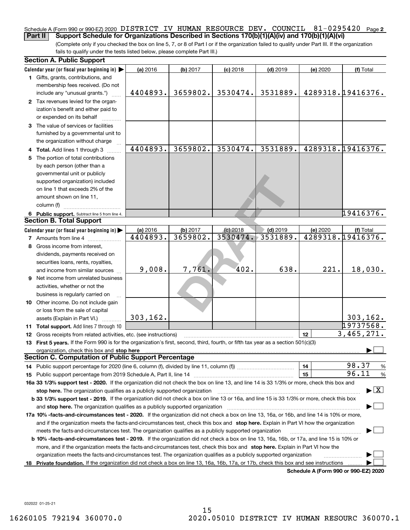#### Schedule A (Form 990 or 990-EZ) 2020 DISTRICT IV HUMAN RESOURCE DEV**.** COUNCIL 81-0295420 <sub>Page</sub> 2 **Part II Support Schedule for Organizations Described in Sections 170(b)(1)(A)(iv) and 170(b)(1)(A)(vi)**

(Complete only if you checked the box on line 5, 7, or 8 of Part I or if the organization failed to qualify under Part III. If the organization fails to qualify under the tests listed below, please complete Part III.)

| <b>Section A. Public Support</b>                                                                                                               |                      |                      |                        |                        |                                      |                                          |
|------------------------------------------------------------------------------------------------------------------------------------------------|----------------------|----------------------|------------------------|------------------------|--------------------------------------|------------------------------------------|
| Calendar year (or fiscal year beginning in)                                                                                                    | (a) 2016             | (b) 2017             | $(c)$ 2018             | $(d)$ 2019             | (e) 2020                             | (f) Total                                |
| 1 Gifts, grants, contributions, and<br>membership fees received. (Do not                                                                       |                      |                      |                        |                        |                                      |                                          |
| include any "unusual grants.")                                                                                                                 | 4404893.             | 3659802.             | 3530474.               | 3531889.               |                                      | 4289318.19416376.                        |
| 2 Tax revenues levied for the organ-                                                                                                           |                      |                      |                        |                        |                                      |                                          |
| ization's benefit and either paid to                                                                                                           |                      |                      |                        |                        |                                      |                                          |
| or expended on its behalf                                                                                                                      |                      |                      |                        |                        |                                      |                                          |
| 3 The value of services or facilities                                                                                                          |                      |                      |                        |                        |                                      |                                          |
| furnished by a governmental unit to                                                                                                            |                      |                      |                        |                        |                                      |                                          |
| the organization without charge                                                                                                                |                      |                      |                        |                        |                                      |                                          |
| 4 Total. Add lines 1 through 3                                                                                                                 | 4404893.             | 3659802.             | 3530474.               | 3531889.               |                                      | 4289318.19416376.                        |
| 5 The portion of total contributions                                                                                                           |                      |                      |                        |                        |                                      |                                          |
| by each person (other than a                                                                                                                   |                      |                      |                        |                        |                                      |                                          |
| governmental unit or publicly                                                                                                                  |                      |                      |                        |                        |                                      |                                          |
| supported organization) included                                                                                                               |                      |                      |                        |                        |                                      |                                          |
| on line 1 that exceeds 2% of the                                                                                                               |                      |                      |                        |                        |                                      |                                          |
| amount shown on line 11,                                                                                                                       |                      |                      |                        |                        |                                      |                                          |
| column (f)                                                                                                                                     |                      |                      |                        |                        |                                      |                                          |
| 6 Public support. Subtract line 5 from line 4.<br><b>Section B. Total Support</b>                                                              |                      |                      |                        |                        |                                      | 19416376.                                |
|                                                                                                                                                |                      |                      |                        |                        |                                      |                                          |
| Calendar year (or fiscal year beginning in)                                                                                                    | (a) 2016<br>4404893. | (b) 2017<br>3659802. | $(c)$ 2018<br>3530474. | $(d)$ 2019<br>3531889. | (e) 2020                             | (f) Total<br>4289318.19416376.           |
| <b>7</b> Amounts from line 4                                                                                                                   |                      |                      |                        |                        |                                      |                                          |
| 8 Gross income from interest,                                                                                                                  |                      |                      |                        |                        |                                      |                                          |
| dividends, payments received on                                                                                                                |                      |                      |                        |                        |                                      |                                          |
| securities loans, rents, royalties,                                                                                                            | 9,008.               | 7,761.               | 402.                   | 638.                   | 221.                                 | 18,030.                                  |
| and income from similar sources<br>9 Net income from unrelated business                                                                        |                      |                      |                        |                        |                                      |                                          |
|                                                                                                                                                |                      |                      |                        |                        |                                      |                                          |
| activities, whether or not the<br>business is regularly carried on                                                                             |                      |                      |                        |                        |                                      |                                          |
| 10 Other income. Do not include gain                                                                                                           |                      |                      |                        |                        |                                      |                                          |
| or loss from the sale of capital                                                                                                               |                      |                      |                        |                        |                                      |                                          |
| assets (Explain in Part VI.)                                                                                                                   | 303, 162.            |                      |                        |                        |                                      | 303, 162.                                |
| 11 Total support. Add lines 7 through 10                                                                                                       |                      |                      |                        |                        |                                      | 19737568.                                |
| 12 Gross receipts from related activities, etc. (see instructions)                                                                             |                      |                      |                        |                        | 12                                   | 3,465,271.                               |
| 13 First 5 years. If the Form 990 is for the organization's first, second, third, fourth, or fifth tax year as a section 501(c)(3)             |                      |                      |                        |                        |                                      |                                          |
| organization, check this box and stop here                                                                                                     |                      |                      |                        |                        |                                      |                                          |
| Section C. Computation of Public Support Percentage                                                                                            |                      |                      |                        |                        |                                      |                                          |
| 14 Public support percentage for 2020 (line 6, column (f), divided by line 11, column (f) <i>mummumumum</i>                                    |                      |                      |                        |                        | 14                                   | 98.37<br>%                               |
|                                                                                                                                                |                      |                      |                        |                        | 15                                   | 96.11<br>%                               |
| 16a 33 1/3% support test - 2020. If the organization did not check the box on line 13, and line 14 is 33 1/3% or more, check this box and      |                      |                      |                        |                        |                                      |                                          |
| stop here. The organization qualifies as a publicly supported organization                                                                     |                      |                      |                        |                        |                                      | $\blacktriangleright$ $\boxed{\text{X}}$ |
| b 33 1/3% support test - 2019. If the organization did not check a box on line 13 or 16a, and line 15 is 33 1/3% or more, check this box       |                      |                      |                        |                        |                                      |                                          |
| and stop here. The organization qualifies as a publicly supported organization                                                                 |                      |                      |                        |                        |                                      |                                          |
| 17a 10% -facts-and-circumstances test - 2020. If the organization did not check a box on line 13, 16a, or 16b, and line 14 is 10% or more,     |                      |                      |                        |                        |                                      |                                          |
| and if the organization meets the facts-and-circumstances test, check this box and stop here. Explain in Part VI how the organization          |                      |                      |                        |                        |                                      |                                          |
| meets the facts-and-circumstances test. The organization qualifies as a publicly supported organization                                        |                      |                      |                        |                        |                                      |                                          |
| <b>b 10% -facts-and-circumstances test - 2019.</b> If the organization did not check a box on line 13, 16a, 16b, or 17a, and line 15 is 10% or |                      |                      |                        |                        |                                      |                                          |
| more, and if the organization meets the facts-and-circumstances test, check this box and stop here. Explain in Part VI how the                 |                      |                      |                        |                        |                                      |                                          |
| organization meets the facts-and-circumstances test. The organization qualifies as a publicly supported organization                           |                      |                      |                        |                        |                                      |                                          |
| 18 Private foundation. If the organization did not check a box on line 13, 16a, 16b, 17a, or 17b, check this box and see instructions          |                      |                      |                        |                        |                                      |                                          |
|                                                                                                                                                |                      |                      |                        |                        | Schedule A (Form 990 or 990-EZ) 2020 |                                          |

032022 01-25-21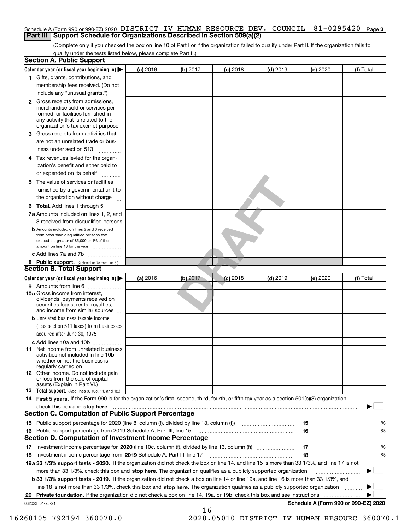#### Schedule A (Form 990 or 990-EZ) 2020 DISTRICT IV HU**MAN** RESOURCE DEV**.** COUNCIL 81-0295420 <sub>Page 3</sub> **Part III Support Schedule for Organizations Described in Section 509(a)(2)**

(Complete only if you checked the box on line 10 of Part I or if the organization failed to qualify under Part II. If the organization fails to qualify under the tests listed below, please complete Part II.)

|    | <b>Section A. Public Support</b>                                                                                                                                                                                              |          |            |            |            |          |                                      |
|----|-------------------------------------------------------------------------------------------------------------------------------------------------------------------------------------------------------------------------------|----------|------------|------------|------------|----------|--------------------------------------|
|    | Calendar year (or fiscal year beginning in) $\blacktriangleright$                                                                                                                                                             | (a) 2016 | (b) 2017   | $(c)$ 2018 | $(d)$ 2019 | (e) 2020 | (f) Total                            |
|    | 1 Gifts, grants, contributions, and                                                                                                                                                                                           |          |            |            |            |          |                                      |
|    | membership fees received. (Do not                                                                                                                                                                                             |          |            |            |            |          |                                      |
|    | include any "unusual grants.")                                                                                                                                                                                                |          |            |            |            |          |                                      |
|    | 2 Gross receipts from admissions,<br>merchandise sold or services per-<br>formed, or facilities furnished in<br>any activity that is related to the<br>organization's tax-exempt purpose                                      |          |            |            |            |          |                                      |
|    | 3 Gross receipts from activities that<br>are not an unrelated trade or bus-                                                                                                                                                   |          |            |            |            |          |                                      |
|    | iness under section 513                                                                                                                                                                                                       |          |            |            |            |          |                                      |
|    | 4 Tax revenues levied for the organ-<br>ization's benefit and either paid to                                                                                                                                                  |          |            |            |            |          |                                      |
|    | or expended on its behalf<br>.                                                                                                                                                                                                |          |            |            |            |          |                                      |
|    | 5 The value of services or facilities                                                                                                                                                                                         |          |            |            |            |          |                                      |
|    | furnished by a governmental unit to                                                                                                                                                                                           |          |            |            |            |          |                                      |
|    | the organization without charge                                                                                                                                                                                               |          |            |            |            |          |                                      |
|    | <b>6 Total.</b> Add lines 1 through 5                                                                                                                                                                                         |          |            |            |            |          |                                      |
|    | 7a Amounts included on lines 1, 2, and<br>3 received from disqualified persons                                                                                                                                                |          |            |            |            |          |                                      |
|    | <b>b</b> Amounts included on lines 2 and 3 received<br>from other than disqualified persons that<br>exceed the greater of \$5,000 or 1% of the<br>amount on line 13 for the year                                              |          |            |            |            |          |                                      |
|    | c Add lines 7a and 7b                                                                                                                                                                                                         |          |            |            |            |          |                                      |
|    | 8 Public support. (Subtract line 7c from line 6.)                                                                                                                                                                             |          |            |            |            |          |                                      |
|    | <b>Section B. Total Support</b>                                                                                                                                                                                               |          |            |            |            |          |                                      |
|    | Calendar year (or fiscal year beginning in) $\blacktriangleright$                                                                                                                                                             | (a) 2016 | $(b)$ 2017 | $(c)$ 2018 | $(d)$ 2019 | (e) 2020 | (f) Total                            |
|    | 9 Amounts from line 6                                                                                                                                                                                                         |          |            |            |            |          |                                      |
|    | 10a Gross income from interest,<br>dividends, payments received on<br>securities loans, rents, royalties,<br>and income from similar sources                                                                                  |          |            |            |            |          |                                      |
|    | <b>b</b> Unrelated business taxable income<br>(less section 511 taxes) from businesses<br>acquired after June 30, 1975<br>1.1.1.1.1.1.1.1.1.1                                                                                 |          |            |            |            |          |                                      |
|    | c Add lines 10a and 10b                                                                                                                                                                                                       |          |            |            |            |          |                                      |
|    | 11 Net income from unrelated business<br>activities not included in line 10b,<br>whether or not the business is<br>regularly carried on                                                                                       |          |            |            |            |          |                                      |
|    | 12 Other income. Do not include gain<br>or loss from the sale of capital<br>assets (Explain in Part VI.)                                                                                                                      |          |            |            |            |          |                                      |
|    | <b>13</b> Total support. (Add lines 9, 10c, 11, and 12.)                                                                                                                                                                      |          |            |            |            |          |                                      |
|    | 14 First 5 years. If the Form 990 is for the organization's first, second, third, fourth, or fifth tax year as a section 501(c)(3) organization,                                                                              |          |            |            |            |          |                                      |
|    | check this box and stop here with the continuum control to the change of the state of the state of the change of the change of the change of the change of the change of the change of the change of the change of the change |          |            |            |            |          |                                      |
|    | Section C. Computation of Public Support Percentage                                                                                                                                                                           |          |            |            |            |          |                                      |
|    | 15 Public support percentage for 2020 (line 8, column (f), divided by line 13, column (f))                                                                                                                                    |          |            |            |            | 15       | %                                    |
|    | 16 Public support percentage from 2019 Schedule A, Part III, line 15                                                                                                                                                          |          |            |            |            | 16       | %                                    |
|    | <b>Section D. Computation of Investment Income Percentage</b>                                                                                                                                                                 |          |            |            |            |          |                                      |
|    | 17 Investment income percentage for 2020 (line 10c, column (f), divided by line 13, column (f))<br><b>18</b> Investment income percentage from <b>2019</b> Schedule A, Part III, line 17                                      |          |            |            |            | 17<br>18 | %<br>%                               |
|    | 19a 33 1/3% support tests - 2020. If the organization did not check the box on line 14, and line 15 is more than 33 1/3%, and line 17 is not                                                                                  |          |            |            |            |          |                                      |
|    | more than 33 1/3%, check this box and stop here. The organization qualifies as a publicly supported organization                                                                                                              |          |            |            |            |          | ▶                                    |
|    | b 33 1/3% support tests - 2019. If the organization did not check a box on line 14 or line 19a, and line 16 is more than 33 1/3%, and                                                                                         |          |            |            |            |          |                                      |
|    | line 18 is not more than 33 1/3%, check this box and stop here. The organization qualifies as a publicly supported organization                                                                                               |          |            |            |            |          |                                      |
| 20 | <b>Private foundation.</b> If the organization did not check a box on line 14, 19a, or 19b, check this box and see instructions                                                                                               |          |            |            |            |          |                                      |
|    | 032023 01-25-21                                                                                                                                                                                                               |          |            |            |            |          | Schedule A (Form 990 or 990-EZ) 2020 |
|    |                                                                                                                                                                                                                               |          | 16         |            |            |          |                                      |

 <sup>16260105 792194 360070.0 2020.05010</sup> DISTRICT IV HUMAN RESOURC 360070.1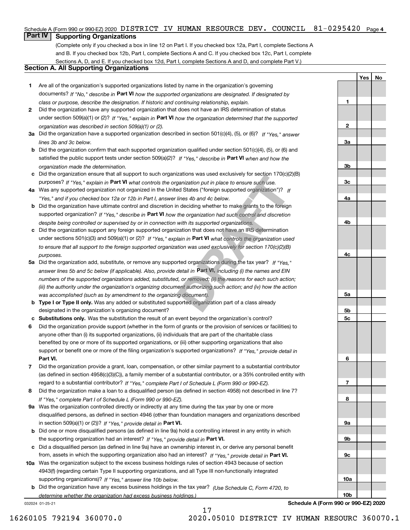#### Schedule A (Form 990 or 990-EZ) 2020 DISTRICT IV HUMAN RESOURCE DEV. COUNCIL  $81\text{--}0295420$  Page 4

## **Part IV Supporting Organizations**

(Complete only if you checked a box in line 12 on Part I. If you checked box 12a, Part I, complete Sections A and B. If you checked box 12b, Part I, complete Sections A and C. If you checked box 12c, Part I, complete Sections A, D, and E. If you checked box 12d, Part I, complete Sections A and D, and complete Part V.)

### **Section A. All Supporting Organizations**

- **1** Are all of the organization's supported organizations listed by name in the organization's governing documents? If "No," describe in **Part VI** how the supported organizations are designated. If designated by *class or purpose, describe the designation. If historic and continuing relationship, explain.*
- **2** Did the organization have any supported organization that does not have an IRS determination of status under section 509(a)(1) or (2)? If "Yes," explain in Part VI how the organization determined that the supported *organization was described in section 509(a)(1) or (2).*
- **3a** Did the organization have a supported organization described in section 501(c)(4), (5), or (6)? If "Yes," answer *lines 3b and 3c below.*
- **b** Did the organization confirm that each supported organization qualified under section 501(c)(4), (5), or (6) and satisfied the public support tests under section 509(a)(2)? If "Yes," describe in **Part VI** when and how the *organization made the determination.*
- **c**Did the organization ensure that all support to such organizations was used exclusively for section 170(c)(2)(B) purposes? If "Yes," explain in **Part VI** what controls the organization put in place to ensure such use.
- **4a***If* Was any supported organization not organized in the United States ("foreign supported organization")? *"Yes," and if you checked box 12a or 12b in Part I, answer lines 4b and 4c below.*
- **b** Did the organization have ultimate control and discretion in deciding whether to make grants to the foreign supported organization? If "Yes," describe in **Part VI** how the organization had such control and discretion *despite being controlled or supervised by or in connection with its supported organizations.*
- **c** Did the organization support any foreign supported organization that does not have an IRS determination under sections 501(c)(3) and 509(a)(1) or (2)? If "Yes," explain in **Part VI** what controls the organization used *to ensure that all support to the foreign supported organization was used exclusively for section 170(c)(2)(B) purposes.*
- **5a***If "Yes,"* Did the organization add, substitute, or remove any supported organizations during the tax year? answer lines 5b and 5c below (if applicable). Also, provide detail in **Part VI,** including (i) the names and EIN *numbers of the supported organizations added, substituted, or removed; (ii) the reasons for each such action; (iii) the authority under the organization's organizing document authorizing such action; and (iv) how the action was accomplished (such as by amendment to the organizing document).* Izations was used exclusively for section 170<sub>(C)</sub>(*z*<br>ganization put in place to ensure such use.<br>ed States ("foreign supported organization")? If<br>lines 4b and 4c below.<br>n deciding whether to make grants to the foreign<br>th
- **b** Type I or Type II only. Was any added or substituted supported organization part of a class already designated in the organization's organizing document?
- **cSubstitutions only.**  Was the substitution the result of an event beyond the organization's control?
- **6** Did the organization provide support (whether in the form of grants or the provision of services or facilities) to **Part VI.** *If "Yes," provide detail in* support or benefit one or more of the filing organization's supported organizations? anyone other than (i) its supported organizations, (ii) individuals that are part of the charitable class benefited by one or more of its supported organizations, or (iii) other supporting organizations that also
- **7**Did the organization provide a grant, loan, compensation, or other similar payment to a substantial contributor *If "Yes," complete Part I of Schedule L (Form 990 or 990-EZ).* regard to a substantial contributor? (as defined in section 4958(c)(3)(C)), a family member of a substantial contributor, or a 35% controlled entity with
- **8** Did the organization make a loan to a disqualified person (as defined in section 4958) not described in line 7? *If "Yes," complete Part I of Schedule L (Form 990 or 990-EZ).*
- **9a** Was the organization controlled directly or indirectly at any time during the tax year by one or more in section 509(a)(1) or (2))? If "Yes," *provide detail in* <code>Part VI.</code> disqualified persons, as defined in section 4946 (other than foundation managers and organizations described
- **b** Did one or more disqualified persons (as defined in line 9a) hold a controlling interest in any entity in which the supporting organization had an interest? If "Yes," provide detail in P**art VI**.
- **c**Did a disqualified person (as defined in line 9a) have an ownership interest in, or derive any personal benefit from, assets in which the supporting organization also had an interest? If "Yes," provide detail in P**art VI.**
- **10a** Was the organization subject to the excess business holdings rules of section 4943 because of section supporting organizations)? If "Yes," answer line 10b below. 4943(f) (regarding certain Type II supporting organizations, and all Type III non-functionally integrated
- **b** Did the organization have any excess business holdings in the tax year? (Use Schedule C, Form 4720, to *determine whether the organization had excess business holdings.)*

17

032024 01-25-21

**Schedule A (Form 990 or 990-EZ) 2020**

**YesNo**

**1**

**2**

**3a**

**3b**

**3c**

**4a**

**4b**

**4c**

**5a**

**5b5c**

**6**

**7**

**8**

**9a**

**9b**

**9c**

**10a**

**10b**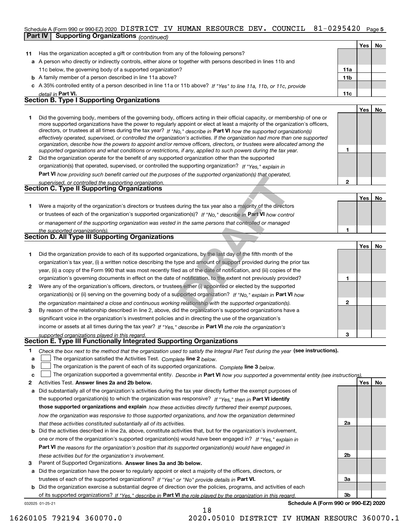# Schedule A (Form 990 or 990-EZ) 2020 DISTRICT IV HUMAN RESOURCE DEV. COUNCIL  $81\text{--}0295420$  Page 5

|              | <b>Supporting Organizations (continued)</b><br>Part IV                                                                                                                                                                                                    |                 |     |    |
|--------------|-----------------------------------------------------------------------------------------------------------------------------------------------------------------------------------------------------------------------------------------------------------|-----------------|-----|----|
|              |                                                                                                                                                                                                                                                           |                 | Yes | No |
| 11           | Has the organization accepted a gift or contribution from any of the following persons?                                                                                                                                                                   |                 |     |    |
| a            | A person who directly or indirectly controls, either alone or together with persons described in lines 11b and                                                                                                                                            |                 |     |    |
|              | 11c below, the governing body of a supported organization?                                                                                                                                                                                                | 11a             |     |    |
|              | <b>b</b> A family member of a person described in line 11a above?                                                                                                                                                                                         | 11 <sub>b</sub> |     |    |
|              | c A 35% controlled entity of a person described in line 11a or 11b above? If "Yes" to line 11a, 11b, or 11c, provide                                                                                                                                      |                 |     |    |
|              | detail in Part VI.                                                                                                                                                                                                                                        | 11c             |     |    |
|              | <b>Section B. Type I Supporting Organizations</b>                                                                                                                                                                                                         |                 |     |    |
|              |                                                                                                                                                                                                                                                           |                 | Yes | No |
| 1            | Did the governing body, members of the governing body, officers acting in their official capacity, or membership of one or                                                                                                                                |                 |     |    |
|              | more supported organizations have the power to regularly appoint or elect at least a majority of the organization's officers,                                                                                                                             |                 |     |    |
|              | directors, or trustees at all times during the tax year? If "No," describe in Part VI how the supported organization(s)<br>effectively operated, supervised, or controlled the organization's activities. If the organization had more than one supported |                 |     |    |
|              | organization, describe how the powers to appoint and/or remove officers, directors, or trustees were allocated among the                                                                                                                                  |                 |     |    |
|              | supported organizations and what conditions or restrictions, if any, applied to such powers during the tax year.                                                                                                                                          | 1               |     |    |
| 2            | Did the organization operate for the benefit of any supported organization other than the supported                                                                                                                                                       |                 |     |    |
|              | organization(s) that operated, supervised, or controlled the supporting organization? If "Yes," explain in                                                                                                                                                |                 |     |    |
|              | Part VI how providing such benefit carried out the purposes of the supported organization(s) that operated,                                                                                                                                               |                 |     |    |
|              | supervised, or controlled the supporting organization.                                                                                                                                                                                                    | $\overline{2}$  |     |    |
|              | <b>Section C. Type II Supporting Organizations</b>                                                                                                                                                                                                        |                 |     |    |
|              |                                                                                                                                                                                                                                                           |                 | Yes | No |
| 1.           | Were a majority of the organization's directors or trustees during the tax year also a majority of the directors                                                                                                                                          |                 |     |    |
|              | or trustees of each of the organization's supported organization(s)? If "No," describe in Part VI how control                                                                                                                                             |                 |     |    |
|              | or management of the supporting organization was vested in the same persons that controlled or managed                                                                                                                                                    |                 |     |    |
|              | the supported organization(s).                                                                                                                                                                                                                            | 1               |     |    |
|              | Section D. All Type III Supporting Organizations                                                                                                                                                                                                          |                 |     |    |
|              |                                                                                                                                                                                                                                                           |                 | Yes | No |
| 1            | Did the organization provide to each of its supported organizations, by the last day of the fifth month of the                                                                                                                                            |                 |     |    |
|              | organization's tax year, (i) a written notice describing the type and amount of support provided during the prior tax                                                                                                                                     |                 |     |    |
|              | year, (ii) a copy of the Form 990 that was most recently filed as of the date of notification, and (iii) copies of the                                                                                                                                    |                 |     |    |
|              | organization's governing documents in effect on the date of notification, to the extent not previously provided?                                                                                                                                          | 1               |     |    |
| $\mathbf{2}$ | Were any of the organization's officers, directors, or trustees either (i) appointed or elected by the supported                                                                                                                                          |                 |     |    |
|              | organization(s) or (ii) serving on the governing body of a supported organization? If "No," explain in Part VI how                                                                                                                                        |                 |     |    |
|              | the organization maintained a close and continuous working relationship with the supported organization(s).                                                                                                                                               | 2               |     |    |
| 3            | By reason of the relationship described in line 2, above, did the organization's supported organizations have a                                                                                                                                           |                 |     |    |
|              | significant voice in the organization's investment policies and in directing the use of the organization's                                                                                                                                                |                 |     |    |
|              | income or assets at all times during the tax year? If "Yes," describe in Part VI the role the organization's                                                                                                                                              |                 |     |    |
|              | supported organizations played in this regard.                                                                                                                                                                                                            | 3               |     |    |
|              | Section E. Type III Functionally Integrated Supporting Organizations                                                                                                                                                                                      |                 |     |    |
| 1.           | Check the box next to the method that the organization used to satisfy the Integral Part Test during the year (see instructions).                                                                                                                         |                 |     |    |
| a            | The organization satisfied the Activities Test. Complete line 2 below.                                                                                                                                                                                    |                 |     |    |
| b            | The organization is the parent of each of its supported organizations. Complete line 3 below.                                                                                                                                                             |                 |     |    |
| c            | The organization supported a governmental entity. Describe in Part VI how you supported a governmental entity (see instructions)                                                                                                                          |                 |     |    |

- **2Answer lines 2a and 2b below. Yes No** Activities Test.
- **a** Did substantially all of the organization's activities during the tax year directly further the exempt purposes of **b** Did the activities described in line 2a, above, constitute activities that, but for the organization's involvement, the supported organization(s) to which the organization was responsive? If "Yes," then in **Part VI identify those supported organizations and explain**  *how these activities directly furthered their exempt purposes, how the organization was responsive to those supported organizations, and how the organization determined that these activities constituted substantially all of its activities.*
- **Part VI**  *the reasons for the organization's position that its supported organization(s) would have engaged in* one or more of the organization's supported organization(s) would have been engaged in? If "Yes," e*xplain in these activities but for the organization's involvement.*
- **3** Parent of Supported Organizations. Answer lines 3a and 3b below.

**a** Did the organization have the power to regularly appoint or elect a majority of the officers, directors, or trustees of each of the supported organizations? If "Yes" or "No" provide details in **Part VI.** 

**b** Did the organization exercise a substantial degree of direction over the policies, programs, and activities of each of its supported organizations? If "Yes," describe in Part VI the role played by the organization in this regard.

**Schedule A (Form 990 or 990-EZ) 2020**

**2a**

**2b**

**3a**

**3b**

032025 01-25-21

16260105 792194 360070.0 2020.05010 DISTRICT IV HUMAN RESOURC 360070.1

18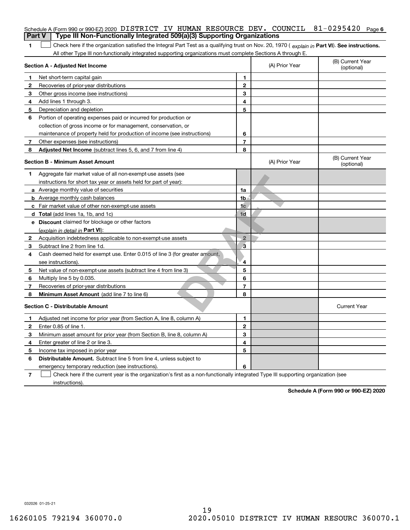| <b>Part V</b> | Schedule A (Form 990 or 990-EZ) 2020 DISTRICT IV HUMAN RESOURCE DEV. COUNCIL<br>Type III Non-Functionally Integrated 509(a)(3) Supporting Organizations                                                                                                       |                          |                | $81 - 0295420$<br>Page 6       |
|---------------|---------------------------------------------------------------------------------------------------------------------------------------------------------------------------------------------------------------------------------------------------------------|--------------------------|----------------|--------------------------------|
|               |                                                                                                                                                                                                                                                               |                          |                |                                |
| 1             | Check here if the organization satisfied the Integral Part Test as a qualifying trust on Nov. 20, 1970 (explain in Part VI). See instructions.<br>All other Type III non-functionally integrated supporting organizations must complete Sections A through E. |                          |                |                                |
|               | Section A - Adjusted Net Income                                                                                                                                                                                                                               |                          | (A) Prior Year | (B) Current Year<br>(optional) |
| 1             | Net short-term capital gain                                                                                                                                                                                                                                   | 1                        |                |                                |
| 2             | Recoveries of prior-year distributions                                                                                                                                                                                                                        | $\overline{2}$           |                |                                |
| З             | Other gross income (see instructions)                                                                                                                                                                                                                         | 3                        |                |                                |
| 4             | Add lines 1 through 3.                                                                                                                                                                                                                                        | 4                        |                |                                |
| 5             | Depreciation and depletion                                                                                                                                                                                                                                    | 5                        |                |                                |
| 6             | Portion of operating expenses paid or incurred for production or                                                                                                                                                                                              |                          |                |                                |
|               | collection of gross income or for management, conservation, or                                                                                                                                                                                                |                          |                |                                |
|               | maintenance of property held for production of income (see instructions)                                                                                                                                                                                      | 6                        |                |                                |
| 7             | Other expenses (see instructions)                                                                                                                                                                                                                             | $\overline{\phantom{a}}$ |                |                                |
| 8             | Adjusted Net Income (subtract lines 5, 6, and 7 from line 4)                                                                                                                                                                                                  | 8                        |                |                                |
|               | <b>Section B - Minimum Asset Amount</b>                                                                                                                                                                                                                       |                          | (A) Prior Year | (B) Current Year<br>(optional) |
| 1             | Aggregate fair market value of all non-exempt-use assets (see                                                                                                                                                                                                 |                          |                |                                |
|               | instructions for short tax year or assets held for part of year):                                                                                                                                                                                             |                          |                |                                |
|               | <b>a</b> Average monthly value of securities                                                                                                                                                                                                                  | 1a                       |                |                                |
|               | <b>b</b> Average monthly cash balances                                                                                                                                                                                                                        | 1 <sub>b</sub>           |                |                                |
|               | <b>c</b> Fair market value of other non-exempt-use assets                                                                                                                                                                                                     | 1 <sub>c</sub>           |                |                                |
|               | d Total (add lines 1a, 1b, and 1c)                                                                                                                                                                                                                            | 1 <sub>d</sub>           |                |                                |
|               | e Discount claimed for blockage or other factors                                                                                                                                                                                                              |                          |                |                                |
|               | (explain in detail in Part VI):                                                                                                                                                                                                                               |                          |                |                                |
| 2             | Acquisition indebtedness applicable to non-exempt-use assets                                                                                                                                                                                                  | $\overline{2}$           |                |                                |
| 3             | Subtract line 2 from line 1d.                                                                                                                                                                                                                                 | 3                        |                |                                |
| 4             | Cash deemed held for exempt use. Enter 0.015 of line 3 (for greater amount,                                                                                                                                                                                   |                          |                |                                |
|               | see instructions).                                                                                                                                                                                                                                            | 4                        |                |                                |
| 5             | Net value of non-exempt-use assets (subtract line 4 from line 3)                                                                                                                                                                                              | 5                        |                |                                |
| 6             | Multiply line 5 by 0.035.                                                                                                                                                                                                                                     | 6                        |                |                                |
| 7             | Recoveries of prior-year distributions                                                                                                                                                                                                                        | $\overline{7}$           |                |                                |
| 8             | Minimum Asset Amount (add line 7 to line 6)                                                                                                                                                                                                                   | 8                        |                |                                |
|               | <b>Section C - Distributable Amount</b>                                                                                                                                                                                                                       |                          |                | <b>Current Year</b>            |
|               | Adjusted net income for prior year (from Section A, line 8, column A)                                                                                                                                                                                         | 1                        |                |                                |
|               | Enter 0.85 of line 1.                                                                                                                                                                                                                                         | 2                        |                |                                |
| 3             | Minimum asset amount for prior year (from Section B, line 8, column A)                                                                                                                                                                                        | 3                        |                |                                |
| 4             | Enter greater of line 2 or line 3.                                                                                                                                                                                                                            | 4                        |                |                                |
| 5             | Income tax imposed in prior year                                                                                                                                                                                                                              | 5                        |                |                                |
| 6             | <b>Distributable Amount.</b> Subtract line 5 from line 4, unless subject to                                                                                                                                                                                   |                          |                |                                |
|               | emergency temporary reduction (see instructions).                                                                                                                                                                                                             | 6                        |                |                                |
| 7             | Check here if the current year is the organization's first as a non-functionally integrated Type III supporting organization (see                                                                                                                             |                          |                |                                |

instructions).

**Schedule A (Form 990 or 990-EZ) 2020**

032026 01-25-21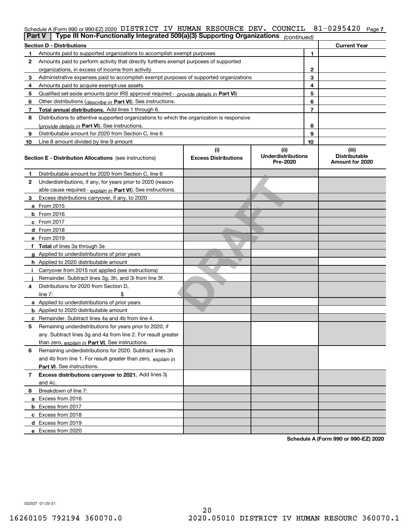## Schedule A (Form 990 or 990-EZ) 2020 DISTRICT IV HUMAN RESOURCE DEV**.** COUNCIL 81-0295420 <sub>Page 7</sub>

|    | Type III Non-Functionally Integrated 509(a)(3) Supporting Organizations<br>Part V<br>(continued) |                                    |                                               |    |                                                  |  |
|----|--------------------------------------------------------------------------------------------------|------------------------------------|-----------------------------------------------|----|--------------------------------------------------|--|
|    | <b>Section D - Distributions</b>                                                                 |                                    |                                               |    | <b>Current Year</b>                              |  |
|    | Amounts paid to supported organizations to accomplish exempt purposes                            |                                    |                                               | 1  |                                                  |  |
| 2  | Amounts paid to perform activity that directly furthers exempt purposes of supported             |                                    |                                               |    |                                                  |  |
|    | organizations, in excess of income from activity                                                 |                                    | 2                                             |    |                                                  |  |
| 3  | Administrative expenses paid to accomplish exempt purposes of supported organizations            |                                    |                                               | 3  |                                                  |  |
| 4  | Amounts paid to acquire exempt-use assets                                                        |                                    |                                               | 4  |                                                  |  |
| 5  | Qualified set aside amounts (prior IRS approval required - provide details in Part VI)           |                                    |                                               | 5  |                                                  |  |
| 6  | Other distributions ( <i>describe in</i> Part VI). See instructions.                             |                                    |                                               | 6  |                                                  |  |
| 7  | Total annual distributions. Add lines 1 through 6.                                               |                                    |                                               | 7  |                                                  |  |
| 8  | Distributions to attentive supported organizations to which the organization is responsive       |                                    |                                               |    |                                                  |  |
|    | (provide details in Part VI). See instructions.                                                  |                                    |                                               | 8  |                                                  |  |
| 9  | Distributable amount for 2020 from Section C, line 6                                             |                                    |                                               | 9  |                                                  |  |
| 10 | Line 8 amount divided by line 9 amount                                                           |                                    |                                               | 10 |                                                  |  |
|    | <b>Section E - Distribution Allocations</b> (see instructions)                                   | (i)<br><b>Excess Distributions</b> | (ii)<br><b>Underdistributions</b><br>Pre-2020 |    | (iii)<br><b>Distributable</b><br>Amount for 2020 |  |
| 1  | Distributable amount for 2020 from Section C, line 6                                             |                                    |                                               |    |                                                  |  |
| 2  | Underdistributions, if any, for years prior to 2020 (reason-                                     |                                    |                                               |    |                                                  |  |
|    | able cause required - explain in Part VI). See instructions.                                     |                                    |                                               |    |                                                  |  |
| 3  | Excess distributions carryover, if any, to 2020                                                  |                                    |                                               |    |                                                  |  |
|    | a From 2015                                                                                      |                                    |                                               |    |                                                  |  |
|    | $b$ From 2016                                                                                    |                                    |                                               |    |                                                  |  |
|    | $c$ From 2017                                                                                    |                                    |                                               |    |                                                  |  |
|    | <b>d</b> From 2018                                                                               |                                    |                                               |    |                                                  |  |
|    | e From 2019                                                                                      |                                    |                                               |    |                                                  |  |
|    | f Total of lines 3a through 3e                                                                   |                                    |                                               |    |                                                  |  |
|    | g Applied to underdistributions of prior years                                                   |                                    |                                               |    |                                                  |  |
|    | <b>h</b> Applied to 2020 distributable amount                                                    |                                    |                                               |    |                                                  |  |
|    | Carryover from 2015 not applied (see instructions)                                               |                                    |                                               |    |                                                  |  |
|    | Remainder. Subtract lines 3g, 3h, and 3i from line 3f.                                           |                                    |                                               |    |                                                  |  |
| 4  | Distributions for 2020 from Section D.                                                           |                                    |                                               |    |                                                  |  |
|    | line $7:$                                                                                        |                                    |                                               |    |                                                  |  |
|    | a Applied to underdistributions of prior years                                                   |                                    |                                               |    |                                                  |  |
|    | <b>b</b> Applied to 2020 distributable amount                                                    |                                    |                                               |    |                                                  |  |
|    | <b>c</b> Remainder. Subtract lines 4a and 4b from line 4.                                        |                                    |                                               |    |                                                  |  |
| 5  | Remaining underdistributions for years prior to 2020, if                                         |                                    |                                               |    |                                                  |  |
|    | any. Subtract lines 3g and 4a from line 2. For result greater                                    |                                    |                                               |    |                                                  |  |
|    | than zero, explain in Part VI. See instructions.                                                 |                                    |                                               |    |                                                  |  |
| 6  | Remaining underdistributions for 2020. Subtract lines 3h                                         |                                    |                                               |    |                                                  |  |
|    | and 4b from line 1. For result greater than zero, explain in                                     |                                    |                                               |    |                                                  |  |
|    | <b>Part VI.</b> See instructions.                                                                |                                    |                                               |    |                                                  |  |
| 7  | Excess distributions carryover to 2021. Add lines 3j                                             |                                    |                                               |    |                                                  |  |
|    | and 4c.                                                                                          |                                    |                                               |    |                                                  |  |
| 8  | Breakdown of line 7:                                                                             |                                    |                                               |    |                                                  |  |
|    | a Excess from 2016                                                                               |                                    |                                               |    |                                                  |  |
|    | <b>b</b> Excess from 2017                                                                        |                                    |                                               |    |                                                  |  |
|    | c Excess from 2018                                                                               |                                    |                                               |    |                                                  |  |
|    | d Excess from 2019                                                                               |                                    |                                               |    |                                                  |  |
|    | e Excess from 2020                                                                               |                                    |                                               |    |                                                  |  |

**Schedule A (Form 990 or 990-EZ) 2020**

032027 01-25-21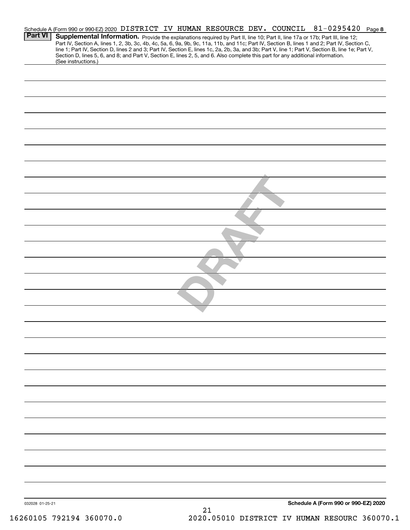|                 |                         |  |  |                                                                                                                                 |  | Schedule A (Form 990 or 990-EZ) 2020 DISTRICT IV HUMAN RESOURCE DEV. COUNCIL 81-0295420 Page 8                                                                                                                                                                                                                                                                                                                                    |  |
|-----------------|-------------------------|--|--|---------------------------------------------------------------------------------------------------------------------------------|--|-----------------------------------------------------------------------------------------------------------------------------------------------------------------------------------------------------------------------------------------------------------------------------------------------------------------------------------------------------------------------------------------------------------------------------------|--|
| <b>Part VI</b>  |                         |  |  |                                                                                                                                 |  | Supplemental Information. Provide the explanations required by Part II, line 10; Part II, line 17a or 17b; Part III, line 12;<br>Part IV, Section A, lines 1, 2, 3b, 3c, 4b, 4c, 5a, 6, 9a, 9b, 9c, 11a, 11b, and 11c; Part IV, Section B, lines 1 and 2; Part IV, Section C,<br>line 1; Part IV, Section D, lines 2 and 3; Part IV, Section E, lines 1c, 2a, 2b, 3a, and 3b; Part V, line 1; Part V, Section B, line 1e; Part V, |  |
|                 | (See instructions.)     |  |  | Section D, lines 5, 6, and 8; and Part V, Section E, lines 2, 5, and 6. Also complete this part for any additional information. |  |                                                                                                                                                                                                                                                                                                                                                                                                                                   |  |
|                 |                         |  |  |                                                                                                                                 |  |                                                                                                                                                                                                                                                                                                                                                                                                                                   |  |
|                 |                         |  |  |                                                                                                                                 |  |                                                                                                                                                                                                                                                                                                                                                                                                                                   |  |
|                 |                         |  |  |                                                                                                                                 |  |                                                                                                                                                                                                                                                                                                                                                                                                                                   |  |
|                 |                         |  |  |                                                                                                                                 |  |                                                                                                                                                                                                                                                                                                                                                                                                                                   |  |
|                 |                         |  |  |                                                                                                                                 |  |                                                                                                                                                                                                                                                                                                                                                                                                                                   |  |
|                 |                         |  |  |                                                                                                                                 |  |                                                                                                                                                                                                                                                                                                                                                                                                                                   |  |
|                 |                         |  |  |                                                                                                                                 |  |                                                                                                                                                                                                                                                                                                                                                                                                                                   |  |
|                 |                         |  |  |                                                                                                                                 |  |                                                                                                                                                                                                                                                                                                                                                                                                                                   |  |
|                 |                         |  |  |                                                                                                                                 |  |                                                                                                                                                                                                                                                                                                                                                                                                                                   |  |
|                 |                         |  |  |                                                                                                                                 |  |                                                                                                                                                                                                                                                                                                                                                                                                                                   |  |
|                 |                         |  |  |                                                                                                                                 |  |                                                                                                                                                                                                                                                                                                                                                                                                                                   |  |
|                 |                         |  |  |                                                                                                                                 |  |                                                                                                                                                                                                                                                                                                                                                                                                                                   |  |
|                 |                         |  |  |                                                                                                                                 |  |                                                                                                                                                                                                                                                                                                                                                                                                                                   |  |
|                 |                         |  |  |                                                                                                                                 |  |                                                                                                                                                                                                                                                                                                                                                                                                                                   |  |
|                 |                         |  |  |                                                                                                                                 |  |                                                                                                                                                                                                                                                                                                                                                                                                                                   |  |
|                 |                         |  |  |                                                                                                                                 |  |                                                                                                                                                                                                                                                                                                                                                                                                                                   |  |
|                 |                         |  |  |                                                                                                                                 |  |                                                                                                                                                                                                                                                                                                                                                                                                                                   |  |
|                 |                         |  |  |                                                                                                                                 |  |                                                                                                                                                                                                                                                                                                                                                                                                                                   |  |
|                 |                         |  |  |                                                                                                                                 |  |                                                                                                                                                                                                                                                                                                                                                                                                                                   |  |
|                 |                         |  |  |                                                                                                                                 |  |                                                                                                                                                                                                                                                                                                                                                                                                                                   |  |
|                 |                         |  |  |                                                                                                                                 |  |                                                                                                                                                                                                                                                                                                                                                                                                                                   |  |
|                 |                         |  |  |                                                                                                                                 |  |                                                                                                                                                                                                                                                                                                                                                                                                                                   |  |
|                 |                         |  |  |                                                                                                                                 |  |                                                                                                                                                                                                                                                                                                                                                                                                                                   |  |
|                 |                         |  |  |                                                                                                                                 |  |                                                                                                                                                                                                                                                                                                                                                                                                                                   |  |
|                 |                         |  |  |                                                                                                                                 |  |                                                                                                                                                                                                                                                                                                                                                                                                                                   |  |
|                 |                         |  |  |                                                                                                                                 |  |                                                                                                                                                                                                                                                                                                                                                                                                                                   |  |
|                 |                         |  |  |                                                                                                                                 |  |                                                                                                                                                                                                                                                                                                                                                                                                                                   |  |
|                 |                         |  |  |                                                                                                                                 |  |                                                                                                                                                                                                                                                                                                                                                                                                                                   |  |
|                 |                         |  |  |                                                                                                                                 |  |                                                                                                                                                                                                                                                                                                                                                                                                                                   |  |
|                 |                         |  |  |                                                                                                                                 |  |                                                                                                                                                                                                                                                                                                                                                                                                                                   |  |
|                 |                         |  |  |                                                                                                                                 |  |                                                                                                                                                                                                                                                                                                                                                                                                                                   |  |
|                 |                         |  |  |                                                                                                                                 |  |                                                                                                                                                                                                                                                                                                                                                                                                                                   |  |
|                 |                         |  |  |                                                                                                                                 |  |                                                                                                                                                                                                                                                                                                                                                                                                                                   |  |
|                 |                         |  |  |                                                                                                                                 |  |                                                                                                                                                                                                                                                                                                                                                                                                                                   |  |
|                 |                         |  |  |                                                                                                                                 |  |                                                                                                                                                                                                                                                                                                                                                                                                                                   |  |
|                 |                         |  |  |                                                                                                                                 |  |                                                                                                                                                                                                                                                                                                                                                                                                                                   |  |
|                 |                         |  |  |                                                                                                                                 |  |                                                                                                                                                                                                                                                                                                                                                                                                                                   |  |
|                 |                         |  |  |                                                                                                                                 |  |                                                                                                                                                                                                                                                                                                                                                                                                                                   |  |
| 032028 01-25-21 | $C010E$ TOMINA MENOTO O |  |  | 21<br>2020 AEA1A BIR <del>ambi</del> am                                                                                         |  | Schedule A (Form 990 or 990-EZ) 2020<br>TII IIIMAN DROOIDO 360076                                                                                                                                                                                                                                                                                                                                                                 |  |

16260105 792194 360070.0 2020.05010 DISTRICT IV HUMAN RESOURC 360070.1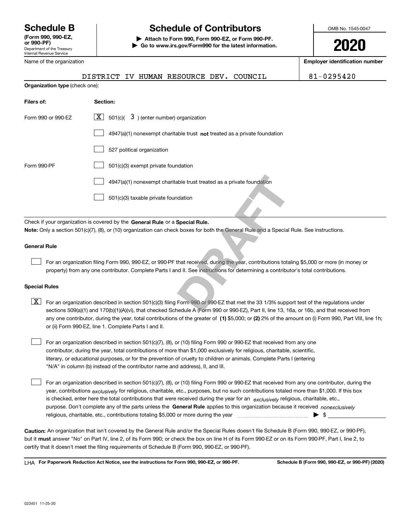Department of the Treasury Internal Revenue Service **(Form 990, 990-EZ, or 990-PF)**

Name of the organization

## **Schedule B Schedule of Contributors**

**| Attach to Form 990, Form 990-EZ, or Form 990-PF. | Go to www.irs.gov/Form990 for the latest information.** OMB No. 1545-0047

**2020**

**Employer identification number**

|                                | DISTRICT IV HUMAN RESOURCE DEV. COUNCIL                                                                                                                                                                                                                                                 | 81-0295420 |
|--------------------------------|-----------------------------------------------------------------------------------------------------------------------------------------------------------------------------------------------------------------------------------------------------------------------------------------|------------|
| Organization type (check one): |                                                                                                                                                                                                                                                                                         |            |
| Filers of:                     | Section:                                                                                                                                                                                                                                                                                |            |
| Form 990 or 990-EZ             | $X$ 501(c)( 3) (enter number) organization                                                                                                                                                                                                                                              |            |
|                                | 4947(a)(1) nonexempt charitable trust not treated as a private foundation                                                                                                                                                                                                               |            |
|                                | 527 political organization                                                                                                                                                                                                                                                              |            |
| Form 990-PF                    | 501(c)(3) exempt private foundation                                                                                                                                                                                                                                                     |            |
|                                | 4947(a)(1) nonexempt charitable trust treated as a private foundation                                                                                                                                                                                                                   |            |
|                                | 501(c)(3) taxable private foundation                                                                                                                                                                                                                                                    |            |
|                                | Check if your organization is covered by the General Rule or a Special Rule.                                                                                                                                                                                                            |            |
|                                | Note: Only a section 501(c)(7), (8), or (10) organization can check boxes for both the General Rule and a Special Rule. See instructions.                                                                                                                                               |            |
| General Rule                   |                                                                                                                                                                                                                                                                                         |            |
|                                | For an organization filing Form 990, 990-EZ, or 990-PF that received, during the year, contributions totaling \$5,000 or more (in money or<br>property) from any one contributor. Complete Parts I and II. See instructions for determining a contributor's total contributions.        |            |
| <b>Special Rules</b>           |                                                                                                                                                                                                                                                                                         |            |
| X                              | For an organization described in section 501(c)(3) filing Form 990 or 990-EZ that met the 33 1/3% support test of the regulations under<br>sections 509(a)(1) and 170(b)(1)(A)(vi), that checked Schedule A (Form 990 or 990-EZ), Part II, line 13, 16a, or 16b, and that received fror |            |

any one contributor, during the year, total contributions of the greater of  $\,$  (1) \$5,000; or **(2)** 2% of the amount on (i) Form 990, Part VIII, line 1h; sections 509(a)(1) and 170(b)(1)(A)(vi), that checked Schedule A (Form 990 or 990-EZ), Part II, line 13, 16a, or 16b, and that received from or (ii) Form 990-EZ, line 1. Complete Parts I and II.

For an organization described in section 501(c)(7), (8), or (10) filing Form 990 or 990-EZ that received from any one contributor, during the year, total contributions of more than \$1,000 exclusively for religious, charitable, scientific, literary, or educational purposes, or for the prevention of cruelty to children or animals. Complete Parts I (entering "N/A" in column (b) instead of the contributor name and address), II, and III.

purpose. Don't complete any of the parts unless the **General Rule** applies to this organization because it received *nonexclusively* year, contributions <sub>exclusively</sub> for religious, charitable, etc., purposes, but no such contributions totaled more than \$1,000. If this box is checked, enter here the total contributions that were received during the year for an  $\;$ exclusively religious, charitable, etc., For an organization described in section 501(c)(7), (8), or (10) filing Form 990 or 990-EZ that received from any one contributor, during the religious, charitable, etc., contributions totaling \$5,000 or more during the year  $\Box$ — $\Box$   $\Box$  $\mathcal{L}^{\text{max}}$ 

**Caution:**  An organization that isn't covered by the General Rule and/or the Special Rules doesn't file Schedule B (Form 990, 990-EZ, or 990-PF),  **must** but it answer "No" on Part IV, line 2, of its Form 990; or check the box on line H of its Form 990-EZ or on its Form 990-PF, Part I, line 2, to certify that it doesn't meet the filing requirements of Schedule B (Form 990, 990-EZ, or 990-PF).

**For Paperwork Reduction Act Notice, see the instructions for Form 990, 990-EZ, or 990-PF. Schedule B (Form 990, 990-EZ, or 990-PF) (2020)** LHA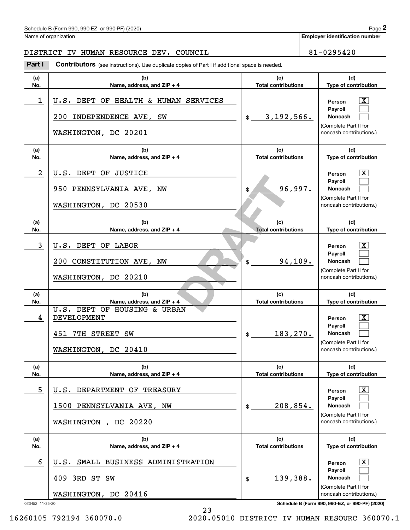#### Schedule B (Form 990, 990-EZ, or 990-PF) (2020)  $P_0 = 2$

Name of organization

**Employer identification number**

#### DISTRICT IV HUMAN RESOURCE DEV. COUNCIL **1994** 1-0295420

**(a)No.(b) Name, address, and ZIP + 4 (c)Total contributions (d)Type of contribution PersonPayrollNoncash (a)No.(b)Name, address, and ZIP + 4 (c)Total contributions (d)Type of contribution PersonPayrollNoncash (a)No.(b)Name, address, and ZIP + 4 (c)Total contributions (d)Type of contribution PersonPayrollNoncash (a) No.(b)Name, address, and ZIP + 4 (c) Total contributions (d)Type of contribution PersonPayrollNoncash (a) No.(b)Name, address, and ZIP + 4 (c)Total contributions (d)Type of contribution PersonPayrollNoncash(a)No.(b)Name, address, and ZIP + 4 (c)Total contributions (d)Type of contribution PersonPayrollNoncash Contributors** (see instructions). Use duplicate copies of Part I if additional space is needed. \$(Complete Part II for noncash contributions.) \$(Complete Part II for noncash contributions.) \$(Complete Part II for noncash contributions.) \$(Complete Part II for noncash contributions.) \$(Complete Part II for noncash contributions.) \$(Complete Part II for noncash contributions.) Chedule B (Form 990, 990-EZ, or 990-PF) (2020)<br>Iame of organization<br>**2Part I 2Part I Contributors** (see instructions). Use duplicate copies of Part I if additional space is needed.  $\lceil \text{X} \rceil$  $\mathcal{L}^{\text{max}}$  $\mathcal{L}^{\text{max}}$  $\boxed{\text{X}}$  $\mathcal{L}^{\text{max}}$  $\mathcal{L}^{\text{max}}$  $|X|$  $\mathcal{L}^{\text{max}}$  $\mathcal{L}^{\text{max}}$  $|X|$  $\mathcal{L}^{\text{max}}$  $\mathcal{L}^{\text{max}}$  $|X|$  $\mathcal{L}^{\text{max}}$  $\mathcal{L}^{\text{max}}$  $\boxed{\text{X}}$  $\mathcal{L}^{\text{max}}$  $\mathcal{L}^{\text{max}}$ **DRAFT** 1 U.S. DEPT OF HEALTH & HUMAN SERVICES | The Service of T 3,192,566. 200 INDEPENDENCE AVE, SW WASHINGTON, DC 20201 2 U.S. DEPT OF JUSTICE THE RESOLUTION OF A RESOLUTION OF A RESOLUTION OF A RESOLUTION OF A RESOLUTION OF A RESOLUTION OF A RESOLUTION OF A RESOLUTION OF A RESOLUTION OF A RESOLUTION OF A RESOLUTION OF A RESOLUTION OF A RES 96,997. 950 PENNSYLVANIA AVE, NW WASHINGTON, DC 20530 3 U.S. DEPT OF LABOR THE STATE OF STATE AND RESOLUTION OF STATE OF STATE OF STATE OF STATE OF STATE OF STATE O 94,109. 200 CONSTITUTION AVE, NW WASHINGTON, DC 20210 and the person of the set of the set of the set of the set of the set of the set of the set of the set of the set of the set of the set of the set of the set of the set of the set of the set of the set of the set of the se 183,270. U.S. DEPT OF HOUSING & URBAN 451 7TH STREET SW WASHINGTON, DC 20410 5 U.S. DEPARTMENT OF TREASURY THE REASURY THE REASURY REASURY 208,854. 1500 PENNSYLVANIA AVE, NW WASHINGTON , DC 20220 6 X U.S. SMALL BUSINESS ADMINISTRATION 139,388. 409 3RD ST SW WASHINGTON, DC 20416

023452 11-25-20 **Schedule B (Form 990, 990-EZ, or 990-PF) (2020)**

16260105 792194 360070.0 2020.05010 DISTRICT IV HUMAN RESOURC 360070.1

23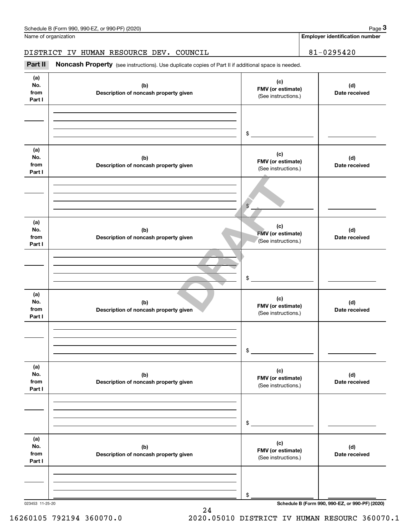| Schedule B (Form 990. 990-EZ. or 990-PF) (2020) | Page |  |
|-------------------------------------------------|------|--|
|-------------------------------------------------|------|--|

**Employer identification number**

### DISTRICT IV HUMAN RESOURCE DEV. COUNCIL | 81-0295420

(see instructions). User the duplicate copies of Part II if additional space is needed.<br> **3Part II is Noncash Property** (see instructions). Use duplicate copies of Part II if additional space is needed.

| (a)<br>No.<br>from<br>Part I | (b)<br>Description of noncash property given | (c)<br>FMV (or estimate)<br>(See instructions.) | (d)<br>Date received |
|------------------------------|----------------------------------------------|-------------------------------------------------|----------------------|
|                              |                                              | $\mathsf{\$}$                                   |                      |
| (a)<br>No.<br>from<br>Part I | (b)<br>Description of noncash property given | (c)<br>FMV (or estimate)<br>(See instructions.) | (d)<br>Date received |
|                              |                                              | $\frac{1}{2}$                                   |                      |
| (a)<br>No.<br>from<br>Part I | (b)<br>Description of noncash property given | (c)<br>FMV (or estimate)<br>(See instructions.) | (d)<br>Date received |
|                              |                                              | $\mathfrak{S}$                                  |                      |
| (a)<br>No.<br>from<br>Part I | (b)<br>Description of noncash property given | (c)<br>FMV (or estimate)<br>(See instructions.) | (d)<br>Date received |
|                              |                                              | \$                                              |                      |
| (a)<br>No.<br>from<br>Part I | (b)<br>Description of noncash property given | (c)<br>FMV (or estimate)<br>(See instructions.) | (d)<br>Date received |
|                              |                                              | \$                                              |                      |
| (a)<br>No.<br>from<br>Part I | (b)<br>Description of noncash property given | (c)<br>FMV (or estimate)<br>(See instructions.) | (d)<br>Date received |
|                              |                                              | \$                                              |                      |

24

023453 11-25-20 **Schedule B (Form 990, 990-EZ, or 990-PF) (2020)**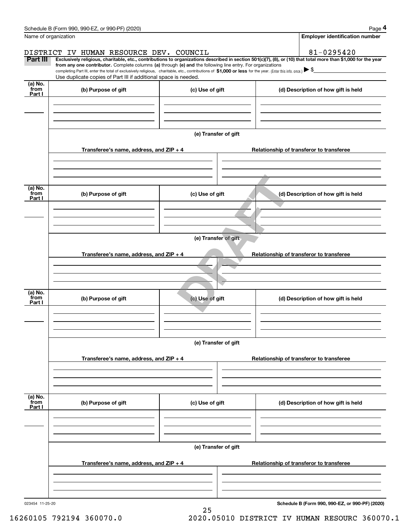|                             | Schedule B (Form 990, 990-EZ, or 990-PF) (2020)                                                                                                                                                                                                      |                      | Page 4                                                                                                                                                         |  |  |  |
|-----------------------------|------------------------------------------------------------------------------------------------------------------------------------------------------------------------------------------------------------------------------------------------------|----------------------|----------------------------------------------------------------------------------------------------------------------------------------------------------------|--|--|--|
|                             | Name of organization                                                                                                                                                                                                                                 |                      | <b>Employer identification number</b>                                                                                                                          |  |  |  |
|                             | DISTRICT IV HUMAN RESOURCE DEV. COUNCIL                                                                                                                                                                                                              |                      | 81-0295420                                                                                                                                                     |  |  |  |
| Part III                    | from any one contributor. Complete columns (a) through (e) and the following line entry. For organizations                                                                                                                                           |                      | Exclusively religious, charitable, etc., contributions to organizations described in section 501(c)(7), (8), or (10) that total more than \$1,000 for the year |  |  |  |
|                             | completing Part III, enter the total of exclusively religious, charitable, etc., contributions of \$1,000 or less for the year. (Enter this info. once.) $\blacktriangleright$ \$<br>Use duplicate copies of Part III if additional space is needed. |                      |                                                                                                                                                                |  |  |  |
| $(a)$ No.<br>from<br>Part I | (b) Purpose of gift                                                                                                                                                                                                                                  | (c) Use of gift      | (d) Description of how gift is held                                                                                                                            |  |  |  |
|                             |                                                                                                                                                                                                                                                      |                      |                                                                                                                                                                |  |  |  |
|                             |                                                                                                                                                                                                                                                      |                      |                                                                                                                                                                |  |  |  |
|                             | Transferee's name, address, and ZIP + 4                                                                                                                                                                                                              | (e) Transfer of gift | Relationship of transferor to transferee                                                                                                                       |  |  |  |
|                             |                                                                                                                                                                                                                                                      |                      |                                                                                                                                                                |  |  |  |
|                             |                                                                                                                                                                                                                                                      |                      |                                                                                                                                                                |  |  |  |
| (a) No.<br>from<br>Part I   | (b) Purpose of gift                                                                                                                                                                                                                                  | (c) Use of gift      | (d) Description of how gift is held                                                                                                                            |  |  |  |
|                             |                                                                                                                                                                                                                                                      |                      |                                                                                                                                                                |  |  |  |
|                             |                                                                                                                                                                                                                                                      | (e) Transfer of gift |                                                                                                                                                                |  |  |  |
|                             | Transferee's name, address, and ZIP + 4                                                                                                                                                                                                              |                      | Relationship of transferor to transferee                                                                                                                       |  |  |  |
|                             |                                                                                                                                                                                                                                                      |                      |                                                                                                                                                                |  |  |  |
|                             |                                                                                                                                                                                                                                                      |                      |                                                                                                                                                                |  |  |  |
| (a) No.<br>from<br>Part I   | (b) Purpose of gift                                                                                                                                                                                                                                  | (c) Use of gift      | (d) Description of how gift is held                                                                                                                            |  |  |  |
|                             |                                                                                                                                                                                                                                                      |                      |                                                                                                                                                                |  |  |  |
|                             |                                                                                                                                                                                                                                                      | (e) Transfer of gift |                                                                                                                                                                |  |  |  |
|                             | Transferee's name, address, and $ZIP + 4$                                                                                                                                                                                                            |                      | Relationship of transferor to transferee                                                                                                                       |  |  |  |
|                             |                                                                                                                                                                                                                                                      |                      |                                                                                                                                                                |  |  |  |
|                             |                                                                                                                                                                                                                                                      |                      |                                                                                                                                                                |  |  |  |
| (a) No.<br>from<br>Part I   | (b) Purpose of gift                                                                                                                                                                                                                                  | (c) Use of gift      | (d) Description of how gift is held                                                                                                                            |  |  |  |
|                             |                                                                                                                                                                                                                                                      |                      |                                                                                                                                                                |  |  |  |
|                             | (e) Transfer of gift                                                                                                                                                                                                                                 |                      |                                                                                                                                                                |  |  |  |
|                             | Transferee's name, address, and ZIP + 4                                                                                                                                                                                                              |                      | Relationship of transferor to transferee                                                                                                                       |  |  |  |
|                             |                                                                                                                                                                                                                                                      |                      |                                                                                                                                                                |  |  |  |
|                             |                                                                                                                                                                                                                                                      |                      |                                                                                                                                                                |  |  |  |
| 023454 11-25-20             |                                                                                                                                                                                                                                                      | 25                   | Schedule B (Form 990, 990-EZ, or 990-PF) (2020)                                                                                                                |  |  |  |

16260105 792194 360070.0 2020.05010 DISTRICT IV HUMAN RESOURC 360070.1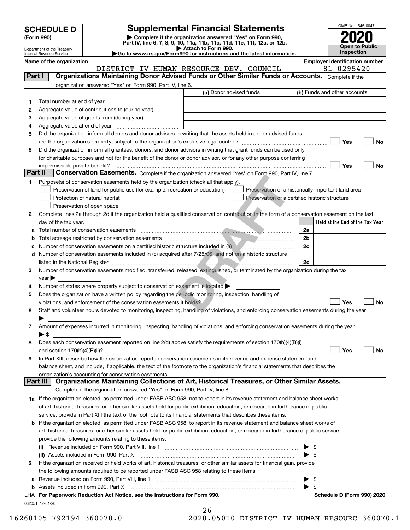| <b>SCHEDULE D</b> |  |
|-------------------|--|
|-------------------|--|

Department of the Treasury Internal Revenue Service

| (Form 990) |  |
|------------|--|
|------------|--|

## **Supplemental Financial Statements**

(Form 990)<br>
Pepartment of the Treasury<br>
Department of the Treasury<br>
Department of the Treasury<br>
Department of the Treasury<br> **Co to www.irs.gov/Form990 for instructions and the latest information.**<br> **Co to www.irs.gov/Form9** 





| Name of the organization                                                                        |  |  |  |                                         |  |  | <b>Employer identification number</b> |  |
|-------------------------------------------------------------------------------------------------|--|--|--|-----------------------------------------|--|--|---------------------------------------|--|
|                                                                                                 |  |  |  | DISTRICT IV HUMAN RESOURCE DEV. COUNCIL |  |  | 81-0295420                            |  |
| $D$ ort $I$<br>Organizationa Mainteining Denar Advised Eunde or Other Similar Eunde or Acogunta |  |  |  |                                         |  |  |                                       |  |

| Part I         | <b>Organizations Maintaining Donor Advised Funds or Other Similar Funds or Accounts.</b> Complete if the                                                                 |                         |                                                                                                                                                |
|----------------|--------------------------------------------------------------------------------------------------------------------------------------------------------------------------|-------------------------|------------------------------------------------------------------------------------------------------------------------------------------------|
|                | organization answered "Yes" on Form 990, Part IV, line 6.                                                                                                                |                         |                                                                                                                                                |
|                |                                                                                                                                                                          | (a) Donor advised funds | (b) Funds and other accounts                                                                                                                   |
| 1.             |                                                                                                                                                                          |                         |                                                                                                                                                |
| 2              | Aggregate value of contributions to (during year)                                                                                                                        |                         |                                                                                                                                                |
| з              | Aggregate value of grants from (during year)                                                                                                                             |                         |                                                                                                                                                |
| 4              |                                                                                                                                                                          |                         |                                                                                                                                                |
| 5              | Did the organization inform all donors and donor advisors in writing that the assets held in donor advised funds                                                         |                         |                                                                                                                                                |
|                |                                                                                                                                                                          |                         | Yes<br>No                                                                                                                                      |
| 6              | Did the organization inform all grantees, donors, and donor advisors in writing that grant funds can be used only                                                        |                         |                                                                                                                                                |
|                | for charitable purposes and not for the benefit of the donor or donor advisor, or for any other purpose conferring                                                       |                         |                                                                                                                                                |
|                |                                                                                                                                                                          |                         | Yes<br>No                                                                                                                                      |
| <b>Part II</b> | Conservation Easements. Complete if the organization answered "Yes" on Form 990, Part IV, line 7.                                                                        |                         |                                                                                                                                                |
| 1              | Purpose(s) of conservation easements held by the organization (check all that apply).                                                                                    |                         |                                                                                                                                                |
|                | Preservation of land for public use (for example, recreation or education)                                                                                               |                         | Preservation of a historically important land area                                                                                             |
|                | Protection of natural habitat                                                                                                                                            |                         | Preservation of a certified historic structure                                                                                                 |
|                | Preservation of open space                                                                                                                                               |                         |                                                                                                                                                |
| 2              | Complete lines 2a through 2d if the organization held a qualified conservation contribution in the form of a conservation easement on the last                           |                         |                                                                                                                                                |
|                | day of the tax year.                                                                                                                                                     |                         | Held at the End of the Tax Year                                                                                                                |
| a              | Total number of conservation easements                                                                                                                                   |                         | 2a                                                                                                                                             |
| b              | Total acreage restricted by conservation easements                                                                                                                       |                         | 2 <sub>b</sub>                                                                                                                                 |
| c              | Number of conservation easements on a certified historic structure included in (a)                                                                                       |                         | 2c                                                                                                                                             |
| d              | Number of conservation easements included in (c) acquired after 7/25/06, and not on a historic structure                                                                 |                         |                                                                                                                                                |
|                | listed in the National Register [11] matter development and the National Property of the National Register [11                                                           |                         | 2d                                                                                                                                             |
| 3              | Number of conservation easements modified, transferred, released, extinguished, or terminated by the organization during the tax                                         |                         |                                                                                                                                                |
|                | $year \blacktriangleright$                                                                                                                                               |                         |                                                                                                                                                |
| 4              | Number of states where property subject to conservation easement is located >                                                                                            |                         |                                                                                                                                                |
| 5              | Does the organization have a written policy regarding the periodic monitoring, inspection, handling of                                                                   |                         |                                                                                                                                                |
|                | violations, and enforcement of the conservation easements it holds?                                                                                                      |                         | Yes<br><b>No</b>                                                                                                                               |
| 6              | Staff and volunteer hours devoted to monitoring, inspecting, handling of violations, and enforcing conservation easements during the year                                |                         |                                                                                                                                                |
|                |                                                                                                                                                                          |                         |                                                                                                                                                |
| 7              | Amount of expenses incurred in monitoring, inspecting, handling of violations, and enforcing conservation easements during the year                                      |                         |                                                                                                                                                |
|                | $\blacktriangleright$ \$                                                                                                                                                 |                         |                                                                                                                                                |
| 8              | Does each conservation easement reported on line 2(d) above satisfy the requirements of section 170(h)(4)(B)(i)                                                          |                         |                                                                                                                                                |
|                |                                                                                                                                                                          |                         | Yes<br>No                                                                                                                                      |
| 9              | In Part XIII, describe how the organization reports conservation easements in its revenue and expense statement and                                                      |                         |                                                                                                                                                |
|                | balance sheet, and include, if applicable, the text of the footnote to the organization's financial statements that describes the                                        |                         |                                                                                                                                                |
|                | organization's accounting for conservation easements.<br>Part III<br>Organizations Maintaining Collections of Art, Historical Treasures, or Other Similar Assets.        |                         |                                                                                                                                                |
|                | Complete if the organization answered "Yes" on Form 990, Part IV, line 8.                                                                                                |                         |                                                                                                                                                |
|                | 1a If the organization elected, as permitted under FASB ASC 958, not to report in its revenue statement and balance sheet works                                          |                         |                                                                                                                                                |
|                | of art, historical treasures, or other similar assets held for public exhibition, education, or research in furtherance of public                                        |                         |                                                                                                                                                |
|                | service, provide in Part XIII the text of the footnote to its financial statements that describes these items.                                                           |                         |                                                                                                                                                |
|                | If the organization elected, as permitted under FASB ASC 958, to report in its revenue statement and balance sheet works of                                              |                         |                                                                                                                                                |
| b              | art, historical treasures, or other similar assets held for public exhibition, education, or research in furtherance of public service,                                  |                         |                                                                                                                                                |
|                |                                                                                                                                                                          |                         |                                                                                                                                                |
|                | provide the following amounts relating to these items:                                                                                                                   |                         |                                                                                                                                                |
|                |                                                                                                                                                                          |                         | $\frac{1}{2}$                                                                                                                                  |
| $\mathbf{2}$   | (ii) Assets included in Form 990, Part X<br>If the organization received or held works of art, historical treasures, or other similar assets for financial gain, provide |                         |                                                                                                                                                |
|                | the following amounts required to be reported under FASB ASC 958 relating to these items:                                                                                |                         |                                                                                                                                                |
|                |                                                                                                                                                                          |                         | \$                                                                                                                                             |
|                | <b>b</b> Assets included in Form 990, Part X                                                                                                                             |                         | <u> 1989 - John Harry Harry Harry Harry Harry Harry Harry Harry Harry Harry Harry Harry Harry Harry Harry Harry</u><br>$\blacktriangleright$ s |
|                | LHA For Paperwork Reduction Act Notice, see the Instructions for Form 990.                                                                                               |                         | Schedule D (Form 990) 2020                                                                                                                     |
|                | 032051 12-01-20                                                                                                                                                          |                         |                                                                                                                                                |
|                |                                                                                                                                                                          | n c                     |                                                                                                                                                |

| 26 |  |        |  |  |
|----|--|--------|--|--|
| `` |  | 0.0010 |  |  |

16260105 792194 360070.0 2020.05010 DISTRICT IV HUMAN RESOURC 360070.1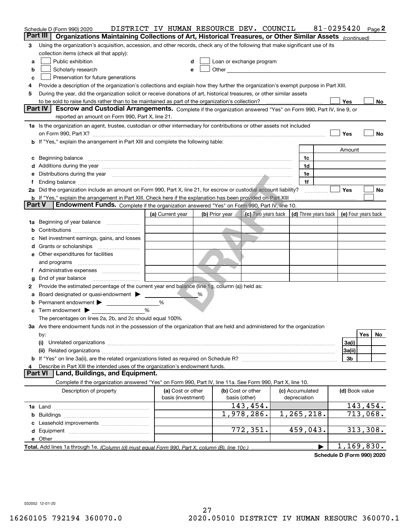|   | Schedule D (Form 990) 2020                                                                                                                                                                                                                                                                                                  | DISTRICT IV HUMAN RESOURCE DEV. COUNCIL |                |                          |                                                                 |                 | 81-0295420 |                | Page 2                 |
|---|-----------------------------------------------------------------------------------------------------------------------------------------------------------------------------------------------------------------------------------------------------------------------------------------------------------------------------|-----------------------------------------|----------------|--------------------------|-----------------------------------------------------------------|-----------------|------------|----------------|------------------------|
|   | Part III<br>Organizations Maintaining Collections of Art, Historical Treasures, or Other Similar Assets (continued)                                                                                                                                                                                                         |                                         |                |                          |                                                                 |                 |            |                |                        |
| 3 | Using the organization's acquisition, accession, and other records, check any of the following that make significant use of its                                                                                                                                                                                             |                                         |                |                          |                                                                 |                 |            |                |                        |
|   | collection items (check all that apply):                                                                                                                                                                                                                                                                                    |                                         |                |                          |                                                                 |                 |            |                |                        |
| a | Public exhibition                                                                                                                                                                                                                                                                                                           | d                                       |                | Loan or exchange program |                                                                 |                 |            |                |                        |
| b | Scholarly research                                                                                                                                                                                                                                                                                                          | e                                       |                |                          |                                                                 |                 |            |                |                        |
| c | Preservation for future generations                                                                                                                                                                                                                                                                                         |                                         |                |                          |                                                                 |                 |            |                |                        |
| 4 | Provide a description of the organization's collections and explain how they further the organization's exempt purpose in Part XIII.                                                                                                                                                                                        |                                         |                |                          |                                                                 |                 |            |                |                        |
| 5 | During the year, did the organization solicit or receive donations of art, historical treasures, or other similar assets                                                                                                                                                                                                    |                                         |                |                          |                                                                 |                 |            |                |                        |
|   | <b>Part IV</b><br>Escrow and Custodial Arrangements. Complete if the organization answered "Yes" on Form 990, Part IV, line 9, or                                                                                                                                                                                           |                                         |                |                          |                                                                 |                 |            | Yes            | No                     |
|   | reported an amount on Form 990, Part X, line 21.                                                                                                                                                                                                                                                                            |                                         |                |                          |                                                                 |                 |            |                |                        |
|   |                                                                                                                                                                                                                                                                                                                             |                                         |                |                          |                                                                 |                 |            |                |                        |
|   | 1a Is the organization an agent, trustee, custodian or other intermediary for contributions or other assets not included                                                                                                                                                                                                    |                                         |                |                          |                                                                 |                 |            | Yes            | No                     |
|   | on Form 990, Part X? [11] matter contracts and contracts and contracts are contracted as a function of the set of the set of the set of the set of the set of the set of the set of the set of the set of the set of the set o<br><b>b</b> If "Yes," explain the arrangement in Part XIII and complete the following table: |                                         |                |                          |                                                                 |                 |            |                |                        |
|   |                                                                                                                                                                                                                                                                                                                             |                                         |                |                          |                                                                 |                 |            | Amount         |                        |
|   | c Beginning balance measurements and the contract of the contract of the contract of the contract of the contract of the contract of the contract of the contract of the contract of the contract of the contract of the contr                                                                                              |                                         |                |                          |                                                                 | 1c              |            |                |                        |
|   | d Additions during the year measurement contains and a state of the year measurement of the year measurement of                                                                                                                                                                                                             |                                         |                |                          |                                                                 | 1d              |            |                |                        |
|   | e Distributions during the year manufactured and continuum and contract the year manufactured and contract the                                                                                                                                                                                                              |                                         |                |                          |                                                                 | 1e              |            |                |                        |
| f |                                                                                                                                                                                                                                                                                                                             |                                         |                |                          |                                                                 | 1f              |            |                |                        |
|   | 2a Did the organization include an amount on Form 990, Part X, line 21, for escrow or custodial account liability?                                                                                                                                                                                                          |                                         |                |                          |                                                                 |                 |            | <b>Yes</b>     | No                     |
|   | <b>b</b> If "Yes," explain the arrangement in Part XIII. Check here if the explanation has been provided on Part XIII                                                                                                                                                                                                       |                                         |                |                          |                                                                 |                 |            |                |                        |
|   | <b>Part V</b><br>Endowment Funds. Complete if the organization answered "Yes" on Form 990, Part IV, line 10.                                                                                                                                                                                                                |                                         |                |                          |                                                                 |                 |            |                |                        |
|   |                                                                                                                                                                                                                                                                                                                             | (a) Current year                        | (b) Prior year |                          | (c) Two years back   (d) Three years back   (e) Four years back |                 |            |                |                        |
|   | 1a Beginning of year balance                                                                                                                                                                                                                                                                                                |                                         |                |                          |                                                                 |                 |            |                |                        |
|   |                                                                                                                                                                                                                                                                                                                             |                                         |                |                          |                                                                 |                 |            |                |                        |
|   | c Net investment earnings, gains, and losses                                                                                                                                                                                                                                                                                |                                         |                |                          |                                                                 |                 |            |                |                        |
|   |                                                                                                                                                                                                                                                                                                                             |                                         |                |                          |                                                                 |                 |            |                |                        |
|   | <b>e</b> Other expenditures for facilities                                                                                                                                                                                                                                                                                  |                                         |                |                          |                                                                 |                 |            |                |                        |
|   |                                                                                                                                                                                                                                                                                                                             |                                         |                |                          |                                                                 |                 |            |                |                        |
|   |                                                                                                                                                                                                                                                                                                                             |                                         |                |                          |                                                                 |                 |            |                |                        |
| g | End of year balance                                                                                                                                                                                                                                                                                                         |                                         |                |                          |                                                                 |                 |            |                |                        |
| 2 | Provide the estimated percentage of the current year end balance (line 1g, column (a)) held as:                                                                                                                                                                                                                             |                                         |                |                          |                                                                 |                 |            |                |                        |
|   | a Board designated or quasi-endowment > _____                                                                                                                                                                                                                                                                               |                                         |                |                          |                                                                 |                 |            |                |                        |
|   | <b>b</b> Permanent endowment > ____________                                                                                                                                                                                                                                                                                 | %                                       |                |                          |                                                                 |                 |            |                |                        |
|   | $\mathbf c$ Term endowment $\blacktriangleright$                                                                                                                                                                                                                                                                            | $\frac{0}{6}$                           |                |                          |                                                                 |                 |            |                |                        |
|   | The percentages on lines 2a, 2b, and 2c should equal 100%.                                                                                                                                                                                                                                                                  |                                         |                |                          |                                                                 |                 |            |                |                        |
|   | 3a Are there endowment funds not in the possession of the organization that are held and administered for the organization                                                                                                                                                                                                  |                                         |                |                          |                                                                 |                 |            |                |                        |
|   | by:                                                                                                                                                                                                                                                                                                                         |                                         |                |                          |                                                                 |                 |            |                | Yes<br>No              |
|   | (i)                                                                                                                                                                                                                                                                                                                         |                                         |                |                          |                                                                 |                 |            | 3a(i)          |                        |
|   |                                                                                                                                                                                                                                                                                                                             |                                         |                |                          |                                                                 |                 |            | 3a(ii)         |                        |
|   |                                                                                                                                                                                                                                                                                                                             |                                         |                |                          |                                                                 |                 |            | 3b             |                        |
| 4 | Describe in Part XIII the intended uses of the organization's endowment funds.<br>Land, Buildings, and Equipment.<br><b>Part VI</b>                                                                                                                                                                                         |                                         |                |                          |                                                                 |                 |            |                |                        |
|   | Complete if the organization answered "Yes" on Form 990, Part IV, line 11a. See Form 990, Part X, line 10.                                                                                                                                                                                                                  |                                         |                |                          |                                                                 |                 |            |                |                        |
|   | Description of property                                                                                                                                                                                                                                                                                                     | (a) Cost or other                       |                | (b) Cost or other        |                                                                 | (c) Accumulated |            | (d) Book value |                        |
|   |                                                                                                                                                                                                                                                                                                                             | basis (investment)                      |                | basis (other)            |                                                                 | depreciation    |            |                |                        |
|   |                                                                                                                                                                                                                                                                                                                             |                                         |                | 143,454.                 |                                                                 |                 |            |                | 143,454.               |
|   |                                                                                                                                                                                                                                                                                                                             |                                         |                | 1,978,286.               |                                                                 | 1,265,218.      |            |                | $\overline{713,068}$ . |
|   |                                                                                                                                                                                                                                                                                                                             |                                         |                |                          |                                                                 |                 |            |                |                        |
|   |                                                                                                                                                                                                                                                                                                                             |                                         |                | 772,351.                 |                                                                 | 459,043.        |            |                | 313,308.               |
|   |                                                                                                                                                                                                                                                                                                                             |                                         |                |                          |                                                                 |                 |            |                |                        |
|   |                                                                                                                                                                                                                                                                                                                             |                                         |                |                          |                                                                 |                 | ▶          |                | 1,169,830.             |

**Schedule D (Form 990) 2020**

032052 12-01-20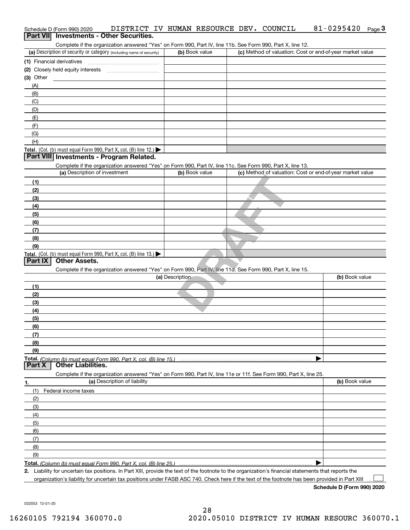| Complete if the organization answered "Yes" on Form 990, Part IV, line 11b. See Form 990, Part X, line 12.<br>(a) Description of security or category (including name of security)<br>(c) Method of valuation: Cost or end-of-year market value<br>(b) Book value<br>(A)<br>(B)<br>(C)<br>(D)<br>(E)<br>(F)<br>(G)<br>(H)<br>Part VIII Investments - Program Related.<br>Complete if the organization answered "Yes" on Form 990, Part IV, line 11c. See Form 990, Part X, line 13.<br>(a) Description of investment<br>(c) Method of valuation: Cost or end-of-year market value<br>(b) Book value<br>(1)<br>(2)<br>(3)<br>(4)<br>(5)<br>(6)<br>(7)<br>(8)<br>(9)<br>Total. (Col. (b) must equal Form 990, Part X, col. (B) line 13.)<br><b>Other Assets.</b><br>Part IX<br>Complete if the organization answered "Yes" on Form 990, Part IV, line 11d. See Form 990, Part X, line 15.<br>(a) Description<br>(b) Book value<br>(1)<br>(2)<br>(3)<br>(4)<br>(5)<br>(6)<br>(7)<br>(8)<br>(9)<br><b>Other Liabilities.</b><br>Part X<br>Complete if the organization answered "Yes" on Form 990, Part IV, line 11e or 11f. See Form 990, Part X, line 25.<br>(a) Description of liability<br>(b) Book value<br>(1)<br>Federal income taxes<br>(2)<br>(3)<br>(4)<br>(5)<br>(6)<br>(7)<br>(8)<br>(9)<br>Liability for uncertain tax positions. In Part XIII, provide the text of the footnote to the organization's financial statements that reports the<br>2. | Schedule D (Form 990) 2020                                                             | DISTRICT IV HUMAN RESOURCE DEV. COUNCIL | 81-0295420<br>Page $3$ |
|-------------------------------------------------------------------------------------------------------------------------------------------------------------------------------------------------------------------------------------------------------------------------------------------------------------------------------------------------------------------------------------------------------------------------------------------------------------------------------------------------------------------------------------------------------------------------------------------------------------------------------------------------------------------------------------------------------------------------------------------------------------------------------------------------------------------------------------------------------------------------------------------------------------------------------------------------------------------------------------------------------------------------------------------------------------------------------------------------------------------------------------------------------------------------------------------------------------------------------------------------------------------------------------------------------------------------------------------------------------------------------------------------------------------------------------------------------------|----------------------------------------------------------------------------------------|-----------------------------------------|------------------------|
|                                                                                                                                                                                                                                                                                                                                                                                                                                                                                                                                                                                                                                                                                                                                                                                                                                                                                                                                                                                                                                                                                                                                                                                                                                                                                                                                                                                                                                                             | Part VII Investments - Other Securities.                                               |                                         |                        |
|                                                                                                                                                                                                                                                                                                                                                                                                                                                                                                                                                                                                                                                                                                                                                                                                                                                                                                                                                                                                                                                                                                                                                                                                                                                                                                                                                                                                                                                             |                                                                                        |                                         |                        |
|                                                                                                                                                                                                                                                                                                                                                                                                                                                                                                                                                                                                                                                                                                                                                                                                                                                                                                                                                                                                                                                                                                                                                                                                                                                                                                                                                                                                                                                             |                                                                                        |                                         |                        |
|                                                                                                                                                                                                                                                                                                                                                                                                                                                                                                                                                                                                                                                                                                                                                                                                                                                                                                                                                                                                                                                                                                                                                                                                                                                                                                                                                                                                                                                             |                                                                                        |                                         |                        |
|                                                                                                                                                                                                                                                                                                                                                                                                                                                                                                                                                                                                                                                                                                                                                                                                                                                                                                                                                                                                                                                                                                                                                                                                                                                                                                                                                                                                                                                             |                                                                                        |                                         |                        |
|                                                                                                                                                                                                                                                                                                                                                                                                                                                                                                                                                                                                                                                                                                                                                                                                                                                                                                                                                                                                                                                                                                                                                                                                                                                                                                                                                                                                                                                             | $(3)$ Other                                                                            |                                         |                        |
|                                                                                                                                                                                                                                                                                                                                                                                                                                                                                                                                                                                                                                                                                                                                                                                                                                                                                                                                                                                                                                                                                                                                                                                                                                                                                                                                                                                                                                                             |                                                                                        |                                         |                        |
|                                                                                                                                                                                                                                                                                                                                                                                                                                                                                                                                                                                                                                                                                                                                                                                                                                                                                                                                                                                                                                                                                                                                                                                                                                                                                                                                                                                                                                                             |                                                                                        |                                         |                        |
|                                                                                                                                                                                                                                                                                                                                                                                                                                                                                                                                                                                                                                                                                                                                                                                                                                                                                                                                                                                                                                                                                                                                                                                                                                                                                                                                                                                                                                                             |                                                                                        |                                         |                        |
|                                                                                                                                                                                                                                                                                                                                                                                                                                                                                                                                                                                                                                                                                                                                                                                                                                                                                                                                                                                                                                                                                                                                                                                                                                                                                                                                                                                                                                                             |                                                                                        |                                         |                        |
|                                                                                                                                                                                                                                                                                                                                                                                                                                                                                                                                                                                                                                                                                                                                                                                                                                                                                                                                                                                                                                                                                                                                                                                                                                                                                                                                                                                                                                                             |                                                                                        |                                         |                        |
|                                                                                                                                                                                                                                                                                                                                                                                                                                                                                                                                                                                                                                                                                                                                                                                                                                                                                                                                                                                                                                                                                                                                                                                                                                                                                                                                                                                                                                                             |                                                                                        |                                         |                        |
|                                                                                                                                                                                                                                                                                                                                                                                                                                                                                                                                                                                                                                                                                                                                                                                                                                                                                                                                                                                                                                                                                                                                                                                                                                                                                                                                                                                                                                                             |                                                                                        |                                         |                        |
|                                                                                                                                                                                                                                                                                                                                                                                                                                                                                                                                                                                                                                                                                                                                                                                                                                                                                                                                                                                                                                                                                                                                                                                                                                                                                                                                                                                                                                                             |                                                                                        |                                         |                        |
|                                                                                                                                                                                                                                                                                                                                                                                                                                                                                                                                                                                                                                                                                                                                                                                                                                                                                                                                                                                                                                                                                                                                                                                                                                                                                                                                                                                                                                                             | Total. (Col. (b) must equal Form 990, Part X, col. (B) line 12.) $\blacktriangleright$ |                                         |                        |
|                                                                                                                                                                                                                                                                                                                                                                                                                                                                                                                                                                                                                                                                                                                                                                                                                                                                                                                                                                                                                                                                                                                                                                                                                                                                                                                                                                                                                                                             |                                                                                        |                                         |                        |
|                                                                                                                                                                                                                                                                                                                                                                                                                                                                                                                                                                                                                                                                                                                                                                                                                                                                                                                                                                                                                                                                                                                                                                                                                                                                                                                                                                                                                                                             |                                                                                        |                                         |                        |
|                                                                                                                                                                                                                                                                                                                                                                                                                                                                                                                                                                                                                                                                                                                                                                                                                                                                                                                                                                                                                                                                                                                                                                                                                                                                                                                                                                                                                                                             |                                                                                        |                                         |                        |
|                                                                                                                                                                                                                                                                                                                                                                                                                                                                                                                                                                                                                                                                                                                                                                                                                                                                                                                                                                                                                                                                                                                                                                                                                                                                                                                                                                                                                                                             |                                                                                        |                                         |                        |
|                                                                                                                                                                                                                                                                                                                                                                                                                                                                                                                                                                                                                                                                                                                                                                                                                                                                                                                                                                                                                                                                                                                                                                                                                                                                                                                                                                                                                                                             |                                                                                        |                                         |                        |
|                                                                                                                                                                                                                                                                                                                                                                                                                                                                                                                                                                                                                                                                                                                                                                                                                                                                                                                                                                                                                                                                                                                                                                                                                                                                                                                                                                                                                                                             |                                                                                        |                                         |                        |
|                                                                                                                                                                                                                                                                                                                                                                                                                                                                                                                                                                                                                                                                                                                                                                                                                                                                                                                                                                                                                                                                                                                                                                                                                                                                                                                                                                                                                                                             |                                                                                        |                                         |                        |
|                                                                                                                                                                                                                                                                                                                                                                                                                                                                                                                                                                                                                                                                                                                                                                                                                                                                                                                                                                                                                                                                                                                                                                                                                                                                                                                                                                                                                                                             |                                                                                        |                                         |                        |
|                                                                                                                                                                                                                                                                                                                                                                                                                                                                                                                                                                                                                                                                                                                                                                                                                                                                                                                                                                                                                                                                                                                                                                                                                                                                                                                                                                                                                                                             |                                                                                        |                                         |                        |
|                                                                                                                                                                                                                                                                                                                                                                                                                                                                                                                                                                                                                                                                                                                                                                                                                                                                                                                                                                                                                                                                                                                                                                                                                                                                                                                                                                                                                                                             |                                                                                        |                                         |                        |
|                                                                                                                                                                                                                                                                                                                                                                                                                                                                                                                                                                                                                                                                                                                                                                                                                                                                                                                                                                                                                                                                                                                                                                                                                                                                                                                                                                                                                                                             |                                                                                        |                                         |                        |
|                                                                                                                                                                                                                                                                                                                                                                                                                                                                                                                                                                                                                                                                                                                                                                                                                                                                                                                                                                                                                                                                                                                                                                                                                                                                                                                                                                                                                                                             |                                                                                        |                                         |                        |
|                                                                                                                                                                                                                                                                                                                                                                                                                                                                                                                                                                                                                                                                                                                                                                                                                                                                                                                                                                                                                                                                                                                                                                                                                                                                                                                                                                                                                                                             |                                                                                        |                                         |                        |
|                                                                                                                                                                                                                                                                                                                                                                                                                                                                                                                                                                                                                                                                                                                                                                                                                                                                                                                                                                                                                                                                                                                                                                                                                                                                                                                                                                                                                                                             |                                                                                        |                                         |                        |
|                                                                                                                                                                                                                                                                                                                                                                                                                                                                                                                                                                                                                                                                                                                                                                                                                                                                                                                                                                                                                                                                                                                                                                                                                                                                                                                                                                                                                                                             |                                                                                        |                                         |                        |
|                                                                                                                                                                                                                                                                                                                                                                                                                                                                                                                                                                                                                                                                                                                                                                                                                                                                                                                                                                                                                                                                                                                                                                                                                                                                                                                                                                                                                                                             |                                                                                        |                                         |                        |
|                                                                                                                                                                                                                                                                                                                                                                                                                                                                                                                                                                                                                                                                                                                                                                                                                                                                                                                                                                                                                                                                                                                                                                                                                                                                                                                                                                                                                                                             |                                                                                        |                                         |                        |
|                                                                                                                                                                                                                                                                                                                                                                                                                                                                                                                                                                                                                                                                                                                                                                                                                                                                                                                                                                                                                                                                                                                                                                                                                                                                                                                                                                                                                                                             |                                                                                        |                                         |                        |
|                                                                                                                                                                                                                                                                                                                                                                                                                                                                                                                                                                                                                                                                                                                                                                                                                                                                                                                                                                                                                                                                                                                                                                                                                                                                                                                                                                                                                                                             |                                                                                        |                                         |                        |
|                                                                                                                                                                                                                                                                                                                                                                                                                                                                                                                                                                                                                                                                                                                                                                                                                                                                                                                                                                                                                                                                                                                                                                                                                                                                                                                                                                                                                                                             |                                                                                        |                                         |                        |
|                                                                                                                                                                                                                                                                                                                                                                                                                                                                                                                                                                                                                                                                                                                                                                                                                                                                                                                                                                                                                                                                                                                                                                                                                                                                                                                                                                                                                                                             |                                                                                        |                                         |                        |
|                                                                                                                                                                                                                                                                                                                                                                                                                                                                                                                                                                                                                                                                                                                                                                                                                                                                                                                                                                                                                                                                                                                                                                                                                                                                                                                                                                                                                                                             |                                                                                        |                                         |                        |
|                                                                                                                                                                                                                                                                                                                                                                                                                                                                                                                                                                                                                                                                                                                                                                                                                                                                                                                                                                                                                                                                                                                                                                                                                                                                                                                                                                                                                                                             |                                                                                        |                                         |                        |
|                                                                                                                                                                                                                                                                                                                                                                                                                                                                                                                                                                                                                                                                                                                                                                                                                                                                                                                                                                                                                                                                                                                                                                                                                                                                                                                                                                                                                                                             |                                                                                        |                                         |                        |
|                                                                                                                                                                                                                                                                                                                                                                                                                                                                                                                                                                                                                                                                                                                                                                                                                                                                                                                                                                                                                                                                                                                                                                                                                                                                                                                                                                                                                                                             |                                                                                        |                                         |                        |
|                                                                                                                                                                                                                                                                                                                                                                                                                                                                                                                                                                                                                                                                                                                                                                                                                                                                                                                                                                                                                                                                                                                                                                                                                                                                                                                                                                                                                                                             |                                                                                        |                                         |                        |
|                                                                                                                                                                                                                                                                                                                                                                                                                                                                                                                                                                                                                                                                                                                                                                                                                                                                                                                                                                                                                                                                                                                                                                                                                                                                                                                                                                                                                                                             |                                                                                        |                                         |                        |
|                                                                                                                                                                                                                                                                                                                                                                                                                                                                                                                                                                                                                                                                                                                                                                                                                                                                                                                                                                                                                                                                                                                                                                                                                                                                                                                                                                                                                                                             |                                                                                        |                                         |                        |
|                                                                                                                                                                                                                                                                                                                                                                                                                                                                                                                                                                                                                                                                                                                                                                                                                                                                                                                                                                                                                                                                                                                                                                                                                                                                                                                                                                                                                                                             | 1.                                                                                     |                                         |                        |
|                                                                                                                                                                                                                                                                                                                                                                                                                                                                                                                                                                                                                                                                                                                                                                                                                                                                                                                                                                                                                                                                                                                                                                                                                                                                                                                                                                                                                                                             |                                                                                        |                                         |                        |
|                                                                                                                                                                                                                                                                                                                                                                                                                                                                                                                                                                                                                                                                                                                                                                                                                                                                                                                                                                                                                                                                                                                                                                                                                                                                                                                                                                                                                                                             |                                                                                        |                                         |                        |
|                                                                                                                                                                                                                                                                                                                                                                                                                                                                                                                                                                                                                                                                                                                                                                                                                                                                                                                                                                                                                                                                                                                                                                                                                                                                                                                                                                                                                                                             |                                                                                        |                                         |                        |
|                                                                                                                                                                                                                                                                                                                                                                                                                                                                                                                                                                                                                                                                                                                                                                                                                                                                                                                                                                                                                                                                                                                                                                                                                                                                                                                                                                                                                                                             |                                                                                        |                                         |                        |
|                                                                                                                                                                                                                                                                                                                                                                                                                                                                                                                                                                                                                                                                                                                                                                                                                                                                                                                                                                                                                                                                                                                                                                                                                                                                                                                                                                                                                                                             |                                                                                        |                                         |                        |
|                                                                                                                                                                                                                                                                                                                                                                                                                                                                                                                                                                                                                                                                                                                                                                                                                                                                                                                                                                                                                                                                                                                                                                                                                                                                                                                                                                                                                                                             |                                                                                        |                                         |                        |
|                                                                                                                                                                                                                                                                                                                                                                                                                                                                                                                                                                                                                                                                                                                                                                                                                                                                                                                                                                                                                                                                                                                                                                                                                                                                                                                                                                                                                                                             |                                                                                        |                                         |                        |
|                                                                                                                                                                                                                                                                                                                                                                                                                                                                                                                                                                                                                                                                                                                                                                                                                                                                                                                                                                                                                                                                                                                                                                                                                                                                                                                                                                                                                                                             |                                                                                        |                                         |                        |
|                                                                                                                                                                                                                                                                                                                                                                                                                                                                                                                                                                                                                                                                                                                                                                                                                                                                                                                                                                                                                                                                                                                                                                                                                                                                                                                                                                                                                                                             |                                                                                        |                                         |                        |
|                                                                                                                                                                                                                                                                                                                                                                                                                                                                                                                                                                                                                                                                                                                                                                                                                                                                                                                                                                                                                                                                                                                                                                                                                                                                                                                                                                                                                                                             |                                                                                        |                                         |                        |
|                                                                                                                                                                                                                                                                                                                                                                                                                                                                                                                                                                                                                                                                                                                                                                                                                                                                                                                                                                                                                                                                                                                                                                                                                                                                                                                                                                                                                                                             |                                                                                        |                                         |                        |
| organization's liability for uncertain tax positions under FASB ASC 740. Check here if the text of the footnote has been provided in Part XIII                                                                                                                                                                                                                                                                                                                                                                                                                                                                                                                                                                                                                                                                                                                                                                                                                                                                                                                                                                                                                                                                                                                                                                                                                                                                                                              |                                                                                        |                                         |                        |

**Schedule D (Form 990) 2020**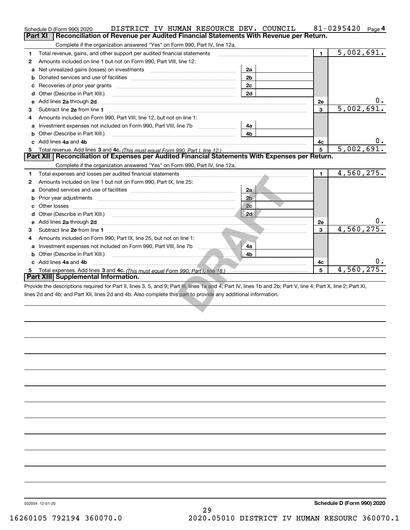|    | DISTRICT IV HUMAN RESOURCE DEV. COUNCIL<br>Schedule D (Form 990) 2020                                                                                                                                |                |              | 81-0295420<br>Page 4 |
|----|------------------------------------------------------------------------------------------------------------------------------------------------------------------------------------------------------|----------------|--------------|----------------------|
|    | Reconciliation of Revenue per Audited Financial Statements With Revenue per Return.<br><b>Part XI</b>                                                                                                |                |              |                      |
|    | Complete if the organization answered "Yes" on Form 990, Part IV, line 12a.                                                                                                                          |                |              |                      |
| 1. | Total revenue, gains, and other support per audited financial statements                                                                                                                             |                | $\mathbf{1}$ | 5,002,691.           |
| 2  | Amounts included on line 1 but not on Form 990, Part VIII, line 12:                                                                                                                                  |                |              |                      |
| a  |                                                                                                                                                                                                      | 2a             |              |                      |
| b  |                                                                                                                                                                                                      | 2 <sub>b</sub> |              |                      |
| c  |                                                                                                                                                                                                      | 2c             |              |                      |
|    | <b>d</b> Other (Describe in Part XIII.)                                                                                                                                                              | 2d             |              |                      |
| e  | Add lines 2a through 2d                                                                                                                                                                              |                | 2e           |                      |
| 3  |                                                                                                                                                                                                      |                | 3            | 5,002,691.           |
| 4  | Amounts included on Form 990, Part VIII, line 12, but not on line 1:                                                                                                                                 |                |              |                      |
| a  | Investment expenses not included on Form 990, Part VIII, line 7b                                                                                                                                     | 4a             |              |                      |
| b  | Other (Describe in Part XIII.)                                                                                                                                                                       | 4b             |              |                      |
|    | Add lines 4a and 4b                                                                                                                                                                                  |                | 4с           | 0.                   |
| 5  |                                                                                                                                                                                                      |                | 5            | 5,002,691.           |
|    | Part XII   Reconciliation of Expenses per Audited Financial Statements With Expenses per Return.                                                                                                     |                |              |                      |
|    | Complete if the organization answered "Yes" on Form 990, Part IV, line 12a.                                                                                                                          |                |              |                      |
| 1  | Total expenses and losses per audited financial statements [11] [12] Total expenses and losses per audited financial statements [11] [12] Total expenses and losses per audited financial statements |                | $\mathbf{1}$ | 4,560,275.           |
| 2  | Amounts included on line 1 but not on Form 990, Part IX, line 25:                                                                                                                                    |                |              |                      |
| a  |                                                                                                                                                                                                      | 2a             |              |                      |
| b  |                                                                                                                                                                                                      | 2 <sub>b</sub> |              |                      |
|    | Other losses                                                                                                                                                                                         | 2 <sub>c</sub> |              |                      |
|    |                                                                                                                                                                                                      |                |              |                      |
|    | Add lines 2a through 2d                                                                                                                                                                              |                | 2e           |                      |
| 3  |                                                                                                                                                                                                      |                | $\mathbf{3}$ | 4,560,275.           |
| 4  | Amounts included on Form 990, Part IX, line 25, but not on line 1:                                                                                                                                   |                |              |                      |
| a  |                                                                                                                                                                                                      | 4a             |              |                      |
|    |                                                                                                                                                                                                      | 4b             |              |                      |
|    | c Add lines 4a and 4b                                                                                                                                                                                |                | 4c           |                      |
| 5  |                                                                                                                                                                                                      |                | 5            | 4,560,275.           |
|    | Part XIII Supplemental Information.                                                                                                                                                                  |                |              |                      |
|    | Provide the descriptions required for Part II, lines 3, 5, and 9; Part III, lines 1a and 4; Part IV, lines 1b and 2b; Part V, line 4; Part X, line 2; Part XI,                                       |                |              |                      |
|    | lines 2d and 4b; and Part XII, lines 2d and 4b. Also complete this part to provide any additional information.                                                                                       |                |              |                      |
|    |                                                                                                                                                                                                      |                |              |                      |
|    |                                                                                                                                                                                                      |                |              |                      |

032054 12-01-20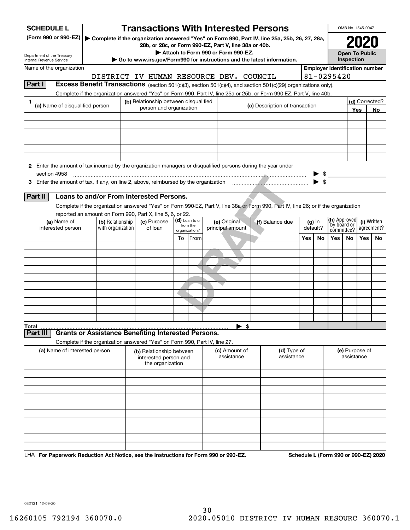| <b>SCHEDULE L</b>                                                                                             |                                                                                                                                    | <b>Transactions With Interested Persons</b>           |                           |      |                                    |                                                                                         |     |                      |                                                                     | OMB No. 1545-0047     |     |                                      |
|---------------------------------------------------------------------------------------------------------------|------------------------------------------------------------------------------------------------------------------------------------|-------------------------------------------------------|---------------------------|------|------------------------------------|-----------------------------------------------------------------------------------------|-----|----------------------|---------------------------------------------------------------------|-----------------------|-----|--------------------------------------|
| (Form 990 or 990-EZ)                                                                                          | Complete if the organization answered "Yes" on Form 990, Part IV, line 25a, 25b, 26, 27, 28a,                                      | 28b, or 28c, or Form 990-EZ, Part V, line 38a or 40b. |                           |      |                                    |                                                                                         |     |                      |                                                                     |                       | 202 |                                      |
| Department of the Treasury                                                                                    |                                                                                                                                    |                                                       |                           |      | Attach to Form 990 or Form 990-EZ. |                                                                                         |     |                      |                                                                     | <b>Open To Public</b> |     |                                      |
| Internal Revenue Service<br>Name of the organization                                                          |                                                                                                                                    |                                                       |                           |      |                                    | $\triangleright$ Go to www.irs.gov/Form990 for instructions and the latest information. |     |                      | <b>Employer identification number</b>                               | Inspection            |     |                                      |
|                                                                                                               | DISTRICT IV HUMAN RESOURCE DEV. COUNCIL                                                                                            |                                                       |                           |      |                                    |                                                                                         |     |                      | 81-0295420                                                          |                       |     |                                      |
| Part I                                                                                                        | Excess Benefit Transactions (section 501(c)(3), section 501(c)(4), and section 501(c)(29) organizations only).                     |                                                       |                           |      |                                    |                                                                                         |     |                      |                                                                     |                       |     |                                      |
|                                                                                                               | Complete if the organization answered "Yes" on Form 990, Part IV, line 25a or 25b, or Form 990-EZ, Part V, line 40b.               |                                                       |                           |      |                                    |                                                                                         |     |                      |                                                                     |                       |     |                                      |
| 1<br>(a) Name of disqualified person                                                                          |                                                                                                                                    | (b) Relationship between disqualified                 |                           |      |                                    | (c) Description of transaction                                                          |     |                      |                                                                     |                       |     | (d) Corrected?                       |
|                                                                                                               |                                                                                                                                    | person and organization                               |                           |      |                                    |                                                                                         |     |                      |                                                                     |                       | Yes | No                                   |
|                                                                                                               |                                                                                                                                    |                                                       |                           |      |                                    |                                                                                         |     |                      |                                                                     |                       |     |                                      |
|                                                                                                               |                                                                                                                                    |                                                       |                           |      |                                    |                                                                                         |     |                      |                                                                     |                       |     |                                      |
|                                                                                                               |                                                                                                                                    |                                                       |                           |      |                                    |                                                                                         |     |                      |                                                                     |                       |     |                                      |
|                                                                                                               |                                                                                                                                    |                                                       |                           |      |                                    |                                                                                         |     |                      |                                                                     |                       |     |                                      |
|                                                                                                               |                                                                                                                                    |                                                       |                           |      |                                    |                                                                                         |     |                      |                                                                     |                       |     |                                      |
| 2 Enter the amount of tax incurred by the organization managers or disqualified persons during the year under |                                                                                                                                    |                                                       |                           |      |                                    |                                                                                         |     |                      |                                                                     |                       |     |                                      |
| section 4958                                                                                                  |                                                                                                                                    |                                                       |                           |      |                                    |                                                                                         |     |                      | $\begin{array}{c} \bullet \ \ \ast \\ \bullet \ \ \ast \end{array}$ |                       |     |                                      |
|                                                                                                               |                                                                                                                                    |                                                       |                           |      |                                    |                                                                                         |     |                      |                                                                     |                       |     |                                      |
| Part II                                                                                                       | Loans to and/or From Interested Persons.                                                                                           |                                                       |                           |      |                                    |                                                                                         |     |                      |                                                                     |                       |     |                                      |
|                                                                                                               | Complete if the organization answered "Yes" on Form 990-EZ, Part V, line 38a or Form 990, Part IV, line 26; or if the organization |                                                       |                           |      |                                    |                                                                                         |     |                      |                                                                     |                       |     |                                      |
|                                                                                                               | reported an amount on Form 990, Part X, line 5, 6, or 22.                                                                          |                                                       | (d) Loan to or            |      |                                    |                                                                                         |     |                      | (h) Approved                                                        |                       |     |                                      |
| (a) Name of<br>interested person                                                                              | (b) Relationship<br>with organization                                                                                              | (c) Purpose<br>of loan                                | from the<br>organization? |      | (e) Original<br>principal amount   | (f) Balance due                                                                         |     | $(g)$ In<br>default? | by board or<br>committee?                                           |                       |     | (i) Written<br>agreement?            |
|                                                                                                               |                                                                                                                                    |                                                       | To                        | From |                                    |                                                                                         | Yes | No                   | <b>Yes</b>                                                          | No                    | Yes | No                                   |
|                                                                                                               |                                                                                                                                    |                                                       |                           |      |                                    |                                                                                         |     |                      |                                                                     |                       |     |                                      |
|                                                                                                               |                                                                                                                                    |                                                       |                           |      |                                    |                                                                                         |     |                      |                                                                     |                       |     |                                      |
|                                                                                                               |                                                                                                                                    |                                                       |                           |      |                                    |                                                                                         |     |                      |                                                                     |                       |     |                                      |
|                                                                                                               |                                                                                                                                    |                                                       |                           |      |                                    |                                                                                         |     |                      |                                                                     |                       |     |                                      |
|                                                                                                               |                                                                                                                                    |                                                       |                           |      |                                    |                                                                                         |     |                      |                                                                     |                       |     |                                      |
|                                                                                                               |                                                                                                                                    |                                                       |                           |      |                                    |                                                                                         |     |                      |                                                                     |                       |     |                                      |
|                                                                                                               |                                                                                                                                    |                                                       |                           |      |                                    |                                                                                         |     |                      |                                                                     |                       |     |                                      |
|                                                                                                               |                                                                                                                                    |                                                       |                           |      |                                    |                                                                                         |     |                      |                                                                     |                       |     |                                      |
|                                                                                                               |                                                                                                                                    |                                                       |                           |      |                                    |                                                                                         |     |                      |                                                                     |                       |     |                                      |
| Total<br>Part II                                                                                              | <b>Grants or Assistance Benefiting Interested Persons.</b>                                                                         |                                                       |                           |      | $\blacktriangleright$ \$           |                                                                                         |     |                      |                                                                     |                       |     |                                      |
|                                                                                                               | Complete if the organization answered "Yes" on Form 990, Part IV, line 27.                                                         |                                                       |                           |      |                                    |                                                                                         |     |                      |                                                                     |                       |     |                                      |
| (a) Name of interested person                                                                                 |                                                                                                                                    | (b) Relationship between                              |                           |      | (c) Amount of                      | (d) Type of                                                                             |     |                      |                                                                     | (e) Purpose of        |     |                                      |
|                                                                                                               |                                                                                                                                    | interested person and                                 |                           |      | assistance                         | assistance                                                                              |     |                      |                                                                     | assistance            |     |                                      |
|                                                                                                               |                                                                                                                                    | the organization                                      |                           |      |                                    |                                                                                         |     |                      |                                                                     |                       |     |                                      |
|                                                                                                               |                                                                                                                                    |                                                       |                           |      |                                    |                                                                                         |     |                      |                                                                     |                       |     |                                      |
|                                                                                                               |                                                                                                                                    |                                                       |                           |      |                                    |                                                                                         |     |                      |                                                                     |                       |     |                                      |
|                                                                                                               |                                                                                                                                    |                                                       |                           |      |                                    |                                                                                         |     |                      |                                                                     |                       |     |                                      |
|                                                                                                               |                                                                                                                                    |                                                       |                           |      |                                    |                                                                                         |     |                      |                                                                     |                       |     |                                      |
|                                                                                                               |                                                                                                                                    |                                                       |                           |      |                                    |                                                                                         |     |                      |                                                                     |                       |     |                                      |
|                                                                                                               |                                                                                                                                    |                                                       |                           |      |                                    |                                                                                         |     |                      |                                                                     |                       |     |                                      |
|                                                                                                               |                                                                                                                                    |                                                       |                           |      |                                    |                                                                                         |     |                      |                                                                     |                       |     |                                      |
|                                                                                                               |                                                                                                                                    |                                                       |                           |      |                                    |                                                                                         |     |                      |                                                                     |                       |     |                                      |
| LHA For Paperwork Reduction Act Notice, see the Instructions for Form 990 or 990-EZ.                          |                                                                                                                                    |                                                       |                           |      |                                    |                                                                                         |     |                      |                                                                     |                       |     | Schedule L (Form 990 or 990-EZ) 2020 |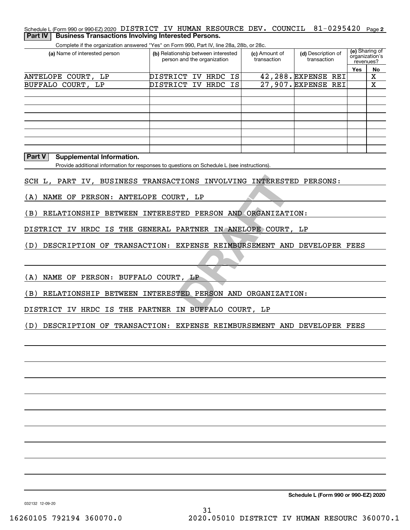#### Schedule L (Form 990 or 990-EZ) 2020 DISTRICT IV HUMAN RESOURCE DEV。 COUNCIL 81-0295420 Page 2 **Part IV | Business Transactions Involving Interested Persons.**

Complete if the organization answered "Yes" on Form 990, Part IV, line 28a, 28b, or 28c.

| (a) Name of interested person | (b) Relationship between interested<br>person and the organization |  | (c) Amount of<br>transaction | (d) Description of<br>transaction | revenues? | (e) Sharing of<br>organization's |
|-------------------------------|--------------------------------------------------------------------|--|------------------------------|-----------------------------------|-----------|----------------------------------|
|                               |                                                                    |  |                              |                                   | Yes       | No                               |
| ANTELOPE COURT, LP            | DISTRICT IV HRDC IS                                                |  |                              | 42,288. EXPENSE REI               |           | х                                |
| BUFFALO COURT, LP             | DISTRICT IV HRDC IS                                                |  |                              | 27,907. EXPENSE REI               |           | х                                |
|                               |                                                                    |  |                              |                                   |           |                                  |
|                               |                                                                    |  |                              |                                   |           |                                  |
|                               |                                                                    |  |                              |                                   |           |                                  |
|                               |                                                                    |  |                              |                                   |           |                                  |
|                               |                                                                    |  |                              |                                   |           |                                  |
|                               |                                                                    |  |                              |                                   |           |                                  |
|                               |                                                                    |  |                              |                                   |           |                                  |
|                               |                                                                    |  |                              |                                   |           |                                  |

#### **Part V Supplemental Information.**

Provide additional information for responses to questions on Schedule L (see instructions).

SCH L, PART IV, BUSINESS TRANSACTIONS INVOLVING INTERESTED PERSONS:

(A) NAME OF PERSON: ANTELOPE COURT, LP

(B) RELATIONSHIP BETWEEN INTERESTED PERSON AND ORGANIZATION:

DISTRICT IV HRDC IS THE GENERAL PARTNER IN ANELOPE COURT, LP

(D) DESCRIPTION OF TRANSACTION: EXPENSE REIMBURSEMENT AND DEVELOPER FEES

(A) NAME OF PERSON: BUFFALO COURT, LP

TIONS INVOLVING INTEREST!<br>RT, LP<br>TED PERSON AND ORGANIZAT<br>PARTNER IN ANELOPE COURT<br>EXPENSE REIMBURSEMENT AN!<br>T, LP<br>TED PERSON AND ORGANIZAT!<br>IN BUFFALO COURT, LP (B) RELATIONSHIP BETWEEN INTERESTED PERSON AND ORGANIZATION:

DISTRICT IV HRDC IS THE PARTNER IN BUFFALO COURT, LP

(D) DESCRIPTION OF TRANSACTION: EXPENSE REIMBURSEMENT AND DEVELOPER FEES

**Schedule L (Form 990 or 990-EZ) 2020**

032132 12-09-20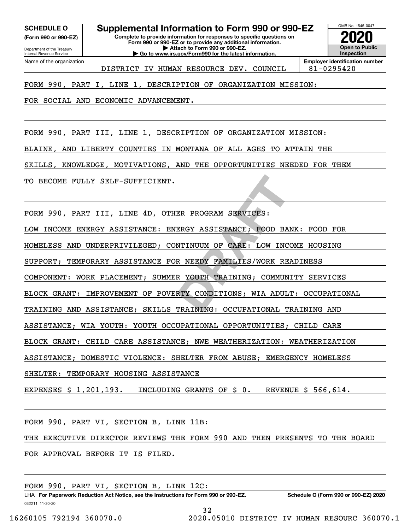Department of the Treasury **(Form 990 or 990-EZ)**

Internal Revenue Service

**SCHEDULE O Supplemental Information to Form 990 or 990-EZ**

**Complete to provide information for responses to specific questions on Form 990 or 990-EZ or to provide any additional information. | Attach to Form 990 or 990-EZ. | Go to www.irs.gov/Form990 for the latest information.**

OMB No. 1545-0047 **Open to Public Inspection2020**

Name of the organization DISTRICT IV HUMAN RESOURCE DEV. COUNCIL 81-0295420

**Employer identification number**

FORM 990, PART I, LINE 1, DESCRIPTION OF ORGANIZATION MISSION:

FOR SOCIAL AND ECONOMIC ADVANCEMENT.

FORM 990, PART III, LINE 1, DESCRIPTION OF ORGANIZATION MISSION:

BLAINE, AND LIBERTY COUNTIES IN MONTANA OF ALL AGES TO ATTAIN THE

SKILLS, KNOWLEDGE, MOTIVATIONS, AND THE OPPORTUNITIES NEEDED FOR THEM

TO BECOME FULLY SELF-SUFFICIENT.

FORM 990, PART III, LINE 4D, OTHER PROGRAM SERVICES:

LOW INCOME ENERGY ASSISTANCE: ENERGY ASSISTANCE; FOOD BANK: FOOD FOR

ER PROGRAM SERVICES:<br>ERGY ASSISTANCE; FOOD BAI<br>NTINUUM OF CARE: LOW INCOR<br>R NEEDY FAMILIES/WORK REA<br>R YOUTH TRAINING; COMMUNI<br>RTY CONDITIONS; WIA ADUL!<br>TRAINING: OCCUPATIONAL TI HOMELESS AND UNDERPRIVILEGED; CONTINUUM OF CARE: LOW INCOME HOUSING

SUPPORT; TEMPORARY ASSISTANCE FOR NEEDY FAMILIES/WORK READINESS

COMPONENT: WORK PLACEMENT; SUMMER YOUTH TRAINING; COMMUNITY SERVICES

BLOCK GRANT: IMPROVEMENT OF POVERTY CONDITIONS; WIA ADULT: OCCUPATIONAL

TRAINING AND ASSISTANCE; SKILLS TRAINING: OCCUPATIONAL TRAINING AND

ASSISTANCE; WIA YOUTH: YOUTH OCCUPATIONAL OPPORTUNITIES; CHILD CARE

BLOCK GRANT: CHILD CARE ASSISTANCE; NWE WEATHERIZATION: WEATHERIZATION

ASSISTANCE; DOMESTIC VIOLENCE: SHELTER FROM ABUSE; EMERGENCY HOMELESS

SHELTER: TEMPORARY HOUSING ASSISTANCE

EXPENSES \$ 1,201,193. INCLUDING GRANTS OF \$ 0. REVENUE \$ 566,614.

FORM 990, PART VI, SECTION B, LINE 11B:

THE EXECUTIVE DIRECTOR REVIEWS THE FORM 990 AND THEN PRESENTS TO THE BOARD

FOR APPROVAL BEFORE IT IS FILED.

FORM 990, PART VI, SECTION B, LINE 12C:

032211 11-20-20 LHA For Paperwork Reduction Act Notice, see the Instructions for Form 990 or 990-EZ. Schedule O (Form 990 or 990-EZ) 2020 32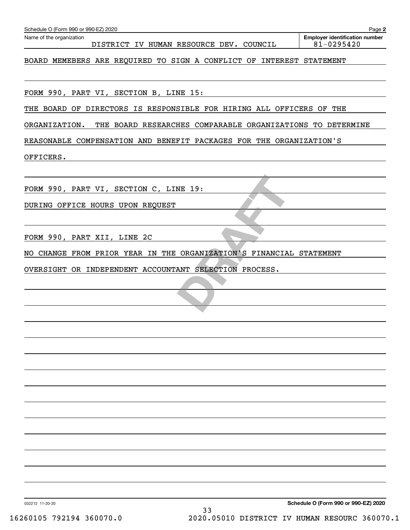| Name of the organization                                                 | Page 2<br><b>Employer identification number</b> |
|--------------------------------------------------------------------------|-------------------------------------------------|
| DISTRICT IV HUMAN RESOURCE DEV. COUNCIL                                  | 81-0295420                                      |
| BOARD MEMEBERS ARE REQUIRED TO SIGN A CONFLICT OF INTEREST STATEMENT     |                                                 |
| FORM 990, PART VI, SECTION B, LINE 15:                                   |                                                 |
| THE BOARD OF DIRECTORS IS RESPONSIBLE FOR HIRING ALL OFFICERS OF THE     |                                                 |
| ORGANIZATION. THE BOARD RESEARCHES COMPARABLE ORGANIZATIONS TO DETERMINE |                                                 |
| REASONABLE COMPENSATION AND BENEFIT PACKAGES FOR THE ORGANIZATION'S      |                                                 |
| OFFICERS.                                                                |                                                 |
|                                                                          |                                                 |
| FORM 990, PART VI, SECTION C, LINE 19:                                   |                                                 |
| DURING OFFICE HOURS UPON REQUEST                                         |                                                 |
|                                                                          |                                                 |
| FORM 990, PART XII, LINE 2C                                              |                                                 |
| NO CHANGE FROM PRIOR YEAR IN THE ORGANIZATION'S FINANCIAL STATEMENT      |                                                 |
| OVERSIGHT OR INDEPENDENT ACCOUNTANT SELECTION PROCESS.                   |                                                 |
|                                                                          |                                                 |
|                                                                          |                                                 |
|                                                                          |                                                 |
|                                                                          |                                                 |
|                                                                          |                                                 |
|                                                                          |                                                 |
|                                                                          |                                                 |
|                                                                          |                                                 |
|                                                                          |                                                 |
|                                                                          |                                                 |
|                                                                          |                                                 |
|                                                                          |                                                 |
|                                                                          |                                                 |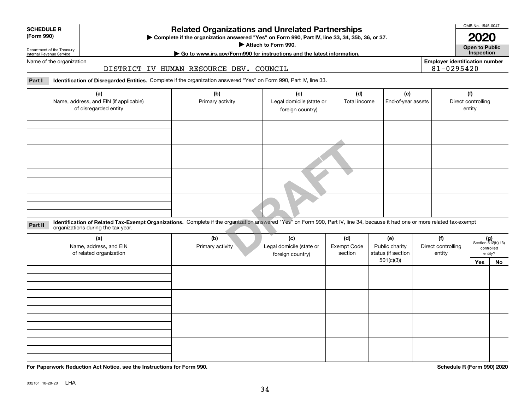## **SCHEDULE R**

### **(Form 990)**

## **Related Organizations and Unrelated Partnerships**

**Complete if the organization answered "Yes" on Form 990, Part IV, line 33, 34, 35b, 36, or 37.** |

**Attach to Form 990.**  |

OMB No. 1545-0047

**Open to Public 2020**

**Employer identification number**

Department of the Treasury Internal Revenue Service

## **| Go to www.irs.gov/Form990 for instructions and the latest information. Inspection**

Name of the organization

#### DISTRICT IV HUMAN RESOURCE DEV. COUNCIL

**Part I Identification of Disregarded Entities.**  Complete if the organization answered "Yes" on Form 990, Part IV, line 33.

| (a)<br>Name, address, and EIN (if applicable)<br>of disregarded entity                                                                                                                                                        | (b)<br>Primary activity | (c)<br>Legal domicile (state or<br>foreign country) | (d)<br>Total income           | (e)<br>End-of-year assets                   |                                     | (f)<br>Direct controlling<br>entity                  |
|-------------------------------------------------------------------------------------------------------------------------------------------------------------------------------------------------------------------------------|-------------------------|-----------------------------------------------------|-------------------------------|---------------------------------------------|-------------------------------------|------------------------------------------------------|
|                                                                                                                                                                                                                               |                         |                                                     |                               |                                             |                                     |                                                      |
|                                                                                                                                                                                                                               |                         |                                                     |                               |                                             |                                     |                                                      |
|                                                                                                                                                                                                                               |                         |                                                     |                               |                                             |                                     |                                                      |
|                                                                                                                                                                                                                               |                         |                                                     |                               |                                             |                                     |                                                      |
| Identification of Related Tax-Exempt Organizations. Complete if the organization answered "Yes" on Form 990, Part IV, line 34, because it had one or more related tax-exempt<br>Part II<br>organizations during the tax year. |                         |                                                     |                               |                                             |                                     |                                                      |
| (a)<br>Name, address, and EIN<br>of related organization                                                                                                                                                                      | (b)<br>Primary activity | (c)<br>Legal domicile (state or<br>foreign country) | (d)<br>Exempt Code<br>section | (e)<br>Public charity<br>status (if section | (f)<br>Direct controlling<br>entity | $(g)$<br>Section 512(b)(13)<br>controlled<br>entity? |

| (a)<br>Name, address, and EIN<br>of related organization | (b)<br>Primary activity | (c)<br>Legal domicile (state or<br>foreign country) | (d)<br><b>Exempt Code</b><br>section | (e)<br>Public charity<br>status (if section | (f)<br>Direct controlling<br>entity |     | $(g)$<br>Section 512(b)(13)<br>controlled<br>entity? |
|----------------------------------------------------------|-------------------------|-----------------------------------------------------|--------------------------------------|---------------------------------------------|-------------------------------------|-----|------------------------------------------------------|
|                                                          |                         |                                                     |                                      | 501(c)(3)                                   |                                     | Yes | No                                                   |
|                                                          |                         |                                                     |                                      |                                             |                                     |     |                                                      |
|                                                          |                         |                                                     |                                      |                                             |                                     |     |                                                      |
|                                                          |                         |                                                     |                                      |                                             |                                     |     |                                                      |
|                                                          |                         |                                                     |                                      |                                             |                                     |     |                                                      |
|                                                          |                         |                                                     |                                      |                                             |                                     |     |                                                      |
|                                                          |                         |                                                     |                                      |                                             |                                     |     |                                                      |
|                                                          |                         |                                                     |                                      |                                             |                                     |     |                                                      |
|                                                          |                         |                                                     |                                      |                                             |                                     |     |                                                      |
|                                                          |                         |                                                     |                                      |                                             |                                     |     |                                                      |
|                                                          |                         |                                                     |                                      |                                             |                                     |     |                                                      |
|                                                          |                         |                                                     |                                      |                                             |                                     |     |                                                      |
|                                                          |                         |                                                     |                                      |                                             |                                     |     |                                                      |
|                                                          |                         |                                                     |                                      |                                             |                                     |     |                                                      |
|                                                          |                         |                                                     |                                      |                                             |                                     |     |                                                      |

**For Paperwork Reduction Act Notice, see the Instructions for Form 990. Schedule R (Form 990) 2020**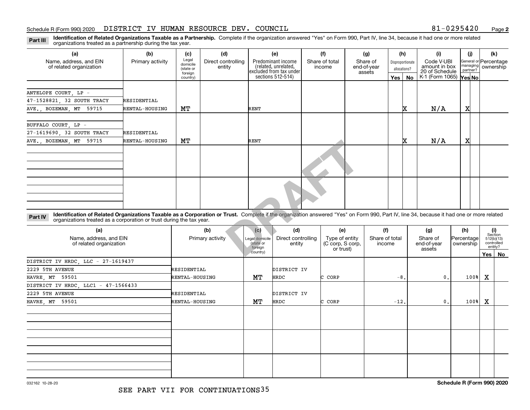#### Schedule R (Form 990) 2020 DISTRICT IV HUMAN RESOURCE DEV. COUNCIL 8 $1\hbox{--}0\hbox{--}29\hbox{--}54\hbox{--}0$  Page

**2**

**Identification of Related Organizations Taxable as a Partnership.** Complete if the organization answered "Yes" on Form 990, Part IV, line 34, because it had one or more related **Part III** organizations treated as a partnership during the tax year.

| (a)                                                                                                                                                                                                                                                                         | (b)              | (c)                                       | (d)                          | (e)                                                                   | (f)                                                                             |     | (g)                               | (h)                              | (i)                                           | (i)                     | (k)                                 |
|-----------------------------------------------------------------------------------------------------------------------------------------------------------------------------------------------------------------------------------------------------------------------------|------------------|-------------------------------------------|------------------------------|-----------------------------------------------------------------------|---------------------------------------------------------------------------------|-----|-----------------------------------|----------------------------------|-----------------------------------------------|-------------------------|-------------------------------------|
| Name, address, and EIN<br>of related organization                                                                                                                                                                                                                           | Primary activity | Legal<br>domicile<br>(state or<br>foreign | Direct controlling<br>entity | Predominant income<br>(related, unrelated,<br>excluded from tax under | Share of total<br>income                                                        |     | Share of<br>end-of-year<br>assets | Disproportionate<br>allocations? | Code V-UBI<br>amount in box<br>20 of Schedule | managing<br>partner?    | General or Percentage<br>ownership  |
|                                                                                                                                                                                                                                                                             |                  | country)                                  |                              | sections 512-514)                                                     |                                                                                 |     | Yes                               | <b>No</b>                        | K-1 (Form 1065) Yes No                        |                         |                                     |
|                                                                                                                                                                                                                                                                             |                  |                                           |                              |                                                                       |                                                                                 |     |                                   |                                  |                                               |                         |                                     |
| ANTELOPE COURT, LP -                                                                                                                                                                                                                                                        |                  |                                           |                              |                                                                       |                                                                                 |     |                                   |                                  |                                               |                         |                                     |
| 47-1528821, 32 SOUTH TRACY                                                                                                                                                                                                                                                  | RESIDENTIAL      |                                           |                              |                                                                       |                                                                                 |     |                                   |                                  |                                               |                         |                                     |
| AVE., BOZEMAN, MT 59715                                                                                                                                                                                                                                                     | RENTAL-HOUSING   | MТ                                        |                              | RENT                                                                  |                                                                                 |     |                                   | x                                | N/A                                           | x                       |                                     |
|                                                                                                                                                                                                                                                                             |                  |                                           |                              |                                                                       |                                                                                 |     |                                   |                                  |                                               |                         |                                     |
| BUFFALO COURT, LP -                                                                                                                                                                                                                                                         |                  |                                           |                              |                                                                       |                                                                                 |     |                                   |                                  |                                               |                         |                                     |
| 27-1619690, 32 SOUTH TRACY                                                                                                                                                                                                                                                  | RESIDENTIAL      |                                           |                              |                                                                       |                                                                                 |     |                                   |                                  |                                               |                         |                                     |
| AVE., BOZEMAN, MT 59715                                                                                                                                                                                                                                                     | RENTAL-HOUSING   | MТ                                        |                              | <b>RENT</b>                                                           |                                                                                 |     |                                   | x                                | N/A                                           | x                       |                                     |
|                                                                                                                                                                                                                                                                             |                  |                                           |                              |                                                                       |                                                                                 |     |                                   |                                  |                                               |                         |                                     |
|                                                                                                                                                                                                                                                                             |                  |                                           |                              |                                                                       |                                                                                 |     |                                   |                                  |                                               |                         |                                     |
| Identification of Related Organizations Taxable as a Corporation or Trust. Complete if the organization answered "Yes" on Form 990, Part IV, line 34, because it had one or more related<br>Part IV<br>organizations treated as a corporation or trust during the tax year. |                  |                                           |                              |                                                                       |                                                                                 |     |                                   |                                  |                                               |                         |                                     |
| (a)                                                                                                                                                                                                                                                                         |                  |                                           | (b)                          | (d)<br>(c)                                                            |                                                                                 | (e) | (f)                               |                                  | (g)                                           | (h)                     | (i)<br>Section                      |
| Name, address, and EIN<br>of related organization                                                                                                                                                                                                                           |                  |                                           | Primary activity             | Legal domicile<br>(state or<br>foreign                                | Direct controlling<br>Type of entity<br>(C corp, S corp,<br>entity<br>or trust) |     | Share of total<br>income          |                                  | Share of<br>end-of-year<br>assets             | Percentage<br>ownership | 512(b)(13)<br>controlled<br>entity? |
|                                                                                                                                                                                                                                                                             |                  |                                           |                              | country)                                                              |                                                                                 |     |                                   |                                  |                                               |                         | Yes   No                            |

| (a)<br>Name, address, and EIN<br>of related organization | (b)<br>Primary activity | (c)<br>Legal domicile<br>(state or | (d)<br>Direct controlling<br>entity | (e)<br>Type of entity<br>(C corp, S corp, | (f)<br>Share of total<br>income | (g)<br>Share of<br>end-of-year | (h)<br>Percentage<br>ownership | (i)<br>Section<br>512(b)(13)<br>controlled<br>entity? |    |
|----------------------------------------------------------|-------------------------|------------------------------------|-------------------------------------|-------------------------------------------|---------------------------------|--------------------------------|--------------------------------|-------------------------------------------------------|----|
|                                                          |                         | foreign<br>country)                |                                     | or trust)                                 |                                 | assets                         |                                | Yes                                                   | No |
| DISTRICT IV HRDC, LLC - 27-1619437                       |                         |                                    |                                     |                                           |                                 |                                |                                |                                                       |    |
| 2229 5TH AVENUE                                          | RESIDENTIAL             |                                    | DISTRICT IV                         |                                           |                                 |                                |                                |                                                       |    |
| HAVRE, MT 59501                                          | RENTAL-HOUSING          | MТ                                 | HRDC                                | C CORP                                    | $-8.$                           | $\mathbf{0}$ .                 | 100%                           | x                                                     |    |
| DISTRICT IV HRDC, LLC1 - 47-1566433                      |                         |                                    |                                     |                                           |                                 |                                |                                |                                                       |    |
| 2229 5TH AVENUE                                          | RESIDENTIAL             |                                    | DISTRICT IV                         |                                           |                                 |                                |                                |                                                       |    |
| HAVRE, MT 59501                                          | RENTAL-HOUSING          | MТ                                 | HRDC                                | C CORP                                    | $-12$ .                         | $\mathbf{0}$ .                 | 100%                           | х                                                     |    |
|                                                          |                         |                                    |                                     |                                           |                                 |                                |                                |                                                       |    |
|                                                          |                         |                                    |                                     |                                           |                                 |                                |                                |                                                       |    |
|                                                          |                         |                                    |                                     |                                           |                                 |                                |                                |                                                       |    |
|                                                          |                         |                                    |                                     |                                           |                                 |                                |                                |                                                       |    |
|                                                          |                         |                                    |                                     |                                           |                                 |                                |                                |                                                       |    |
|                                                          |                         |                                    |                                     |                                           |                                 |                                |                                |                                                       |    |
|                                                          |                         |                                    |                                     |                                           |                                 |                                |                                |                                                       |    |
|                                                          |                         |                                    |                                     |                                           |                                 |                                |                                |                                                       |    |
|                                                          |                         |                                    |                                     |                                           |                                 |                                |                                |                                                       |    |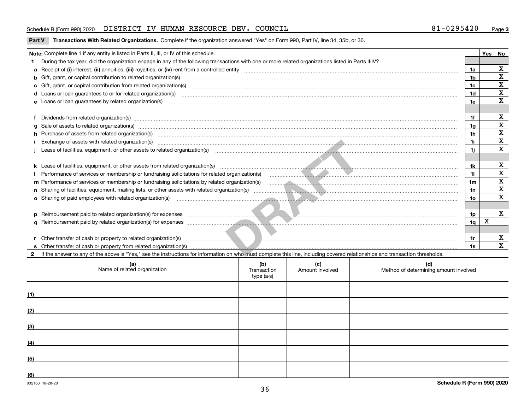#### Schedule R (Form 990) 2020 DISTRICT IV HUMAN RESOURCE DEV. COUNCIL 8 $1\hbox{--}0\hbox{--}29\hbox{--}54\hbox{--}0$  Page

**Part V** T**ransactions With Related Organizations.** Complete if the organization answered "Yes" on Form 990, Part IV, line 34, 35b, or 36.

|     | Note: Complete line 1 if any entity is listed in Parts II, III, or IV of this schedule.                                                                                                                                              |  |  |  |                | Yes | No                      |  |
|-----|--------------------------------------------------------------------------------------------------------------------------------------------------------------------------------------------------------------------------------------|--|--|--|----------------|-----|-------------------------|--|
|     | During the tax year, did the organization engage in any of the following transactions with one or more related organizations listed in Parts II-IV?                                                                                  |  |  |  |                |     |                         |  |
|     |                                                                                                                                                                                                                                      |  |  |  | 1a             |     | $\overline{\mathbf{X}}$ |  |
|     | <b>b</b> Gift, grant, or capital contribution to related organization(s)                                                                                                                                                             |  |  |  |                |     |                         |  |
|     | c Gift, grant, or capital contribution from related organization(s)                                                                                                                                                                  |  |  |  |                |     |                         |  |
|     | d Loans or loan guarantees to or for related organization(s)                                                                                                                                                                         |  |  |  |                |     |                         |  |
|     | e Loans or loan guarantees by related organization(s) manufaction contraction and contract the contract of the contract or contract or contract or contract or contract or contract or contract or contract or contract or con       |  |  |  |                |     |                         |  |
|     |                                                                                                                                                                                                                                      |  |  |  |                |     |                         |  |
|     | f Dividends from related organization(s) www.assession.com/www.assession.com/www.assession.com/www.assession.com/www.assession.com/www.assession.com/www.assession.com/www.assession.com/www.assession.com/www.assession.com/w       |  |  |  | 1f             |     | х                       |  |
|     |                                                                                                                                                                                                                                      |  |  |  | 1q             |     | $\overline{\mathbf{X}}$ |  |
|     | h Purchase of assets from related organization(s) manufactured content to content the content of the content of the content of the content of the content of the content of the content of the content of the content of the c       |  |  |  | 1h             |     | $\mathbf X$             |  |
|     | Exchange of assets with related organization(s) www.communically.communically contract the contract of assets with related organization(s)                                                                                           |  |  |  | 11             |     | $\overline{\text{x}}$   |  |
|     |                                                                                                                                                                                                                                      |  |  |  | 11             |     | $\overline{\mathbf{x}}$ |  |
|     |                                                                                                                                                                                                                                      |  |  |  |                |     | X                       |  |
|     |                                                                                                                                                                                                                                      |  |  |  |                |     |                         |  |
|     |                                                                                                                                                                                                                                      |  |  |  |                |     |                         |  |
|     |                                                                                                                                                                                                                                      |  |  |  |                |     |                         |  |
|     |                                                                                                                                                                                                                                      |  |  |  |                |     |                         |  |
|     | <b>o</b> Sharing of paid employees with related organization(s)                                                                                                                                                                      |  |  |  |                |     |                         |  |
|     |                                                                                                                                                                                                                                      |  |  |  |                |     |                         |  |
|     | p Reimbursement paid to related organization(s) for expenses <i>manufactured and the content of the content of the content of the content of the content of the content of the content of the content of the content of the cont</i> |  |  |  |                |     |                         |  |
|     |                                                                                                                                                                                                                                      |  |  |  | 1 <sub>q</sub> | X   |                         |  |
|     |                                                                                                                                                                                                                                      |  |  |  |                |     |                         |  |
|     | r Other transfer of cash or property to related organization(s)                                                                                                                                                                      |  |  |  |                |     | X                       |  |
|     |                                                                                                                                                                                                                                      |  |  |  |                |     | $\overline{\mathbf{x}}$ |  |
|     | If the answer to any of the above is "Yes," see the instructions for information on who must complete this line, including covered relationships and transaction thresholds.                                                         |  |  |  |                |     |                         |  |
|     | (b)<br>(d)<br>(c)<br>(a)<br>Name of related organization<br>Method of determining amount involved<br>Transaction<br>Amount involved<br>type (a-s)                                                                                    |  |  |  |                |     |                         |  |
| (1) |                                                                                                                                                                                                                                      |  |  |  |                |     |                         |  |
| (2) |                                                                                                                                                                                                                                      |  |  |  |                |     |                         |  |
| (3) |                                                                                                                                                                                                                                      |  |  |  |                |     |                         |  |

**(4)**

**(5)**

**(6)**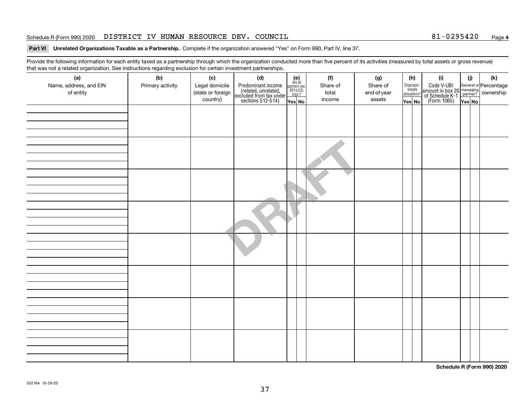#### Schedule R (Form 990) 2020 DISTRICT IV HUMAN RESOURCE DEV. COUNCIL 8 $1\hbox{--}0\hbox{--}29\hbox{--}54\hbox{--}0$  Page

#### **Part VI Unrelated Organizations Taxable as a Partnership. Complete if the organization answered "Yes" on Form 990, Part IV, line 37.**

Provide the following information for each entity taxed as a partnership through which the organization conducted more than five percent of its activities (measured by total assets or gross revenue) that was not a related organization. See instructions regarding exclusion for certain investment partnerships.

| that was not a related organization. Occ instructions regarding exclusion for certain investment partnerships.<br>(a) | (b)              | (c)               | (d)                                                                                        |                                                                                                                  |  | (f)      | (g)         | (h)                   |  | (i)                                                                                              | (j)   | (k) |
|-----------------------------------------------------------------------------------------------------------------------|------------------|-------------------|--------------------------------------------------------------------------------------------|------------------------------------------------------------------------------------------------------------------|--|----------|-------------|-----------------------|--|--------------------------------------------------------------------------------------------------|-------|-----|
| Name, address, and EIN                                                                                                | Primary activity | Legal domicile    | Predominant income<br>(related, unrelated,<br>excluded from tax under<br>sections 512-514) | $\begin{array}{c} \textbf{(e)}\\ \text{Are all} \\ \text{partners sec.}\\ 501(c)(3)\\ \text{orgs.?} \end{array}$ |  | Share of | Share of    | Dispropor-<br>tionate |  | Code V-UBI<br>amount in box 20 managing<br>of Schedule K-1<br>(Form 1065)<br>$\overline{Yes}$ No |       |     |
| of entity                                                                                                             |                  | (state or foreign |                                                                                            |                                                                                                                  |  | total    | end-of-year | allocations?          |  |                                                                                                  |       |     |
|                                                                                                                       |                  | country)          |                                                                                            | Yes No                                                                                                           |  | income   | assets      | Yes No                |  |                                                                                                  | YesNO |     |
|                                                                                                                       |                  |                   |                                                                                            |                                                                                                                  |  |          |             |                       |  |                                                                                                  |       |     |
|                                                                                                                       |                  |                   |                                                                                            |                                                                                                                  |  |          |             |                       |  |                                                                                                  |       |     |
|                                                                                                                       |                  |                   |                                                                                            |                                                                                                                  |  |          |             |                       |  |                                                                                                  |       |     |
|                                                                                                                       |                  |                   |                                                                                            |                                                                                                                  |  |          |             |                       |  |                                                                                                  |       |     |
|                                                                                                                       |                  |                   |                                                                                            |                                                                                                                  |  |          |             |                       |  |                                                                                                  |       |     |
|                                                                                                                       |                  |                   |                                                                                            |                                                                                                                  |  |          |             |                       |  |                                                                                                  |       |     |
|                                                                                                                       |                  |                   |                                                                                            |                                                                                                                  |  |          |             |                       |  |                                                                                                  |       |     |
|                                                                                                                       |                  |                   |                                                                                            |                                                                                                                  |  |          |             |                       |  |                                                                                                  |       |     |
|                                                                                                                       |                  |                   |                                                                                            |                                                                                                                  |  |          |             |                       |  |                                                                                                  |       |     |
|                                                                                                                       |                  |                   |                                                                                            |                                                                                                                  |  |          |             |                       |  |                                                                                                  |       |     |
|                                                                                                                       |                  |                   |                                                                                            |                                                                                                                  |  |          |             |                       |  |                                                                                                  |       |     |
|                                                                                                                       |                  |                   |                                                                                            |                                                                                                                  |  |          |             |                       |  |                                                                                                  |       |     |
|                                                                                                                       |                  |                   |                                                                                            |                                                                                                                  |  |          |             |                       |  |                                                                                                  |       |     |
|                                                                                                                       |                  |                   |                                                                                            |                                                                                                                  |  |          |             |                       |  |                                                                                                  |       |     |
|                                                                                                                       |                  |                   |                                                                                            |                                                                                                                  |  |          |             |                       |  |                                                                                                  |       |     |
|                                                                                                                       |                  |                   |                                                                                            |                                                                                                                  |  |          |             |                       |  |                                                                                                  |       |     |
|                                                                                                                       |                  |                   |                                                                                            |                                                                                                                  |  |          |             |                       |  |                                                                                                  |       |     |
|                                                                                                                       |                  |                   |                                                                                            |                                                                                                                  |  |          |             |                       |  |                                                                                                  |       |     |
|                                                                                                                       |                  |                   |                                                                                            |                                                                                                                  |  |          |             |                       |  |                                                                                                  |       |     |
|                                                                                                                       |                  |                   |                                                                                            |                                                                                                                  |  |          |             |                       |  |                                                                                                  |       |     |
|                                                                                                                       |                  |                   |                                                                                            |                                                                                                                  |  |          |             |                       |  |                                                                                                  |       |     |
|                                                                                                                       |                  |                   |                                                                                            |                                                                                                                  |  |          |             |                       |  |                                                                                                  |       |     |
|                                                                                                                       |                  |                   |                                                                                            |                                                                                                                  |  |          |             |                       |  |                                                                                                  |       |     |
|                                                                                                                       |                  |                   |                                                                                            |                                                                                                                  |  |          |             |                       |  |                                                                                                  |       |     |
|                                                                                                                       |                  |                   |                                                                                            |                                                                                                                  |  |          |             |                       |  |                                                                                                  |       |     |
|                                                                                                                       |                  |                   |                                                                                            |                                                                                                                  |  |          |             |                       |  |                                                                                                  |       |     |
|                                                                                                                       |                  |                   |                                                                                            |                                                                                                                  |  |          |             |                       |  |                                                                                                  |       |     |
|                                                                                                                       |                  |                   |                                                                                            |                                                                                                                  |  |          |             |                       |  |                                                                                                  |       |     |
|                                                                                                                       |                  |                   |                                                                                            |                                                                                                                  |  |          |             |                       |  |                                                                                                  |       |     |
|                                                                                                                       |                  |                   |                                                                                            |                                                                                                                  |  |          |             |                       |  |                                                                                                  |       |     |
|                                                                                                                       |                  |                   |                                                                                            |                                                                                                                  |  |          |             |                       |  |                                                                                                  |       |     |

**Schedule R (Form 990) 2020**